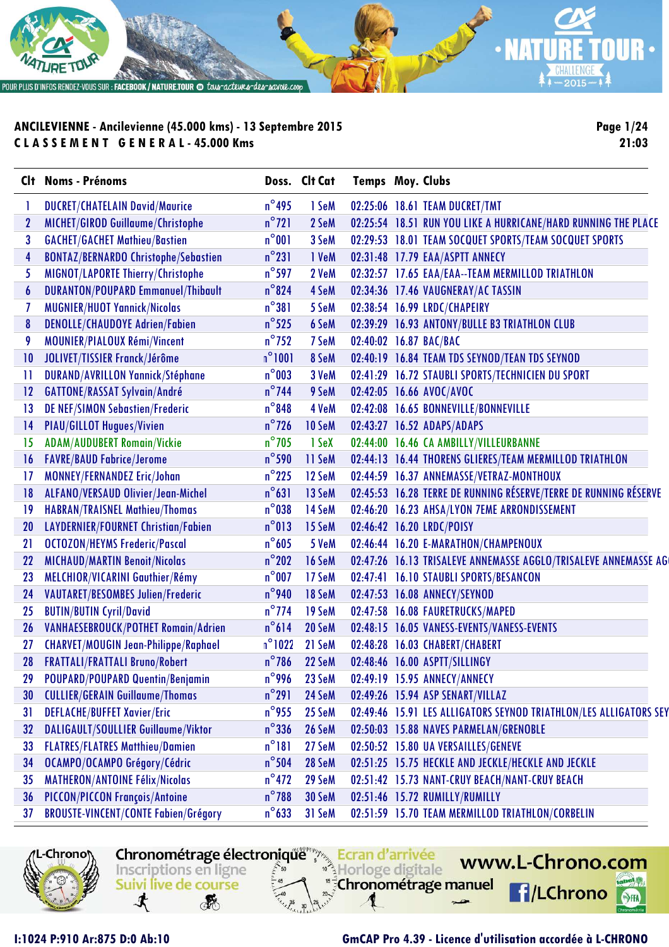

**Page 1/24 21:03**

| Clt              | <b>Noms - Prénoms</b>                       |                 | Doss. Clt Cat | <b>Temps Moy. Clubs</b> |                                                                   |
|------------------|---------------------------------------------|-----------------|---------------|-------------------------|-------------------------------------------------------------------|
|                  | <b>DUCRET/CHATELAIN David/Maurice</b>       | $n^{\circ}$ 495 | 1 SeM         |                         | 02:25:06 18.61 TEAM DUCRET/TMT                                    |
| $\boldsymbol{2}$ | MICHET/GIROD Guillaume/Christophe           | $n^{\circ}$ 721 | 2 SeM         |                         | 02:25:54 18.51 RUN YOU LIKE A HURRICANE/HARD RUNNING THE PLACE    |
| 3                | <b>GACHET/GACHET Mathieu/Bastien</b>        | $n^{\circ}001$  | 3 SeM         |                         | 02:29:53 18.01 TEAM SOCQUET SPORTS/TEAM SOCQUET SPORTS            |
| 4                | <b>BONTAZ/BERNARDO Christophe/Sebastien</b> | $n^{\circ}231$  | 1 VeM         |                         | 02:31:48 17.79 EAA/ASPTT ANNECY                                   |
| 5                | MIGNOT/LAPORTE Thierry/Christophe           | $n^{\circ}$ 597 | 2 VeM         |                         | 02:32:57 17.65 EAA/EAA--TEAM MERMILLOD TRIATHLON                  |
| $\boldsymbol{6}$ | <b>DURANTON/POUPARD Emmanuel/Thibault</b>   | $n^{\circ}$ 824 | 4 SeM         |                         | 02:34:36 17.46 VAUGNERAY/AC TASSIN                                |
|                  | <b>MUGNIER/HUOT Yannick/Nicolas</b>         | $n^{\circ}381$  | 5 SeM         |                         | 02:38:54 16.99 LRDC/CHAPEIRY                                      |
| 8                | <b>DENOLLE/CHAUDOYE Adrien/Fabien</b>       | $n^{\circ}$ 525 | 6 SeM         |                         | 02:39:29 16.93 ANTONY/BULLE B3 TRIATHLON CLUB                     |
| 9                | <b>MOUNIER/PIALOUX Rémi/Vincent</b>         | $n^{\circ}$ 752 | 7 SeM         |                         | 02:40:02 16.87 BAC/BAC                                            |
| 10               | JOLIVET/TISSIER Franck/Jérôme               | $n^{\circ}1001$ | 8 SeM         |                         | 02:40:19 16.84 TEAM TDS SEYNOD/TEAN TDS SEYNOD                    |
| 11               | <b>DURAND/AVRILLON Yannick/Stéphane</b>     | $n^{\circ}$ 003 | 3 VeM         |                         | 02:41:29 16.72 STAUBLI SPORTS/TECHNICIEN DU SPORT                 |
| 12               | <b>GATTONE/RASSAT Sylvain/André</b>         | $n^{\circ}$ 744 | 9 SeM         |                         | 02:42:05 16.66 AVOC/AVOC                                          |
| 13               | <b>DE NEF/SIMON Sebastien/Frederic</b>      | $n^{\circ}$ 848 | 4 VeM         |                         | 02:42:08 16.65 BONNEVILLE/BONNEVILLE                              |
| 4                | <b>PIAU/GILLOT Hugues/Vivien</b>            | $n^{\circ}$ 726 | 10 SeM        |                         | 02:43:27 16.52 ADAPS/ADAPS                                        |
| 15               | <b>ADAM/AUDUBERT Romain/Vickie</b>          | $n^{\circ}$ 705 | 1 SeX         |                         | 02:44:00 16.46 CA AMBILLY/VILLEURBANNE                            |
| 16               | <b>FAVRE/BAUD Fabrice/Jerome</b>            | $n^{\circ}$ 590 | 11 SeM        |                         | 02:44:13 16.44 THORENS GLIERES/TEAM MERMILLOD TRIATHLON           |
| 17               | <b>MONNEY/FERNANDEZ Eric/Johan</b>          | $n^{\circ}$ 225 | 12 SeM        |                         | 02:44:59 16.37 ANNEMASSE/VETRAZ-MONTHOUX                          |
| 18               | ALFANO/VERSAUD Olivier/Jean-Michel          | $n^{\circ}631$  | 13 SeM        |                         | 02:45:53 16.28 TERRE DE RUNNING RÉSERVE/TERRE DE RUNNING RÉSERVE  |
| 19               | <b>HABRAN/TRAISNEL Mathieu/Thomas</b>       | $n^{\circ}$ 038 | 14 SeM        |                         | 02:46:20 16.23 AHSA/LYON 7EME ARRONDISSEMENT                      |
| 20               | LAYDERNIER/FOURNET Christian/Fabien         | $n^{\circ}013$  | 15 SeM        |                         | 02:46:42 16.20 LRDC/POISY                                         |
| 21               | <b>OCTOZON/HEYMS Frederic/Pascal</b>        | $n^{\circ}605$  | 5 VeM         |                         | 02:46:44 16.20 E-MARATHON/CHAMPENOUX                              |
| 22               | <b>MICHAUD/MARTIN Benoit/Nicolas</b>        | $n^{\circ}202$  | 16 SeM        |                         | 02:47:26 16.13 TRISALEVE ANNEMASSE AGGLO/TRISALEVE ANNEMASSE AG   |
| 23               | MELCHIOR/VICARINI Gauthier/Rémy             | $n^{\circ}$ 007 | 17 SeM        |                         | 02:47:41 16.10 STAUBLI SPORTS/BESANCON                            |
| 24               | <b>VAUTARET/BESOMBES Julien/Frederic</b>    | $n^{\circ}$ 940 | 18 SeM        |                         | 02:47:53 16.08 ANNECY/SEYNOD                                      |
| 25               | <b>BUTIN/BUTIN Cyril/David</b>              | $n^{\circ}$ 774 | 19 SeM        |                         | 02:47:58 16.08 FAURETRUCKS/MAPED                                  |
| 26               | VANHAESEBROUCK/POTHET Romain/Adrien         | $n^{\circ}614$  | 20 SeM        |                         | 02:48:15 16.05 VANESS-EVENTS/VANESS-EVENTS                        |
| 27               | <b>CHARVET/MOUGIN Jean-Philippe/Raphael</b> | $n^{\circ}1022$ | 21 SeM        |                         | 02:48:28 16.03 CHABERT/CHABERT                                    |
|                  | <b>FRATTALI/FRATTALI Bruno/Robert</b>       | $n^{\circ}$ 786 | 22 SeM        |                         | 02:48:46 16.00 ASPTT/SILLINGY                                     |
|                  | POUPARD/POUPARD Quentin/Benjamin            | n 996           | 23 SeM        |                         | 02:49:19 15.95 ANNECY/ANNECY                                      |
| 30               | <b>CULLIER/GERAIN Guillaume/Thomas</b>      | $n^{\circ}291$  | 24 SeM        |                         | 02:49:26 15.94 ASP SENART/VILLAZ                                  |
| 31               | <b>DEFLACHE/BUFFET Xavier/Eric</b>          | $n^{\circ}$ 955 | 25 SeM        |                         | 02:49:46 15.91 LES ALLIGATORS SEYNOD TRIATHLON/LES ALLIGATORS SEY |
| 32               | DALIGAULT/SOULLIER Guillaume/Viktor         | $n^{\circ}$ 336 | 26 SeM        |                         | 02:50:03 15.88 NAVES PARMELAN/GRENOBLE                            |
| 33               | <b>FLATRES/FLATRES Matthieu/Damien</b>      | $n^{\circ}181$  | 27 SeM        |                         | 02:50:52 15.80 UA VERSAILLES/GENEVE                               |
| 34               | OCAMPO/OCAMPO Grégory/Cédric                | $n^{\circ}$ 504 | 28 SeM        |                         | 02:51:25 15.75 HECKLE AND JECKLE/HECKLE AND JECKLE                |
| 35               | <b>MATHERON/ANTOINE Félix/Nicolas</b>       | $n^{\circ}472$  | 29 SeM        |                         | 02:51:42 15.73 NANT-CRUY BEACH/NANT-CRUY BEACH                    |
| 36               | PICCON/PICCON François/Antoine              | $n^{\circ}$ 788 | 30 SeM        |                         | 02:51:46 15.72 RUMILLY/RUMILLY                                    |
| 37               | <b>BROUSTE-VINCENT/CONTE Fabien/Grégory</b> | $n^{\circ}$ 633 | 31 SeM        |                         | 02:51:59 15.70 TEAM MERMILLOD TRIATHLON/CORBELIN                  |



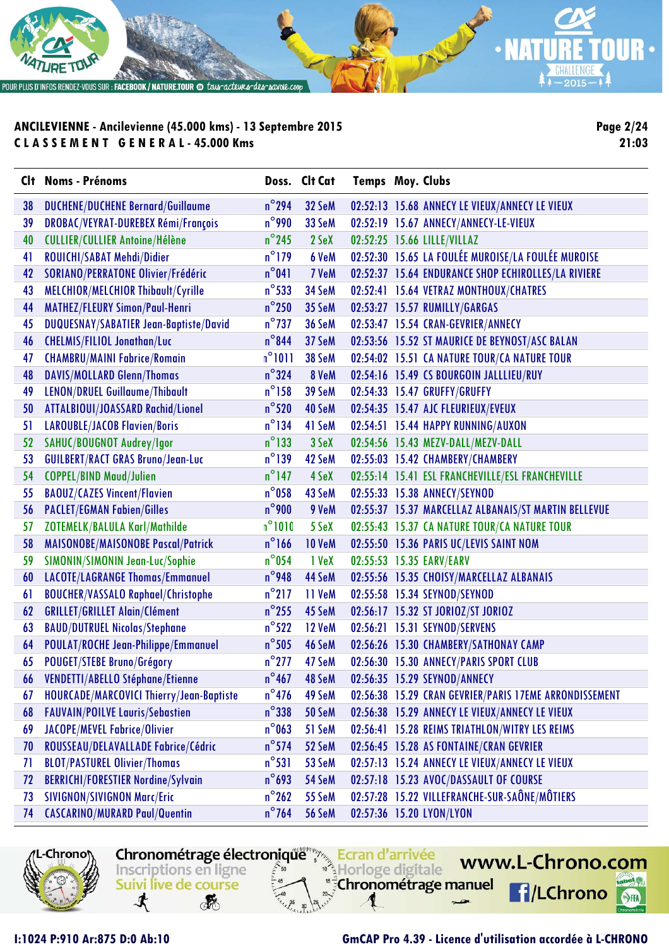

**Page 2/24 21:03**

|    | Clt Noms - Prénoms                         |                 | Doss. Clt Cat | <b>Temps Moy. Clubs</b> |                                                        |
|----|--------------------------------------------|-----------------|---------------|-------------------------|--------------------------------------------------------|
| 38 | <b>DUCHENE/DUCHENE Bernard/Guillaume</b>   | $n^{\circ}$ 294 | 32 SeM        |                         | 02:52:13 15.68 ANNECY LE VIEUX/ANNECY LE VIEUX         |
| 39 | DROBAC/VEYRAT-DUREBEX Rémi/François        | $n^{\circ}$ 990 | 33 SeM        |                         | 02:52:19 15.67 ANNECY/ANNECY-LE-VIEUX                  |
| 40 | <b>CULLIER/CULLIER Antoine/Hélène</b>      | $n^{\circ}$ 245 | 2 SeX         |                         | 02:52:25 15.66 LILLE/VILLAZ                            |
| 41 | ROUICHI/SABAT Mehdi/Didier                 | $n^{\circ}$ 179 | 6 VeM         |                         | 02:52:30 15.65 LA FOULÉE MUROISE/LA FOULÉE MUROISE     |
| 42 | <b>SORIANO/PERRATONE Olivier/Frédéric</b>  | $n^{\circ}041$  | 7 VeM         |                         | 02:52:37 15.64 ENDURANCE SHOP ECHIROLLES/LA RIVIERE    |
| 43 | MELCHIOR/MELCHIOR Thibault/Cyrille         | $n^{\circ}$ 533 | 34 SeM        |                         | 02:52:41 15.64 VETRAZ MONTHOUX/CHATRES                 |
| 44 | MATHEZ/FLEURY Simon/Paul-Henri             | $n^{\circ}$ 250 | 35 SeM        |                         | 02:53:27 15.57 RUMILLY/GARGAS                          |
| 45 | DUQUESNAY/SABATIER Jean-Baptiste/David     | $n^{\circ}$ 737 | 36 SeM        |                         | 02:53:47 15.54 CRAN-GEVRIER/ANNECY                     |
| 46 | <b>CHELMIS/FILIOL Jonathan/Luc</b>         | $n^{\circ}$ 844 | 37 SeM        |                         | 02:53:56 15.52 ST MAURICE DE BEYNOST/ASC BALAN         |
| 47 | <b>CHAMBRU/MAINI Fabrice/Romain</b>        | $n^{\circ}1011$ | 38 SeM        |                         | 02:54:02 15.51 CA NATURE TOUR/CA NATURE TOUR           |
| 48 | <b>DAVIS/MOLLARD Glenn/Thomas</b>          | $n^{\circ}$ 324 | 8 VeM         |                         | 02:54:16 15.49 CS BOURGOIN JALLLIEU/RUY                |
| 49 | LENON/DRUEL Guillaume/Thibault             | $n^{\circ}$ 158 | 39 SeM        |                         | 02:54:33 15.47 GRUFFY/GRUFFY                           |
| 50 | ATTALBIOUI/JOASSARD Rachid/Lionel          | $n^{\circ}$ 520 | 40 SeM        |                         | 02:54:35 15.47 AJC FLEURIEUX/EVEUX                     |
| 51 | <b>LAROUBLE/JACOB Flavien/Boris</b>        | $n^{\circ}$ 134 | 41 SeM        |                         | 02:54:51 15.44 HAPPY RUNNING/AUXON                     |
| 52 | SAHUC/BOUGNOT Audrey/Igor                  | $n^{\circ}$ 133 | 3 SeX         |                         | 02:54:56 15.43 MEZV-DALL/MEZV-DALL                     |
| 53 | <b>GUILBERT/RACT GRAS Bruno/Jean-Luc</b>   | $n^{\circ}$ 139 | 42 SeM        |                         | 02:55:03 15.42 CHAMBERY/CHAMBERY                       |
| 54 | <b>COPPEL/BIND Maud/Julien</b>             | $n^{\circ}$ 147 | 4 SeX         |                         | 02:55:14 15.41 ESL FRANCHEVILLE/ESL FRANCHEVILLE       |
| 55 | <b>BAOUZ/CAZES Vincent/Flavien</b>         | $n^{\circ}$ 058 | 43 SeM        |                         | 02:55:33 15.38 ANNECY/SEYNOD                           |
| 56 | <b>PACLET/EGMAN Fabien/Gilles</b>          | $n^{\circ}$ 900 | 9 VeM         |                         | 02:55:37 15.37 MARCELLAZ ALBANAIS/ST MARTIN BELLEVUE   |
| 57 | ZOTEMELK/BALULA Karl/Mathilde              | $n^{\circ}1010$ | 5 SeX         |                         | 02:55:43 15.37 CA NATURE TOUR/CA NATURE TOUR           |
| 58 | MAISONOBE/MAISONOBE Pascal/Patrick         | $n^{\circ}$ 166 | <b>10 VeM</b> |                         | 02:55:50 15.36 PARIS UC/LEVIS SAINT NOM                |
| 59 | SIMONIN/SIMONIN Jean-Luc/Sophie            | $n^{\circ}$ 054 | 1 VeX         |                         | 02:55:53 15.35 EARV/EARV                               |
| 60 | LACOTE/LAGRANGE Thomas/Emmanuel            | $n^{\circ}$ 948 | 44 SeM        |                         | 02:55:56 15.35 CHOISY/MARCELLAZ ALBANAIS               |
| 61 | <b>BOUCHER/VASSALO Raphael/Christophe</b>  | $n^{\circ}$ 217 | 11 VeM        |                         | 02:55:58 15.34 SEYNOD/SEYNOD                           |
| 62 | <b>GRILLET/GRILLET Alain/Clément</b>       | $n^{\circ}$ 255 | 45 SeM        |                         | 02:56:17 15.32 ST JORIOZ/ST JORIOZ                     |
| 63 | <b>BAUD/DUTRUEL Nicolas/Stephane</b>       | $n^{\circ}522$  | <b>12 VeM</b> |                         | 02:56:21 15.31 SEYNOD/SERVENS                          |
| 64 | <b>POULAT/ROCHE Jean-Philippe/Emmanuel</b> | $n^{\circ}$ 505 | 46 SeM        |                         | 02:56:26 15.30 CHAMBERY/SATHONAY CAMP                  |
| 65 | POUGET/STEBE Bruno/Grégory                 | $n^{\circ}$ 277 | 47 SeM        |                         | 02:56:30 15.30 ANNECY/PARIS SPORT CLUB                 |
| 66 | VENDETTI/ABELLO Stéphane/Etienne           | $n^{\circ}467$  | 48 SeM        |                         | 02:56:35 15.29 SEYNOD/ANNECY                           |
| 67 | HOURCADE/MARCOVICI Thierry/Jean-Baptiste   | $n^{\circ}$ 476 | 49 SeM        |                         | 02:56:38 15.29 CRAN GEVRIER/PARIS 17EME ARRONDISSEMENT |
| 68 | <b>FAUVAIN/POILVE Lauris/Sebastien</b>     | $n^{\circ}$ 338 | 50 SeM        |                         | 02:56:38 15.29 ANNECY LE VIEUX/ANNECY LE VIEUX         |
| 69 | JACOPE/MEVEL Fabrice/Olivier               | $n^{\circ}$ 063 | 51 SeM        |                         | 02:56:41 15.28 REIMS TRIATHLON/WITRY LES REIMS         |
| 70 | ROUSSEAU/DELAVALLADE Fabrice/Cédric        | $n^{\circ}$ 574 | 52 SeM        |                         | 02:56:45 15.28 AS FONTAINE/CRAN GEVRIER                |
| 71 | <b>BLOT/PASTUREL Olivier/Thomas</b>        | $n^{\circ}531$  | 53 SeM        |                         | 02:57:13 15.24 ANNECY LE VIEUX/ANNECY LE VIEUX         |
| 72 | <b>BERRICHI/FORESTIER Nordine/Sylvain</b>  | $n^{\circ}$ 693 | 54 SeM        |                         | 02:57:18 15.23 AVOC/DASSAULT OF COURSE                 |
| 73 | <b>SIVIGNON/SIVIGNON Marc/Eric</b>         | $n^{\circ}$ 262 | 55 SeM        |                         | 02:57:28 15.22 VILLEFRANCHE-SUR-SAÔNE/MÔTIERS          |
| 74 | <b>CASCARINO/MURARD Paul/Quentin</b>       | $n^{\circ}$ 764 | 56 SeM        |                         | 02:57:36 15.20 LYON/LYON                               |

-Chrono

**RE** 

Inscriptions en ligne

Suivi live de course

寸

Chronométrage électronique Ecran d'arrivée

Horloge digitale

"<sup>5</sup>Chronométrage manuel

**I:1024 P:910 Ar:875 D:0 Ab:10 GmCAP Pro 4.39 - Licence d'utilisation accordée à L-CHRONO**

www.L-Chrono.com

**f**/LChrono

 $\mathbf{e}$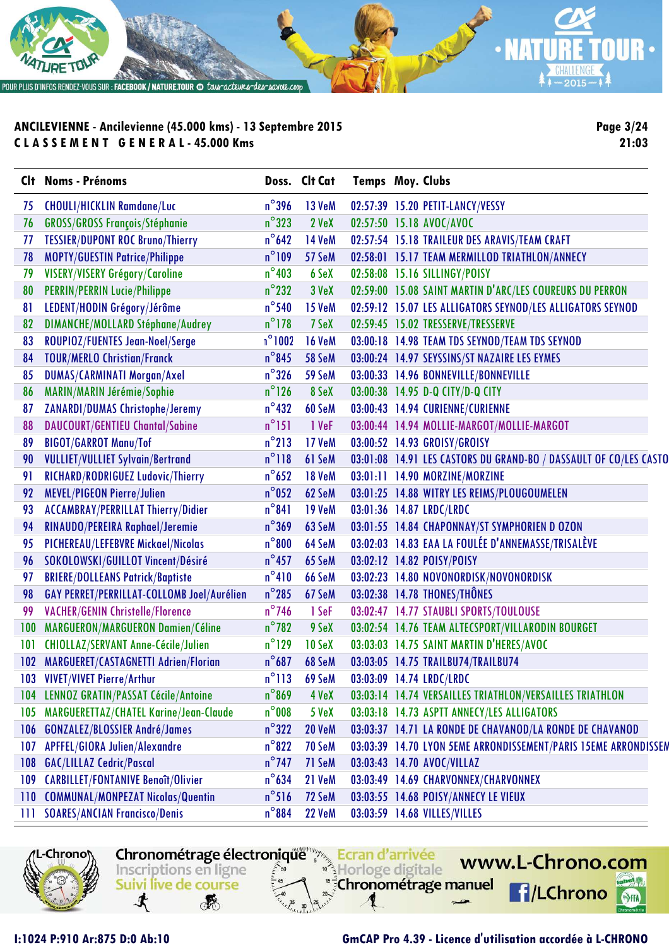

**Page 3/24 21:03**

|     | Clt Noms - Prénoms                         |                 | Doss. Clt Cat | <b>Temps Moy. Clubs</b>                                           |  |
|-----|--------------------------------------------|-----------------|---------------|-------------------------------------------------------------------|--|
| 75  | <b>CHOULI/HICKLIN Ramdane/Luc</b>          | $n^{\circ}$ 396 | <b>13 VeM</b> | 02:57:39 15.20 PETIT-LANCY/VESSY                                  |  |
| 76  | <b>GROSS/GROSS François/Stéphanie</b>      | $n^{\circ}323$  | 2 VeX         | 02:57:50 15.18 AVOC/AVOC                                          |  |
| 77  | <b>TESSIER/DUPONT ROC Bruno/Thierry</b>    | $n^{\circ}$ 642 | <b>14 VeM</b> | 02:57:54 15.18 TRAILEUR DES ARAVIS/TEAM CRAFT                     |  |
| 78  | <b>MOPTY/GUESTIN Patrice/Philippe</b>      | $n^{\circ}109$  | 57 SeM        | 02:58:01 15.17 TEAM MERMILLOD TRIATHLON/ANNECY                    |  |
| 79  | VISERY/VISERY Grégory/Caroline             | $n^{\circ}$ 403 | 6 SeX         | 02:58:08 15.16 SILLINGY/POISY                                     |  |
| 80  | <b>PERRIN/PERRIN Lucie/Philippe</b>        | $n^{\circ}$ 232 | 3 VeX         | 02:59:00 15.08 SAINT MARTIN D'ARC/LES COUREURS DU PERRON          |  |
| 81  | LEDENT/HODIN Grégory/Jérôme                | $n^{\circ}$ 540 | <b>15 VeM</b> | 02:59:12 15.07 LES ALLIGATORS SEYNOD/LES ALLIGATORS SEYNOD        |  |
| 82  | <b>DIMANCHE/MOLLARD Stéphane/Audrey</b>    | $n^{\circ}$ 178 | 7 SeX         | 02:59:45 15.02 TRESSERVE/TRESSERVE                                |  |
| 83  | ROUPIOZ/FUENTES Jean-Noel/Serge            | $n^{\circ}1002$ | <b>16 VeM</b> | 03:00:18 14.98 TEAM TDS SEYNOD/TEAM TDS SEYNOD                    |  |
| 84  | <b>TOUR/MERLO Christian/Franck</b>         | $n^{\circ}$ 845 | 58 SeM        | 03:00:24 14.97 SEYSSINS/ST NAZAIRE LES EYMES                      |  |
| 85  | <b>DUMAS/CARMINATI Morgan/Axel</b>         | $n^{\circ}$ 326 | 59 SeM        | 03:00:33 14.96 BONNEVILLE/BONNEVILLE                              |  |
| 86  | MARIN/MARIN Jérémie/Sophie                 | $n^{\circ}$ 126 | 8 SeX         | 03:00:38 14.95 D-Q CITY/D-Q CITY                                  |  |
| 87  | <b>ZANARDI/DUMAS Christophe/Jeremy</b>     | $n^{\circ}$ 432 | 60 SeM        | 03:00:43 14.94 CURIENNE/CURIENNE                                  |  |
| 88  | <b>DAUCOURT/GENTIEU Chantal/Sabine</b>     | $n^{\circ}151$  | 1 VeF         | 03:00:44 14.94 MOLLIE-MARGOT/MOLLIE-MARGOT                        |  |
| 89  | <b>BIGOT/GARROT Manu/Tof</b>               | $n^{\circ}213$  | 17 VeM        | 03:00:52 14.93 GROISY/GROISY                                      |  |
| 90  | <b>VULLIET/VULLIET Sylvain/Bertrand</b>    | $n^{\circ}118$  | 61 SeM        | 03:01:08 14.91 LES CASTORS DU GRAND-BO / DASSAULT OF CO/LES CASTO |  |
| 91  | RICHARD/RODRIGUEZ Ludovic/Thierry          | $n^{\circ}$ 652 | <b>18 VeM</b> | 03:01:11 14.90 MORZINE/MORZINE                                    |  |
| 92  | <b>MEVEL/PIGEON Pierre/Julien</b>          | $n^{\circ}$ 052 | 62 SeM        | 03:01:25 14.88 WITRY LES REIMS/PLOUGOUMELEN                       |  |
| 93  | <b>ACCAMBRAY/PERRILLAT Thierry/Didier</b>  | $n^{\circ}841$  | <b>19 VeM</b> | 03:01:36 14.87 LRDC/LRDC                                          |  |
| 94  | RINAUDO/PEREIRA Raphael/Jeremie            | $n^{\circ}369$  | 63 SeM        | 03:01:55 14.84 CHAPONNAY/ST SYMPHORIEN D OZON                     |  |
| 95  | PICHEREAU/LEFEBVRE Mickael/Nicolas         | $n^{\circ}800$  | 64 SeM        | 03:02:03 14.83 EAA LA FOULÉE D'ANNEMASSE/TRISALÈVE                |  |
| 96  | SOKOLOWSKI/GUILLOT Vincent/Désiré          | $n^{\circ}$ 457 | 65 SeM        | 03:02:12 14.82 POISY/POISY                                        |  |
| 97  | <b>BRIERE/DOLLEANS Patrick/Baptiste</b>    | $n^{\circ}410$  | 66 SeM        | 03:02:23 14.80 NOVONORDISK/NOVONORDISK                            |  |
| 98  | GAY PERRET/PERRILLAT-COLLOMB Joel/Aurélien | $n^{\circ}285$  | 67 SeM        | 03:02:38 14.78 THONES/THÔNES                                      |  |
| 99  | <b>VACHER/GENIN Christelle/Florence</b>    | $n^{\circ}$ 746 | 1 SeF         | 03:02:47 14.77 STAUBLI SPORTS/TOULOUSE                            |  |
| 100 | MARGUERON/MARGUERON Damien/Céline          | $n^{\circ}$ 782 | 9 SeX         | 03:02:54 14.76 TEAM ALTECSPORT/VILLARODIN BOURGET                 |  |
| 101 | <b>CHIOLLAZ/SERVANT Anne-Cécile/Julien</b> | $n^{\circ}$ 129 | 10 SeX        | 03:03:03 14.75 SAINT MARTIN D'HERES/AVOC                          |  |
|     | 102 MARGUERET/CASTAGNETTI Adrien/Florian   | $n^{\circ}687$  | 68 SeM        | 03:03:05 14.75 TRAILBU74/TRAILBU74                                |  |
| 103 | <b>VIVET/VIVET Pierre/Arthur</b>           | $n^{\circ}113$  | 69 SeM        | 03:03:09 14.74 LRDC/LRDC                                          |  |
| 104 | <b>LENNOZ GRATIN/PASSAT Cécile/Antoine</b> | $n^{\circ}$ 869 | 4 VeX         | 03:03:14 14.74 VERSAILLES TRIATHLON/VERSAILLES TRIATHLON          |  |
| 105 | MARGUERETTAZ/CHATEL Karine/Jean-Claude     | $n^{\circ}$ 008 | 5 VeX         | 03:03:18 14.73 ASPTT ANNECY/LES ALLIGATORS                        |  |
| 106 | <b>GONZALEZ/BLOSSIER André/James</b>       | $n^{\circ}322$  | <b>20 VeM</b> | 03:03:37 14.71 LA RONDE DE CHAVANOD/LA RONDE DE CHAVANOD          |  |
| 107 | APFFEL/GIORA Julien/Alexandre              | $n^{\circ}822$  | 70 SeM        | 03:03:39 14.70 LYON 5EME ARRONDISSEMENT/PARIS 15EME ARRONDISSEM   |  |
| 108 | <b>GAC/LILLAZ Cedric/Pascal</b>            | $n^{\circ}$ 747 | 71 SeM        | 03:03:43 14.70 AVOC/VILLAZ                                        |  |
| 109 | <b>CARBILLET/FONTANIVE Benoît/Olivier</b>  | $n^{\circ}$ 634 | 21 VeM        | 03:03:49 14.69 CHARVONNEX/CHARVONNEX                              |  |
| 110 | <b>COMMUNAL/MONPEZAT Nicolas/Quentin</b>   | $n^{\circ}516$  | 72 SeM        | 03:03:55 14.68 POISY/ANNECY LE VIEUX                              |  |
| Ш   | <b>SOARES/ANCIAN Francisco/Denis</b>       | $n^{\circ}884$  | <b>22 VeM</b> | 03:03:59 14.68 VILLES/VILLES                                      |  |



Chronométrage électronique Ecran d'arrivée www.L-Chrono.com Inscriptions en ligne Horloge digitale Suivi live de course "<sup>5</sup>Chronométrage manuel **f**/LChrono 寸 感

#### **I:1024 P:910 Ar:875 D:0 Ab:10 GmCAP Pro 4.39 - Licence d'utilisation accordée à L-CHRONO**

 $\mathbf{e}$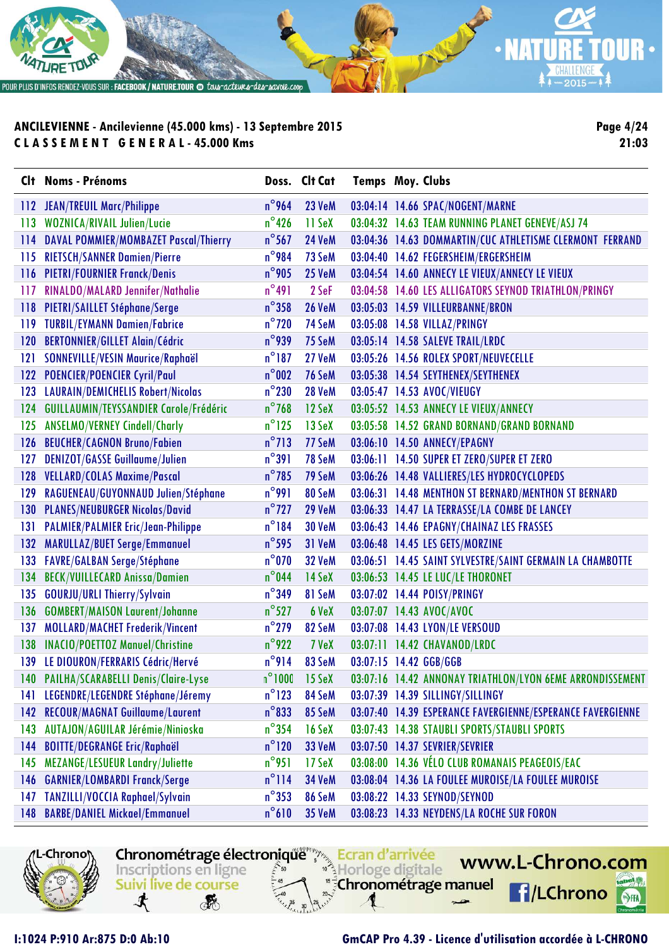

**Page 4/24 21:03**

|     | Clt Noms - Prénoms                        |                 | Doss. Clt Cat          | <b>Temps Moy. Clubs</b> |                                                            |
|-----|-------------------------------------------|-----------------|------------------------|-------------------------|------------------------------------------------------------|
|     | 112 JEAN/TREUIL Marc/Philippe             | $n^{\circ}$ 964 | 23 VeM                 |                         | 03:04:14 14.66 SPAC/NOGENT/MARNE                           |
|     | 113 WOZNICA/RIVAIL Julien/Lucie           | $n^{\circ}$ 426 | 11 SeX                 |                         | 03:04:32 14.63 TEAM RUNNING PLANET GENEVE/ASJ 74           |
|     | 114 DAVAL POMMIER/MOMBAZET Pascal/Thierry | $n^{\circ}$ 567 | <b>24 VeM</b>          |                         | 03:04:36 14.63 DOMMARTIN/CUC ATHLETISME CLERMONT FERRAND   |
| 115 | <b>RIETSCH/SANNER Damien/Pierre</b>       | $n^{\circ}$ 984 | 73 SeM                 |                         | 03:04:40 14.62 FEGERSHEIM/ERGERSHEIM                       |
|     | 116 PIETRI/FOURNIER Franck/Denis          | $n^{\circ}$ 905 | <b>25 VeM</b>          |                         | 03:04:54 14.60 ANNECY LE VIEUX/ANNECY LE VIEUX             |
| 117 | RINALDO/MALARD Jennifer/Nathalie          | $n^{\circ}491$  | 2 SeF                  |                         | 03:04:58 14.60 LES ALLIGATORS SEYNOD TRIATHLON/PRINGY      |
|     | 118 PIETRI/SAILLET Stéphane/Serge         | $n^{\circ}$ 358 | <b>26 VeM</b>          |                         | 03:05:03 14.59 VILLEURBANNE/BRON                           |
|     | 119 TURBIL/EYMANN Damien/Fabrice          | $n^{\circ}$ 720 | 74 SeM                 |                         | 03:05:08 14.58 VILLAZ/PRINGY                               |
|     | 120 BERTONNIER/GILLET Alain/Cédric        | $n^{\circ}$ 939 | 75 SeM                 |                         | 03:05:14 14.58 SALEVE TRAIL/LRDC                           |
| 121 | SONNEVILLE/VESIN Maurice/Raphaël          | $n^{\circ}$ 187 | 27 VeM                 |                         | 03:05:26 14.56 ROLEX SPORT/NEUVECELLE                      |
|     | 122 POENCIER/POENCIER Cyril/Paul          | $n^{\circ}002$  | 76 SeM                 |                         | 03:05:38 14.54 SEYTHENEX/SEYTHENEX                         |
|     | 123 LAURAIN/DEMICHELIS Robert/Nicolas     | $n^{\circ}230$  | <b>28 VeM</b>          |                         | 03:05:47 14.53 AVOC/VIEUGY                                 |
| 124 | GUILLAUMIN/TEYSSANDIER Carole/Frédéric    | $n^{\circ}$ 768 | 12 SeX                 |                         | 03:05:52 14.53 ANNECY LE VIEUX/ANNECY                      |
| 125 | <b>ANSELMO/VERNEY Cindell/Charly</b>      | $n^{\circ}$ 125 | $13$ SeX               |                         | 03:05:58 14.52 GRAND BORNAND/GRAND BORNAND                 |
| 126 | <b>BEUCHER/CAGNON Bruno/Fabien</b>        | $n^{\circ}$ 713 | 77 SeM                 |                         | 03:06:10 14.50 ANNECY/EPAGNY                               |
| 127 | <b>DENIZOT/GASSE Guillaume/Julien</b>     | $n^{\circ}391$  | 78 SeM                 |                         | 03:06:11 14.50 SUPER ET ZERO/SUPER ET ZERO                 |
|     | 128 VELLARD/COLAS Maxime/Pascal           | $n^{\circ}$ 785 | 79 SeM                 |                         | 03:06:26 14.48 VALLIERES/LES HYDROCYCLOPEDS                |
| 129 | RAGUENEAU/GUYONNAUD Julien/Stéphane       | $n^{\circ}$ 991 | 80 SeM                 |                         | 03:06:31 14.48 MENTHON ST BERNARD/MENTHON ST BERNARD       |
|     | 130 PLANES/NEUBURGER Nicolas/David        | $n^{\circ}$ 727 | <b>29 VeM</b>          |                         | 03:06:33 14.47 LA TERRASSE/LA COMBE DE LANCEY              |
|     | 131 PALMIER/PALMIER Eric/Jean-Philippe    | $n^{\circ}184$  | <b>30 VeM</b>          |                         | 03:06:43 14.46 EPAGNY/CHAINAZ LES FRASSES                  |
| 132 | MARULLAZ/BUET Serge/Emmanuel              | $n^{\circ}$ 595 | 31 VeM                 |                         | 03:06:48 14.45 LES GETS/MORZINE                            |
| 133 | <b>FAVRE/GALBAN Serge/Stéphane</b>        | $n^{\circ}070$  | 32 VeM                 |                         | 03:06:51 14.45 SAINT SYLVESTRE/SAINT GERMAIN LA CHAMBOTTE  |
| 134 | <b>BECK/VUILLECARD Anissa/Damien</b>      | $n^{\circ}$ 044 | 14 SeX                 |                         | 03:06:53 14.45 LE LUC/LE THORONET                          |
|     | 135 GOURJU/URLI Thierry/Sylvain           | $n^{\circ}$ 349 | 81 SeM                 |                         | 03:07:02 14.44 POISY/PRINGY                                |
| 136 | <b>GOMBERT/MAISON Laurent/Johanne</b>     | $n^{\circ}$ 527 | 6 VeX                  |                         | 03:07:07 14.43 AVOC/AVOC                                   |
| 137 | <b>MOLLARD/MACHET Frederik/Vincent</b>    | $n^{\circ}$ 279 | 82 SeM                 |                         | 03:07:08 14.43 LYON/LE VERSOUD                             |
| 138 | <b>INACIO/POETTOZ Manuel/Christine</b>    | $n^{\circ}$ 922 | 7 VeX                  |                         | 03:07:11 14.42 CHAVANOD/LRDC                               |
|     | 139 LE DIOURON/FERRARIS Cédric/Hervé      | $n^{\circ}$ 914 | 83 SeM                 |                         | 03:07:15 14.42 GGB/GGB                                     |
|     | 140 PAILHA/SCARABELLI Denis/Claire-Lyse   |                 | $n^{\circ}1000$ 15 SeX |                         | 03:07:16 14.42 ANNONAY TRIATHLON/LYON 6EME ARRONDISSEMENT  |
| 141 | LEGENDRE/LEGENDRE Stéphane/Jéremy         | $n^{\circ}$ 123 | 84 SeM                 |                         | 03:07:39 14.39 SILLINGY/SILLINGY                           |
| 142 | <b>RECOUR/MAGNAT Guillaume/Laurent</b>    | $n^{\circ}833$  | 85 SeM                 |                         | 03:07:40 14.39 ESPERANCE FAVERGIENNE/ESPERANCE FAVERGIENNE |
| 143 | AUTAJON/AGUILAR Jérémie/Ninioska          | $n^{\circ}$ 354 | $16$ SeX               |                         | 03:07:43 14.38 STAUBLI SPORTS/STAUBLI SPORTS               |
| 144 | <b>BOITTE/DEGRANGE Eric/Raphaël</b>       | $n^{\circ}$ 120 | 33 VeM                 |                         | 03:07:50 14.37 SEVRIER/SEVRIER                             |
| 145 | MEZANGE/LESUEUR Landry/Juliette           | $n^{\circ}$ 951 | 17 SeX                 |                         | 03:08:00 14.36 VÉLO CLUB ROMANAIS PEAGEOIS/EAC             |
| 146 | <b>GARNIER/LOMBARDI Franck/Serge</b>      | $n^{\circ}$ 114 | 34 VeM                 |                         | 03:08:04 14.36 LA FOULEE MUROISE/LA FOULEE MUROISE         |
| 147 | TANZILLI/VOCCIA Raphael/Sylvain           | $n^{\circ}$ 353 | 86 SeM                 |                         | 03:08:22 14.33 SEYNOD/SEYNOD                               |
| 148 | <b>BARBE/DANIEL Mickael/Emmanuel</b>      | $n^{\circ}610$  | <b>35 VeM</b>          |                         | 03:08:23 14.33 NEYDENS/LA ROCHE SUR FORON                  |



Chronométrage électronique Ecran d'arrivée Inscriptions en ligne Horloge digitale "<sup>5</sup>Chronométrage manuel Suivi live de course

www.L-Chrono.com  $\mathbf{e}$ 

**f**/LChrono

SHA

寸

**RE**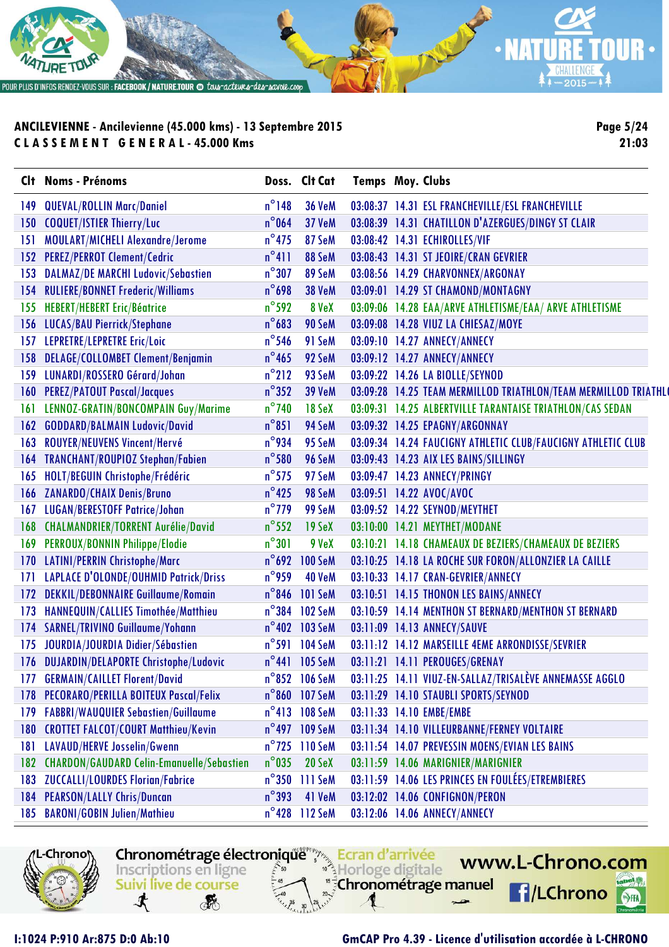

**Page 5/24 21:03**

|     | Clt Noms - Prénoms                               |                 | Doss. Clt Cat              | <b>Temps Moy. Clubs</b> |                                                                |
|-----|--------------------------------------------------|-----------------|----------------------------|-------------------------|----------------------------------------------------------------|
| 149 | <b>QUEVAL/ROLLIN Marc/Daniel</b>                 | $n^{\circ}$ 148 | <b>36 VeM</b>              |                         | 03:08:37 14.31 ESL FRANCHEVILLE/ESL FRANCHEVILLE               |
| 150 | <b>COQUET/ISTIER Thierry/Luc</b>                 | $n^{\circ}$ 064 | 37 VeM                     |                         | 03:08:39 14.31 CHATILLON D'AZERGUES/DINGY ST CLAIR             |
| 151 | MOULART/MICHELI Alexandre/Jerome                 | $n^{\circ}$ 475 | 87 SeM                     |                         | 03:08:42 14.31 ECHIROLLES/VIF                                  |
| 152 | <b>PEREZ/PERROT Clement/Cedric</b>               | $n^{\circ}411$  | 88 SeM                     |                         | 03:08:43 14.31 ST JEOIRE/CRAN GEVRIER                          |
| 153 | <b>DALMAZ/DE MARCHI Ludovic/Sebastien</b>        | $n^{\circ}307$  | 89 SeM                     |                         | 03:08:56 14.29 CHARVONNEX/ARGONAY                              |
| 154 | <b>RULIERE/BONNET Frederic/Williams</b>          | $n^{\circ}$ 698 | <b>38 VeM</b>              |                         | 03:09:01 14.29 ST CHAMOND/MONTAGNY                             |
| 155 | <b>HEBERT/HEBERT Eric/Béatrice</b>               | $n^{\circ}$ 592 | 8 VeX                      |                         | 03:09:06 14.28 EAA/ARVE ATHLETISME/EAA/ ARVE ATHLETISME        |
| 156 | <b>LUCAS/BAU Pierrick/Stephane</b>               | $n^{\circ}$ 683 | 90 SeM                     |                         | 03:09:08 14.28 VIUZ LA CHIESAZ/MOYE                            |
| 157 | LEPRETRE/LEPRETRE Eric/Loic                      | $n^{\circ}$ 546 | 91 SeM                     |                         | 03:09:10 14.27 ANNECY/ANNECY                                   |
| 158 | <b>DELAGE/COLLOMBET Clement/Benjamin</b>         | $n^{\circ}$ 465 | 92 SeM                     |                         | 03:09:12 14.27 ANNECY/ANNECY                                   |
| 159 | LUNARDI/ROSSERO Gérard/Johan                     | $n^{\circ}$ 212 | 93 SeM                     |                         | 03:09:22 14.26 LA BIOLLE/SEYNOD                                |
| 160 | <b>PEREZ/PATOUT Pascal/Jacques</b>               | $n^{\circ}352$  | <b>39 VeM</b>              |                         | 03:09:28 14.25 TEAM MERMILLOD TRIATHLON/TEAM MERMILLOD TRIATHL |
| 161 | LENNOZ-GRATIN/BONCOMPAIN Guy/Marime              | $n^{\circ}$ 740 | 18 SeX                     |                         | 03:09:31 14.25 ALBERTVILLE TARANTAISE TRIATHLON/CAS SEDAN      |
| 162 | <b>GODDARD/BALMAIN Ludovic/David</b>             | $n^{\circ}851$  | 94 SeM                     |                         | 03:09:32 14.25 EPAGNY/ARGONNAY                                 |
| 163 | <b>ROUYER/NEUVENS Vincent/Hervé</b>              | $n^{\circ}$ 934 | 95 SeM                     |                         | 03:09:34 14.24 FAUCIGNY ATHLETIC CLUB/FAUCIGNY ATHLETIC CLUB   |
| 164 | <b>TRANCHANT/ROUPIOZ Stephan/Fabien</b>          | $n^{\circ}$ 580 | 96 SeM                     |                         | 03:09:43 14.23 AIX LES BAINS/SILLINGY                          |
| 165 | HOLT/BEGUIN Christophe/Frédéric                  | $n^{\circ}$ 575 | 97 SeM                     |                         | 03:09:47 14.23 ANNECY/PRINGY                                   |
| 166 | <b>ZANARDO/CHAIX Denis/Bruno</b>                 | $n^{\circ}$ 425 | 98 SeM                     |                         | 03:09:51 14.22 AVOC/AVOC                                       |
| 167 | <b>LUGAN/BERESTOFF Patrice/Johan</b>             | $n^{\circ}$ 779 | 99 SeM                     |                         | 03:09:52 14.22 SEYNOD/MEYTHET                                  |
| 168 | <b>CHALMANDRIER/TORRENT Aurélie/David</b>        | $n^{\circ}$ 552 | 19 SeX                     |                         | 03:10:00 14.21 MEYTHET/MODANE                                  |
| 169 | PERROUX/BONNIN Philippe/Elodie                   | $n^{\circ}301$  | 9 VeX                      |                         | 03:10:21 14.18 CHAMEAUX DE BEZIERS/CHAMEAUX DE BEZIERS         |
| 170 | LATINI/PERRIN Christophe/Marc                    | $n^{\circ}$ 692 | <b>100 SeM</b>             |                         | 03:10:25 14.18 LA ROCHE SUR FORON/ALLONZIER LA CAILLE          |
| 171 | LAPLACE D'OLONDE/OUHMID Patrick/Driss            | $n^{\circ}$ 959 | 40 VeM                     |                         | 03:10:33 14.17 CRAN-GEVRIER/ANNECY                             |
| 172 | DEKKIL/DEBONNAIRE Guillaume/Romain               | $n^{\circ}$ 846 | <b>101 SeM</b>             |                         | 03:10:51 14.15 THONON LES BAINS/ANNECY                         |
| 173 | HANNEQUIN/CALLIES Timothée/Matthieu              | $n^{\circ}384$  | <b>102 SeM</b>             |                         | 03:10:59 14.14 MENTHON ST BERNARD/MENTHON ST BERNARD           |
| 174 | <b>SARNEL/TRIVINO Guillaume/Yohann</b>           |                 | n°402 103 SeM              |                         | 03:11:09 14.13 ANNECY/SAUVE                                    |
| 175 | JOURDIA/JOURDIA Didier/Sébastien                 |                 | n°591 104 SeM              |                         | 03:11:12 14.12 MARSEILLE 4EME ARRONDISSE/SEVRIER               |
| 176 | <b>DUJARDIN/DELAPORTE Christophe/Ludovic</b>     |                 | n°441 105 SeM              |                         | 03:11:21 14.11 PEROUGES/GRENAY                                 |
| 177 | <b>GERMAIN/CAILLET Florent/David</b>             |                 | n°852 106 SeM              |                         | 03:11:25 14.11 VIUZ-EN-SALLAZ/TRISALÈVE ANNEMASSE AGGLO        |
| 178 | PECORARO/PERILLA BOITEUX Pascal/Felix            |                 | n°860 107 SeM              |                         | 03:11:29 14.10 STAUBLI SPORTS/SEYNOD                           |
| 179 | <b>FABBRI/WAUQUIER Sebastien/Guillaume</b>       |                 | $n^{\circ}413$ 108 SeM     |                         | 03:11:33 14.10 EMBE/EMBE                                       |
| 180 | <b>CROTTET FALCOT/COURT Matthieu/Kevin</b>       |                 | n <sup>o</sup> 497 109 SeM |                         | 03:11:34 14.10 VILLEURBANNE/FERNEY VOLTAIRE                    |
| 181 | LAVAUD/HERVE Josselin/Gwenn                      |                 | $n^{\circ}$ 725 110 SeM    |                         | 03:11:54 14.07 PREVESSIN MOENS/EVIAN LES BAINS                 |
| 182 | <b>CHARDON/GAUDARD Celin-Emanuelle/Sebastien</b> | $n^{\circ}$ 035 | 20 SeX                     |                         | 03:11:59 14.06 MARIGNIER/MARIGNIER                             |
| 183 | <b>ZUCCALLI/LOURDES Florian/Fabrice</b>          |                 | n°350 111 SeM              |                         | 03:11:59 14.06 LES PRINCES EN FOULÉES/ETREMBIERES              |
| 184 | <b>PEARSON/LALLY Chris/Duncan</b>                | $n^{\circ}$ 393 | 41 VeM                     |                         | 03:12:02 14.06 CONFIGNON/PERON                                 |
| 185 | <b>BARONI/GOBIN Julien/Mathieu</b>               |                 | n°428 112 SeM              |                         | 03:12:06 14.06 ANNECY/ANNECY                                   |

Chronométrage électronique Ecran d'arrivée

Horloge digitale

"<sup>5</sup>Chronométrage manuel

Inscriptions en ligne

Suivi live de course

**RE** 

寸

-Chrono

**I:1024 P:910 Ar:875 D:0 Ab:10 GmCAP Pro 4.39 - Licence d'utilisation accordée à L-CHRONO**

www.L-Chrono.com

**f**/LChrono

 $\mathbf{e}$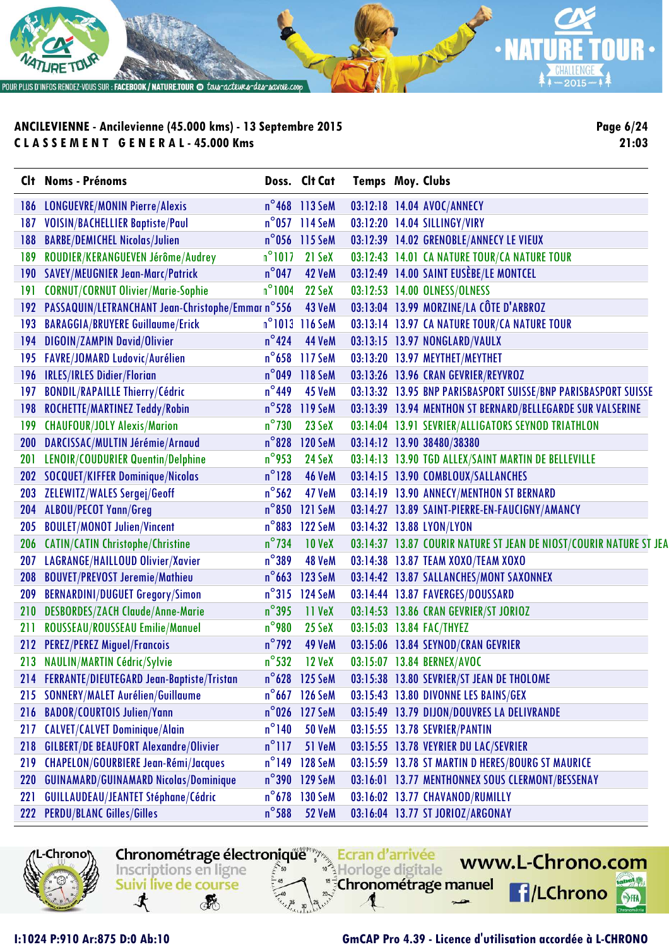

**Page 6/24 21:03**

| CI+ | <b>Noms - Prénoms</b>                                 |                 | Doss. Clt Cat           | <b>Temps Moy. Clubs</b> |                                                                    |
|-----|-------------------------------------------------------|-----------------|-------------------------|-------------------------|--------------------------------------------------------------------|
| 186 | <b>LONGUEVRE/MONIN Pierre/Alexis</b>                  |                 | $n^{\circ}$ 468 113 SeM |                         | 03:12:18 14.04 AVOC/ANNECY                                         |
| 187 | <b>VOISIN/BACHELLIER Baptiste/Paul</b>                |                 | $n^{\circ}$ 057 114 SeM |                         | 03:12:20 14.04 SILLINGY/VIRY                                       |
| 188 | <b>BARBE/DEMICHEL Nicolas/Julien</b>                  |                 | n°056 115 SeM           |                         | 03:12:39 14.02 GRENOBLE/ANNECY LE VIEUX                            |
| 189 | ROUDIER/KERANGUEVEN Jérôme/Audrey                     | $n^{\circ}1017$ | 21 SeX                  |                         | 03:12:43 14.01 CA NATURE TOUR/CA NATURE TOUR                       |
| 190 | <b>SAVEY/MEUGNIER Jean-Marc/Patrick</b>               | $n^{\circ}$ 047 | 42 VeM                  |                         | 03:12:49 14.00 SAINT EUSÈBE/LE MONTCEL                             |
| 191 | <b>CORNUT/CORNUT Olivier/Marie-Sophie</b>             | $n^{\circ}1004$ | 22 SeX                  |                         | 03:12:53 14.00 OLNESS/OLNESS                                       |
|     | 192 PASSAQUIN/LETRANCHANT Jean-Christophe/Emmar n°556 |                 | 43 VeM                  |                         | 03:13:04 13.99 MORZINE/LA CÔTE D'ARBROZ                            |
| 193 | <b>BARAGGIA/BRUYERE Guillaume/Erick</b>               |                 | $n^{\circ}1013$ 116 SeM |                         | 03:13:14 13.97 CA NATURE TOUR/CA NATURE TOUR                       |
| 194 | <b>DIGOIN/ZAMPIN David/Olivier</b>                    | $n^{\circ}$ 424 | <b>44 VeM</b>           |                         | 03:13:15 13.97 NONGLARD/VAULX                                      |
| 195 | <b>FAVRE/JOMARD Ludovic/Aurélien</b>                  |                 | n°658 117 SeM           |                         | 03:13:20 13.97 MEYTHET/MEYTHET                                     |
|     | 196 IRLES/IRLES Didier/Florian                        | $n^{\circ}$ 049 | 118 SeM                 |                         | 03:13:26 13.96 CRAN GEVRIER/REYVROZ                                |
| 197 | <b>BONDIL/RAPAILLE Thierry/Cédric</b>                 | $n^{\circ}$ 449 | 45 VeM                  |                         | 03:13:32 13.95 BNP PARISBASPORT SUISSE/BNP PARISBASPORT SUISSE     |
| 198 | ROCHETTE/MARTINEZ Teddy/Robin                         | $n^{\circ}$ 528 | 119 SeM                 |                         | 03:13:39 13.94 MENTHON ST BERNARD/BELLEGARDE SUR VALSERINE         |
| 199 | <b>CHAUFOUR/JOLY Alexis/Marion</b>                    | $n^{\circ}$ 730 | 23 SeX                  |                         | 03:14:04 13.91 SEVRIER/ALLIGATORS SEYNOD TRIATHLON                 |
| 200 | DARCISSAC/MULTIN Jérémie/Arnaud                       | $n^{\circ}$ 828 | <b>120 SeM</b>          |                         | 03:14:12 13.90 38480/38380                                         |
| 201 | <b>LENOIR/COUDURIER Quentin/Delphine</b>              | $n^{\circ}$ 953 | 24 SeX                  |                         | 03:14:13 13.90 TGD ALLEX/SAINT MARTIN DE BELLEVILLE                |
|     | 202 SOCQUET/KIFFER Dominique/Nicolas                  | $n^{\circ}128$  | <b>46 VeM</b>           |                         | 03:14:15 13.90 COMBLOUX/SALLANCHES                                 |
| 203 | <b>ZELEWITZ/WALES Sergej/Geoff</b>                    | $n^{\circ}$ 562 | 47 VeM                  |                         | 03:14:19 13.90 ANNECY/MENTHON ST BERNARD                           |
| 204 | <b>ALBOU/PECOT Yann/Greg</b>                          |                 | n°850 121 SeM           |                         | 03:14:27 13.89 SAINT-PIERRE-EN-FAUCIGNY/AMANCY                     |
| 205 | <b>BOULET/MONOT Julien/Vincent</b>                    | $n^{\circ}883$  | <b>122 SeM</b>          |                         | 03:14:32 13.88 LYON/LYON                                           |
| 206 | <b>CATIN/CATIN Christophe/Christine</b>               | $n^{\circ}$ 734 | <b>10 VeX</b>           |                         | 03:14:37 13.87 COURIR NATURE ST JEAN DE NIOST/COURIR NATURE ST JEA |
| 207 | LAGRANGE/HAILLOUD Olivier/Xavier                      | $n^{\circ}389$  | 48 VeM                  |                         | 03:14:38 13.87 TEAM XOXO/TEAM XOXO                                 |
| 208 | <b>BOUVET/PREVOST Jeremie/Mathieu</b>                 |                 | n°663 123 SeM           |                         | 03:14:42 13.87 SALLANCHES/MONT SAXONNEX                            |
| 209 | <b>BERNARDINI/DUGUET Gregory/Simon</b>                | $n^{\circ}315$  | 124 SeM                 |                         | 03:14:44 13.87 FAVERGES/DOUSSARD                                   |
| 210 | <b>DESBORDES/ZACH Claude/Anne-Marie</b>               | $n^{\circ}$ 395 | 11 VeX                  |                         | 03:14:53 13.86 CRAN GEVRIER/ST JORIOZ                              |
| 211 | ROUSSEAU/ROUSSEAU Emilie/Manuel                       | $n^{\circ}$ 980 | $25$ SeX                |                         | 03:15:03 13.84 FAC/THYEZ                                           |
|     | 212 PEREZ/PEREZ Miguel/Francois                       | $n^{\circ}$ 792 | 49 VeM                  |                         | 03:15:06 13.84 SEYNOD/CRAN GEVRIER                                 |
|     | 213 NAULIN/MARTIN Cédric/Sylvie                       | $n^{\circ}$ 532 | <b>12 VeX</b>           |                         | 03:15:07 13.84 BERNEX/AVOC                                         |
|     | 214 FERRANTE/DIEUTEGARD Jean-Baptiste/Tristan         |                 |                         |                         | n°628 125 SeM 03:15:38 13.80 SEVRIER/ST JEAN DE THOLOME            |
| 215 | <b>SONNERY/MALET Aurélien/Guillaume</b>               |                 | n°667 126 SeM           |                         | 03:15:43 13.80 DIVONNE LES BAINS/GEX                               |
| 216 | <b>BADOR/COURTOIS Julien/Yann</b>                     |                 | n°026 127 SeM           |                         | 03:15:49 13.79 DIJON/DOUVRES LA DELIVRANDE                         |
| 217 | <b>CALVET/CALVET Dominique/Alain</b>                  | $n^{\circ}$ 140 | <b>50 VeM</b>           |                         | 03:15:55 13.78 SEVRIER/PANTIN                                      |
| 218 | <b>GILBERT/DE BEAUFORT Alexandre/Olivier</b>          | $n^{\circ}$ 117 | 51 VeM                  |                         | 03:15:55 13.78 VEYRIER DU LAC/SEVRIER                              |
| 219 | <b>CHAPELON/GOURBIERE Jean-Rémi/Jacques</b>           | $n^{\circ}$ 149 | <b>128 SeM</b>          |                         | 03:15:59 13.78 ST MARTIN D HERES/BOURG ST MAURICE                  |
| 220 | <b>GUINAMARD/GUINAMARD Nicolas/Dominique</b>          |                 | n°390 129 SeM           |                         | 03:16:01 13.77 MENTHONNEX SOUS CLERMONT/BESSENAY                   |
| 221 | <b>GUILLAUDEAU/JEANTET Stéphane/Cédric</b>            | $n^{\circ}$ 678 | 130 SeM                 |                         | 03:16:02 13.77 CHAVANOD/RUMILLY                                    |
| 222 | <b>PERDU/BLANC Gilles/Gilles</b>                      | $n^{\circ}$ 588 | <b>52 VeM</b>           |                         | 03:16:04 13.77 ST JORIOZ/ARGONAY                                   |



Chronométrage électronique Ecran d'arrivée www.L-Chrono.com Horloge digitale "<sup>5</sup>Chronométrage manuel  $\mathbf{e}$ **f**/LChrono

SHA

Inscriptions en ligne

Suivi live de course

**RE** 

寸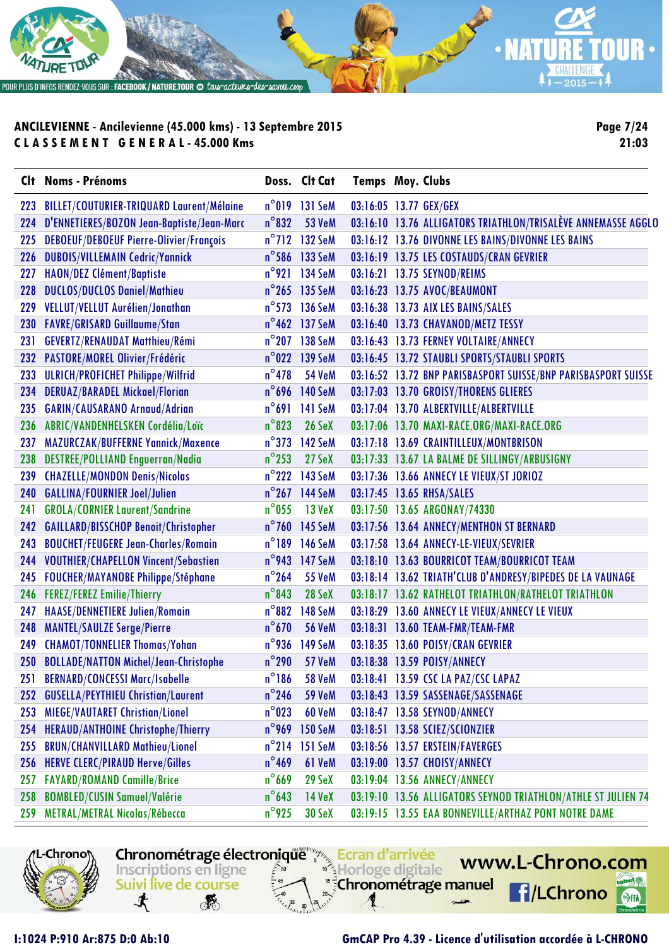

POUR PLUS D'INFOS RENDEZ-VOUS SUR : FACEBOOK / NATURE.TOUR @ tous-acteures-des-savoie.coop

# **ANCILEVIENNE - Ancilevienne (45.000 kms) - 13 Septembre 2015 C L A S S E M E N T G E N E R A L - 45.000 Kms**

**Page 7/24 21:03**

CHALLENGE  $*+2015-$ 

W

|     | Clt Noms - Prénoms                               |                 | Doss. Clt Cat           | <b>Temps Moy. Clubs</b> |                                                                |
|-----|--------------------------------------------------|-----------------|-------------------------|-------------------------|----------------------------------------------------------------|
| 223 | <b>BILLET/COUTURIER-TRIQUARD Laurent/Mélaine</b> |                 | $n^{\circ}019$ 131 SeM  | 03:16:05 13.77 GEX/GEX  |                                                                |
| 224 | D'ENNETIERES/BOZON Jean-Baptiste/Jean-Marc       | $n^{\circ}832$  | <b>53 VeM</b>           |                         | 03:16:10 13.76 ALLIGATORS TRIATHLON/TRISALÈVE ANNEMASSE AGGLO  |
| 225 | DEBOEUF/DEBOEUF Pierre-Olivier/François          |                 | n°712 132 SeM           |                         | 03:16:12 13.76 DIVONNE LES BAINS/DIVONNE LES BAINS             |
| 226 | <b>DUBOIS/VILLEMAIN Cedric/Yannick</b>           |                 | n°586 133 SeM           |                         | 03:16:19 13.75 LES COSTAUDS/CRAN GEVRIER                       |
| 227 | HAON/DEZ Clément/Baptiste                        |                 | n°921 134 SeM           |                         | 03:16:21 13.75 SEYNOD/REIMS                                    |
| 228 | <b>DUCLOS/DUCLOS Daniel/Mathieu</b>              |                 | $n^{\circ}$ 265 135 SeM |                         | 03:16:23 13.75 AVOC/BEAUMONT                                   |
| 229 | VELLUT/VELLUT Aurélien/Jonathan                  |                 | n°573 136 SeM           |                         | 03:16:38 13.73 AIX LES BAINS/SALES                             |
| 230 | <b>FAVRE/GRISARD Guillaume/Stan</b>              |                 | n°462 137 SeM           |                         | 03:16:40 13.73 CHAVANOD/METZ TESSY                             |
| 231 | GEVERTZ/RENAUDAT Matthieu/Rémi                   |                 | n°207 138 SeM           |                         | 03:16:43 13.73 FERNEY VOLTAIRE/ANNECY                          |
| 232 | PASTORE/MOREL Olivier/Frédéric                   |                 | $n^{\circ}$ 022 139 SeM |                         | 03:16:45 13.72 STAUBLI SPORTS/STAUBLI SPORTS                   |
| 233 | <b>ULRICH/PROFICHET Philippe/Wilfrid</b>         | $n^{\circ}$ 478 | <b>54 VeM</b>           |                         | 03:16:52 13.72 BNP PARISBASPORT SUISSE/BNP PARISBASPORT SUISSE |
| 234 | <b>DERUAZ/BARADEL Mickael/Florian</b>            |                 | n°696 140 SeM           |                         | 03:17:03 13.70 GROISY/THORENS GLIERES                          |
| 235 | <b>GARIN/CAUSARANO Arnaud/Adrian</b>             |                 | n°691 141 SeM           |                         | 03:17:04 13.70 ALBERTVILLE/ALBERTVILLE                         |
| 236 | ABRIC/VANDENHELSKEN Cordélia/Loïc                | $n^{\circ}823$  | <b>26 SeX</b>           |                         | 03:17:06 13.70 MAXI-RACE.ORG/MAXI-RACE.ORG                     |
| 237 | MAZURCZAK/BUFFERNE Yannick/Maxence               |                 | n°373 142 SeM           |                         | 03:17:18 13.69 CRAINTILLEUX/MONTBRISON                         |
| 238 | <b>DESTREE/POLLIAND Enguerran/Nadia</b>          | $n^{\circ}$ 253 | 27 SeX                  |                         | 03:17:33 13.67 LA BALME DE SILLINGY/ARBUSIGNY                  |
| 239 | <b>CHAZELLE/MONDON Denis/Nicolas</b>             |                 | n°222 143 SeM           |                         | 03:17:36 13.66 ANNECY LE VIEUX/ST JORIOZ                       |
| 240 | <b>GALLINA/FOURNIER Joel/Julien</b>              |                 | $n^{\circ}$ 267 144 SeM |                         | 03:17:45 13.65 RHSA/SALES                                      |
| 241 | <b>GROLA/CORNIER Laurent/Sandrine</b>            | $n^{\circ}$ 055 | $13$ VeX                |                         | 03:17:50 13.65 ARGONAY/74330                                   |
| 242 | <b>GAILLARD/BISSCHOP Benoit/Christopher</b>      |                 | n°760 145 SeM           |                         | 03:17:56 13.64 ANNECY/MENTHON ST BERNARD                       |
| 243 | <b>BOUCHET/FEUGERE Jean-Charles/Romain</b>       |                 | n°189 146 SeM           |                         | 03:17:58 13.64 ANNECY-LE-VIEUX/SEVRIER                         |
| 244 | <b>VOUTHIER/CHAPELLON Vincent/Sebastien</b>      |                 | n°943 147 SeM           |                         | 03:18:10 13.63 BOURRICOT TEAM/BOURRICOT TEAM                   |
| 245 | <b>FOUCHER/MAYANOBE Philippe/Stéphane</b>        | $n^{\circ}$ 264 | <b>55 VeM</b>           |                         | 03:18:14 13.62 TRIATH'CLUB D'ANDRESY/BIPEDES DE LA VAUNAGE     |
| 246 | <b>FEREZ/FEREZ Emilie/Thierry</b>                | $n^{\circ}843$  | 28 SeX                  |                         | 03:18:17 13.62 RATHELOT TRIATHLON/RATHELOT TRIATHLON           |
| 247 | HAASE/DENNETIERE Julien/Romain                   | $n^{\circ}$ 882 | 148 SeM                 |                         | 03:18:29 13.60 ANNECY LE VIEUX/ANNECY LE VIEUX                 |
| 248 | <b>MANTEL/SAULZE Serge/Pierre</b>                | $n^{\circ}$ 670 | <b>56 VeM</b>           |                         | 03:18:31 13.60 TEAM-FMR/TEAM-FMR                               |
| 249 | <b>CHAMOT/TONNELIER Thomas/Yohan</b>             |                 | n°936 149 SeM           |                         | 03:18:35 13.60 POISY/CRAN GEVRIER                              |
| 250 | <b>BOLLADE/NATTON Michel/Jean-Christophe</b>     | $n^{\circ}$ 290 | <b>57 VeM</b>           |                         | 03:18:38 13.59 POISY/ANNECY                                    |
| 251 | <b>BERNARD/CONCESSI Marc/Isabelle</b>            | $n^{\circ}$ 186 | <b>58 VeM</b>           |                         | 03:18:41 13.59 CSC LA PAZ/CSC LAPAZ                            |
| 252 | <b>GUSELLA/PEYTHIEU Christian/Laurent</b>        | $n^{\circ}$ 246 | <b>59 VeM</b>           |                         | 03:18:43 13.59 SASSENAGE/SASSENAGE                             |
| 253 | <b>MIEGE/VAUTARET Christian/Lionel</b>           | $n^{\circ}$ 023 | <b>60 VeM</b>           |                         | 03:18:47 13.58 SEYNOD/ANNECY                                   |
| 254 | <b>HERAUD/ANTHOINE Christophe/Thierry</b>        | $n^{\circ}$ 969 | <b>150 SeM</b>          |                         | 03:18:51 13.58 SCIEZ/SCIONZIER                                 |
| 255 | <b>BRUN/CHANVILLARD Mathieu/Lionel</b>           | $n^{\circ}$ 214 | <b>151 SeM</b>          |                         | 03:18:56 13.57 ERSTEIN/FAVERGES                                |
| 256 | <b>HERVE CLERC/PIRAUD Herve/Gilles</b>           | $n^{\circ}$ 469 | 61 VeM                  |                         | 03:19:00 13.57 CHOISY/ANNECY                                   |
| 257 | <b>FAYARD/ROMAND Camille/Brice</b>               | $n^{\circ}$ 669 | 29 SeX                  |                         | 03:19:04 13.56 ANNECY/ANNECY                                   |
| 258 | <b>BOMBLED/CUSIN Samuel/Valérie</b>              | $n^{\circ}$ 643 | $14$ VeX                |                         | 03:19:10 13.56 ALLIGATORS SEYNOD TRIATHLON/ATHLE ST JULIEN 74  |
| 259 | METRAL/METRAL Nicolas/Rébecca                    | $n^{\circ}$ 925 | 30 SeX                  |                         | 03:19:15 13.55 EAA BONNEVILLE/ARTHAZ PONT NOTRE DAME           |



Chronométrage électronique Finanzia Ecran d'arrivée Inscriptions en ligne Horloge digitale s<sup>5</sup>Chronométrage manuel Suivi live de course 寸 **RE** 

www.L-Chrono.com 49. **f**/LChrono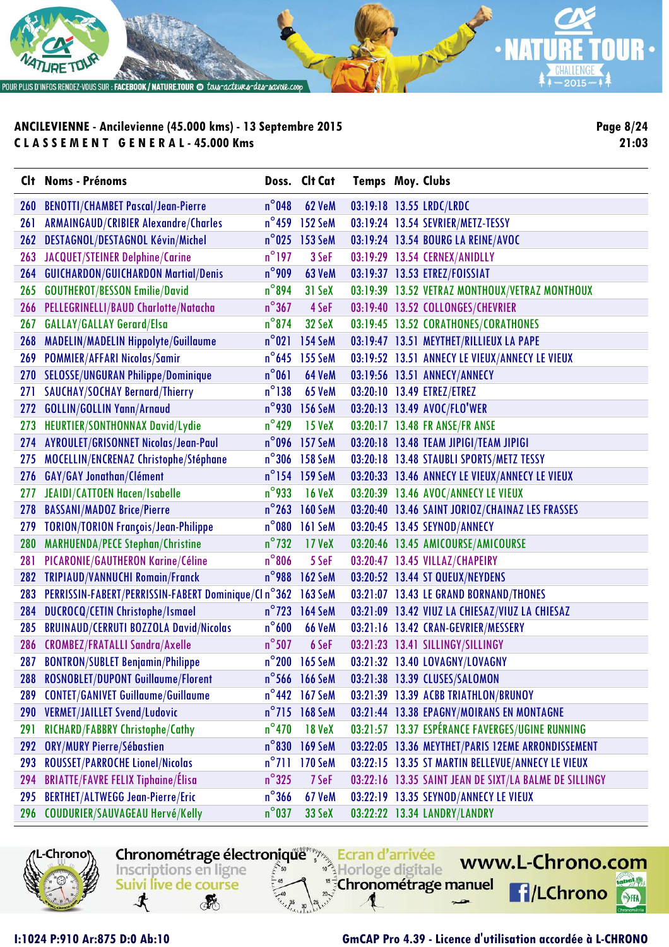

**Page 8/24 21:03**

|            | Clt Noms - Prénoms                                               |                 | Doss. Clt Cat           | <b>Temps Moy. Clubs</b> |                                                        |
|------------|------------------------------------------------------------------|-----------------|-------------------------|-------------------------|--------------------------------------------------------|
| <b>260</b> | <b>BENOTTI/CHAMBET Pascal/Jean-Pierre</b>                        | $n^{\circ}$ 048 | <b>62 VeM</b>           |                         | 03:19:18 13.55 LRDC/LRDC                               |
| 261        | <b>ARMAINGAUD/CRIBIER Alexandre/Charles</b>                      | $n^{\circ}$ 459 | 152 SeM                 |                         | 03:19:24 13.54 SEVRIER/METZ-TESSY                      |
| 262        | DESTAGNOL/DESTAGNOL Kévin/Michel                                 | $n^{\circ}$ 025 | 153 SeM                 |                         | 03:19:24 13.54 BOURG LA REINE/AVOC                     |
|            | 263 JACQUET/STEINER Delphine/Carine                              | $n^{\circ}$ 197 | 3 SeF                   |                         | 03:19:29 13.54 CERNEX/ANIDLLY                          |
| 264        | <b>GUICHARDON/GUICHARDON Martial/Denis</b>                       | $n^{\circ}$ 909 | 63 VeM                  |                         | 03:19:37 13.53 ETREZ/FOISSIAT                          |
| 265        | <b>GOUTHEROT/BESSON Emilie/David</b>                             | $n^{\circ}$ 894 | 31 SeX                  |                         | 03:19:39 13.52 VETRAZ MONTHOUX/VETRAZ MONTHOUX         |
|            | 266 PELLEGRINELLI/BAUD Charlotte/Natacha                         | $n^{\circ}367$  | 4 SeF                   |                         | 03:19:40 13.52 COLLONGES/CHEVRIER                      |
| 267        | <b>GALLAY/GALLAY Gerard/Elsa</b>                                 | $n^{\circ}$ 874 | 32 SeX                  |                         | 03:19:45 13.52 CORATHONES/CORATHONES                   |
|            | 268 MADELIN/MADELIN Hippolyte/Guillaume                          | $n^{\circ}021$  | <b>154 SeM</b>          |                         | 03:19:47 13.51 MEYTHET/RILLIEUX LA PAPE                |
| 269        | <b>POMMIER/AFFARI Nicolas/Samir</b>                              | $n^{\circ}$ 645 | 155 SeM                 |                         | 03:19:52 13.51 ANNECY LE VIEUX/ANNECY LE VIEUX         |
|            | 270 SELOSSE/UNGURAN Philippe/Dominique                           | $n^{\circ}061$  | 64 VeM                  |                         | 03:19:56 13.51 ANNECY/ANNECY                           |
| 271        | <b>SAUCHAY/SOCHAY Bernard/Thierry</b>                            | $n^{\circ}$ 138 | <b>65 VeM</b>           |                         | 03:20:10 13.49 ETREZ/ETREZ                             |
| 272        | <b>GOLLIN/GOLLIN Yann/Arnaud</b>                                 | $n^{\circ}$ 930 | <b>156 SeM</b>          |                         | 03:20:13 13.49 AVOC/FLO'WER                            |
| 273        | HEURTIER/SONTHONNAX David/Lydie                                  | $n^{\circ}$ 429 | <b>15 VeX</b>           |                         | 03:20:17 13.48 FR ANSE/FR ANSE                         |
| 274        | AYROULET/GRISONNET Nicolas/Jean-Paul                             | $n^{\circ}$ 096 | 157 SeM                 |                         | 03:20:18 13.48 TEAM JIPIGI/TEAM JIPIGI                 |
| 275        | MOCELLIN/ENCRENAZ Christophe/Stéphane                            | $n^{\circ}$ 306 | 158 SeM                 |                         | 03:20:18 13.48 STAUBLI SPORTS/METZ TESSY               |
| 276        | GAY/GAY Jonathan/Clément                                         | $n^{\circ}$ 154 | 159 SeM                 |                         | 03:20:33 13.46 ANNECY LE VIEUX/ANNECY LE VIEUX         |
| 277        | JEAIDI/CATTOEN Hacen/Isabelle                                    | $n^{\circ}$ 933 | <b>16 VeX</b>           |                         | 03:20:39 13.46 AVOC/ANNECY LE VIEUX                    |
| 278        | <b>BASSANI/MADOZ Brice/Pierre</b>                                | $n^{\circ}$ 263 | <b>160 SeM</b>          |                         | 03:20:40 13.46 SAINT JORIOZ/CHAINAZ LES FRASSES        |
| 279        | <b>TORION/TORION François/Jean-Philippe</b>                      | $n^{\circ}$ 080 | 161 SeM                 |                         | 03:20:45 13.45 SEYNOD/ANNECY                           |
| <b>280</b> | <b>MARHUENDA/PECE Stephan/Christine</b>                          | $n^{\circ}$ 732 | 17 VeX                  |                         | 03:20:46 13.45 AMICOURSE/AMICOURSE                     |
| 281        | PICARONIE/GAUTHERON Karine/Céline                                | $n^{\circ}806$  | 5 SeF                   |                         | 03:20:47 13.45 VILLAZ/CHAPEIRY                         |
| <b>282</b> | <b>TRIPIAUD/VANNUCHI Romain/Franck</b>                           | $n^{\circ}$ 988 | 162 SeM                 |                         | 03:20:52 13.44 ST QUEUX/NEYDENS                        |
|            | 283 PERRISSIN-FABERT/PERRISSIN-FABERT Dominique/Cl n°362 163 SeM |                 |                         |                         | 03:21:07 13.43 LE GRAND BORNAND/THONES                 |
| 284        | DUCROCQ/CETIN Christophe/Ismael                                  | $n^{\circ}$ 723 | <b>164 SeM</b>          |                         | 03:21:09 13.42 VIUZ LA CHIESAZ/VIUZ LA CHIESAZ         |
| 285        | <b>BRUINAUD/CERRUTI BOZZOLA David/Nicolas</b>                    | $n^{\circ}600$  | <b>66 VeM</b>           |                         | 03:21:16 13.42 CRAN-GEVRIER/MESSERY                    |
| 286        | <b>CROMBEZ/FRATALLI Sandra/Axelle</b>                            | $n^{\circ}$ 507 | 6 SeF                   |                         | 03:21:23 13.41 SILLINGY/SILLINGY                       |
|            | 287 BONTRON/SUBLET Benjamin/Philippe                             |                 | n°200 165 SeM           |                         | 03:21:32 13.40 LOVAGNY/LOVAGNY                         |
|            | 288 ROSNOBLET/DUPONT Guillaume/Florent                           |                 | $n^{\circ}$ 566 166 SeM |                         | 03:21:38 13.39 CLUSES/SALOMON                          |
| 289        | <b>CONTET/GANIVET Guillaume/Guillaume</b>                        |                 | n°442 167 SeM           |                         | 03:21:39 13.39 ACBB TRIATHLON/BRUNOY                   |
| <b>290</b> | <b>VERMET/JAILLET Svend/Ludovic</b>                              |                 | $n^{\circ}$ 715 168 SeM |                         | 03:21:44 13.38 EPAGNY/MOIRANS EN MONTAGNE              |
| 291        | RICHARD/FABBRY Christophe/Cathy                                  | $n^{\circ}470$  | <b>18 VeX</b>           |                         | 03:21:57 13.37 ESPÉRANCE FAVERGES/UGINE RUNNING        |
| 292        | <b>ORY/MURY Pierre/Sébastien</b>                                 | $n^{\circ}830$  | <b>169 SeM</b>          |                         | 03:22:05 13.36 MEYTHET/PARIS 12EME ARRONDISSEMENT      |
| 293        | <b>ROUSSET/PARROCHE Lionel/Nicolas</b>                           | $n^{\circ}$ 711 | 170 SeM                 |                         | 03:22:15 13.35 ST MARTIN BELLEVUE/ANNECY LE VIEUX      |
| 294        | <b>BRIATTE/FAVRE FELIX Tiphaine/Élisa</b>                        | $n^{\circ}325$  | 7 SeF                   |                         | 03:22:16 13.35 SAINT JEAN DE SIXT/LA BALME DE SILLINGY |
| 295        | <b>BERTHET/ALTWEGG Jean-Pierre/Eric</b>                          | $n^{\circ}$ 366 | <b>67 VeM</b>           |                         | 03:22:19 13.35 SEYNOD/ANNECY LE VIEUX                  |
| 296        | <b>COUDURIER/SAUVAGEAU Hervé/Kelly</b>                           | $n^{\circ}$ 037 | 33 SeX                  |                         | 03:22:22 13.34 LANDRY/LANDRY                           |



Chronométrage électronique Ecran d'arrivée www.L-Chrono.com Inscriptions en ligne Horloge digitale "<sup>5</sup>Chronométrage manuel Suivi live de course **f**/LChrono 寸 **RE** 

#### **I:1024 P:910 Ar:875 D:0 Ab:10 GmCAP Pro 4.39 - Licence d'utilisation accordée à L-CHRONO**

 $\mathbf{e}$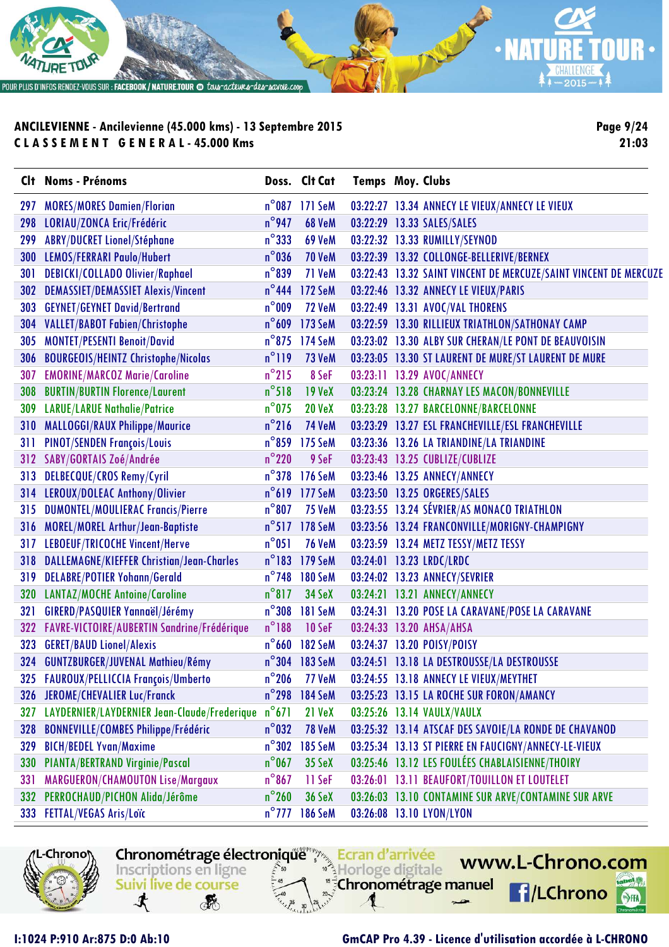

**Page 9/24 21:03**

|            | Clt Noms - Prénoms                           |                 | Doss. Clt Cat  | <b>Temps Moy. Clubs</b> |                                                                  |
|------------|----------------------------------------------|-----------------|----------------|-------------------------|------------------------------------------------------------------|
| 297        | <b>MORES/MORES Damien/Florian</b>            |                 | n°087 171 SeM  |                         | 03:22:27 13.34 ANNECY LE VIEUX/ANNECY LE VIEUX                   |
| 298        | LORIAU/ZONCA Eric/Frédéric                   | $n^{\circ}$ 947 | <b>68 VeM</b>  |                         | 03:22:29 13.33 SALES/SALES                                       |
| 299        | <b>ABRY/DUCRET Lionel/Stéphane</b>           | $n^{\circ}$ 333 | <b>69 VeM</b>  |                         | 03:22:32 13.33 RUMILLY/SEYNOD                                    |
| 300        | <b>LEMOS/FERRARI Paulo/Hubert</b>            | $n^{\circ}$ 036 | <b>70 VeM</b>  |                         | 03:22:39 13.32 COLLONGE-BELLERIVE/BERNEX                         |
| 301        | DEBICKI/COLLADO Olivier/Raphael              | $n^{\circ}839$  | 71 VeM         |                         | 03:22:43 13.32 SAINT VINCENT DE MERCUZE/SAINT VINCENT DE MERCUZE |
| <b>302</b> | <b>DEMASSIET/DEMASSIET Alexis/Vincent</b>    | $n^{\circ}$ 444 | 172 SeM        |                         | 03:22:46 13.32 ANNECY LE VIEUX/PARIS                             |
| 303        | <b>GEYNET/GEYNET David/Bertrand</b>          | $n^{\circ}$ 009 | <b>72 VeM</b>  |                         | 03:22:49 13.31 AVOC/VAL THORENS                                  |
| 304        | <b>VALLET/BABOT Fabien/Christophe</b>        | $n^{\circ}$ 609 | 173 SeM        |                         | 03:22:59 13.30 RILLIEUX TRIATHLON/SATHONAY CAMP                  |
| 305        | <b>MONTET/PESENTI Benoit/David</b>           |                 | n°875 174 SeM  |                         | 03:23:02 13.30 ALBY SUR CHERAN/LE PONT DE BEAUVOISIN             |
| 306        | <b>BOURGEOIS/HEINTZ Christophe/Nicolas</b>   | $n^{\circ}119$  | 73 VeM         |                         | 03:23:05 13.30 ST LAURENT DE MURE/ST LAURENT DE MURE             |
| 307        | <b>EMORINE/MARCOZ Marie/Caroline</b>         | $n^{\circ}$ 215 | 8 SeF          |                         | 03:23:11 13.29 AVOC/ANNECY                                       |
| 308        | <b>BURTIN/BURTIN Florence/Laurent</b>        | $n^{\circ}518$  | <b>19 VeX</b>  |                         | 03:23:24 13.28 CHARNAY LES MACON/BONNEVILLE                      |
| 309        | <b>LARUE/LARUE Nathalie/Patrice</b>          | $n^{\circ}$ 075 | <b>20 VeX</b>  |                         | 03:23:28 13.27 BARCELONNE/BARCELONNE                             |
| 310        | <b>MALLOGGI/RAUX Philippe/Maurice</b>        | $n^{\circ}$ 216 | <b>74 VeM</b>  |                         | 03:23:29 13.27 ESL FRANCHEVILLE/ESL FRANCHEVILLE                 |
| 311        | <b>PINOT/SENDEN François/Louis</b>           | $n^{\circ}$ 859 | 175 SeM        |                         | 03:23:36 13.26 LA TRIANDINE/LA TRIANDINE                         |
|            | 312 SABY/GORTAIS Zoé/Andrée                  | $n^{\circ}$ 220 | 9 SeF          |                         | 03:23:43 13.25 CUBLIZE/CUBLIZE                                   |
| 313        | DELBECQUE/CROS Remy/Cyril                    |                 | n°378 176 SeM  |                         | 03:23:46 13.25 ANNECY/ANNECY                                     |
| 314        | LEROUX/DOLEAC Anthony/Olivier                |                 | n°619 177 SeM  |                         | 03:23:50 13.25 ORGERES/SALES                                     |
| 315        | <b>DUMONTEL/MOULIERAC Francis/Pierre</b>     | $n^{\circ}807$  | <b>75 VeM</b>  |                         | 03:23:55 13.24 SÉVRIER/AS MONACO TRIATHLON                       |
| 316        | <b>MOREL/MOREL Arthur/Jean-Baptiste</b>      |                 | n°517 178 SeM  |                         | 03:23:56 13.24 FRANCONVILLE/MORIGNY-CHAMPIGNY                    |
| 317        | LEBOEUF/TRICOCHE Vincent/Herve               | $n^{\circ}051$  | <b>76 VeM</b>  |                         | 03:23:59 13.24 METZ TESSY/METZ TESSY                             |
| 318        | DALLEMAGNE/KIEFFER Christian/Jean-Charles    | $n^{\circ}183$  | 179 SeM        |                         | 03:24:01 13.23 LRDC/LRDC                                         |
| 319        | <b>DELABRE/POTIER Yohann/Gerald</b>          | $n^{\circ}$ 748 | <b>180 SeM</b> |                         | 03:24:02 13.23 ANNECY/SEVRIER                                    |
| 320        | <b>LANTAZ/MOCHE Antoine/Caroline</b>         | $n^{\circ}817$  | <b>34 SeX</b>  |                         | 03:24:21 13.21 ANNECY/ANNECY                                     |
| 321        | GIRERD/PASQUIER Yannaël/Jérémy               | $n^{\circ}308$  | 181 SeM        |                         | 03:24:31 13.20 POSE LA CARAVANE/POSE LA CARAVANE                 |
| 322        | FAVRE-VICTOIRE/AUBERTIN Sandrine/Frédérique  | $n^{\circ}188$  | 10 SeF         |                         | 03:24:33 13.20 AHSA/AHSA                                         |
| 323        | <b>GERET/BAUD Lionel/Alexis</b>              |                 | n°660 182 SeM  |                         | 03:24:37 13.20 POISY/POISY                                       |
|            | 324 GUNTZBURGER/JUVENAL Mathieu/Rémy         |                 | n°304 183 SeM  |                         | 03:24:51 13.18 LA DESTROUSSE/LA DESTROUSSE                       |
|            | 325 FAUROUX/PELLICCIA François/Umberto       |                 | n°206 77 VeM   |                         | 03:24:55 13.18 ANNECY LE VIEUX/MEYTHET                           |
|            | 326 JEROME/CHEVALIER Luc/Franck              | $n^{\circ}$ 298 | <b>184 SeM</b> |                         | 03:25:23 13.15 LA ROCHE SUR FORON/AMANCY                         |
| 327        | LAYDERNIER/LAYDERNIER Jean-Claude/Frederique | $n^{\circ}671$  | 21 VeX         |                         | 03:25:26 13.14 VAULX/VAULX                                       |
| 328        | <b>BONNEVILLE/COMBES Philippe/Frédéric</b>   | $n^{\circ}$ 032 | <b>78 VeM</b>  |                         | 03:25:32 13.14 ATSCAF DES SAVOIE/LA RONDE DE CHAVANOD            |
| 329        | <b>BICH/BEDEL Yvan/Maxime</b>                | $n^{\circ}302$  | 185 SeM        |                         | 03:25:34 13.13 ST PIERRE EN FAUCIGNY/ANNECY-LE-VIEUX             |
| <b>330</b> | <b>PIANTA/BERTRAND Virginie/Pascal</b>       | $n^{\circ}$ 067 | 35 SeX         |                         | 03:25:46 13.12 LES FOULÉES CHABLAISIENNE/THOIRY                  |
| 331        | MARGUERON/CHAMOUTON Lise/Margaux             | $n^{\circ}867$  | 11 SeF         |                         | 03:26:01 13.11 BEAUFORT/TOUILLON ET LOUTELET                     |
| 332        | PERROCHAUD/PICHON Alida/Jérôme               | $n^{\circ}260$  | <b>36 SeX</b>  |                         | 03:26:03 13.10 CONTAMINE SUR ARVE/CONTAMINE SUR ARVE             |
| 333        | FETTAL/VEGAS Aris/Loïc                       | $n^{\circ}$ 777 | <b>186 SeM</b> |                         | 03:26:08 13.10 LYON/LYON                                         |

Chronométrage électronique Ecran d'arrivée

Horloge digitale

"<sup>5</sup>Chronométrage manuel

Inscriptions en ligne

Suivi live de course

**RE** 

寸

-Chrono

#### **I:1024 P:910 Ar:875 D:0 Ab:10 GmCAP Pro 4.39 - Licence d'utilisation accordée à L-CHRONO**

www.L-Chrono.com

**f**/LChrono

 $\mathbf{e}$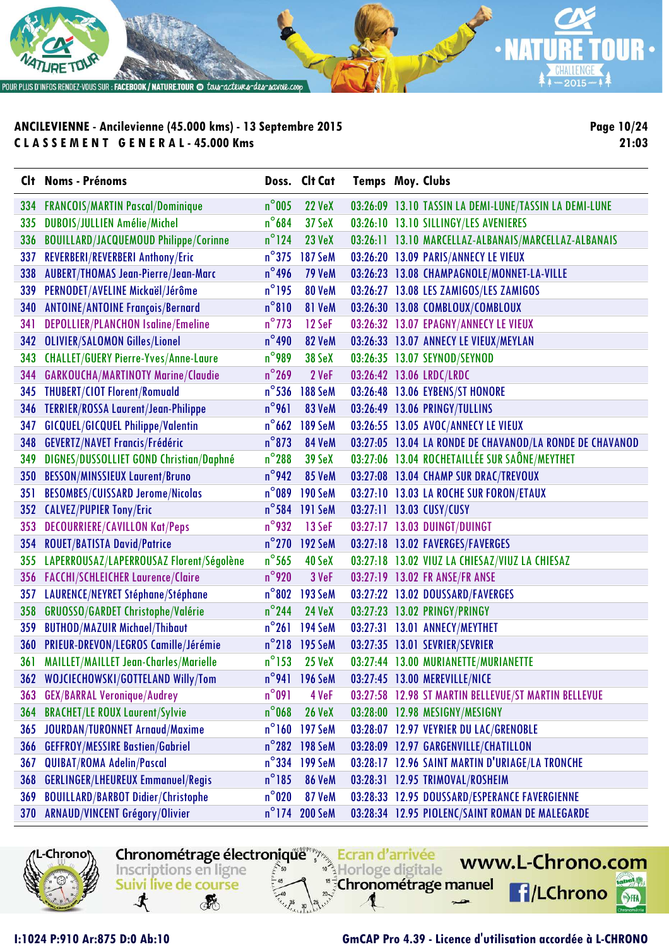

**Page 10/24 21:03**

|     | Clt Noms - Prénoms                           |                 | Doss. Clt Cat  | <b>Temps Moy. Clubs</b> |                                                          |
|-----|----------------------------------------------|-----------------|----------------|-------------------------|----------------------------------------------------------|
|     | 334 FRANCOIS/MARTIN Pascal/Dominique         | $n^{\circ}$ 005 | <b>22 VeX</b>  |                         | 03:26:09 13.10 TASSIN LA DEMI-LUNE/TASSIN LA DEMI-LUNE   |
| 335 | DUBOIS/JULLIEN Amélie/Michel                 | $n^{\circ}$ 684 | 37 SeX         |                         | 03:26:10 13.10 SILLINGY/LES AVENIERES                    |
| 336 | <b>BOUILLARD/JACQUEMOUD Philippe/Corinne</b> | $n^{\circ}$ 124 | <b>23 VeX</b>  |                         | 03:26:11 13.10 MARCELLAZ-ALBANAIS/MARCELLAZ-ALBANAIS     |
| 337 | REVERBERI/REVERBERI Anthony/Eric             | $n^{\circ}375$  | <b>187 SeM</b> |                         | 03:26:20 13.09 PARIS/ANNECY LE VIEUX                     |
| 338 | <b>AUBERT/THOMAS Jean-Pierre/Jean-Marc</b>   | $n^{\circ}$ 496 | <b>79 VeM</b>  |                         | 03:26:23 13.08 CHAMPAGNOLE/MONNET-LA-VILLE               |
| 339 | PERNODET/AVELINE Mickaël/Jérôme              | $n^{\circ}$ 195 | 80 VeM         |                         | 03:26:27 13.08 LES ZAMIGOS/LES ZAMIGOS                   |
| 340 | <b>ANTOINE/ANTOINE François/Bernard</b>      | $n^{\circ}810$  | 81 VeM         |                         | 03:26:30 13.08 COMBLOUX/COMBLOUX                         |
| 341 | <b>DEPOLLIER/PLANCHON Isaline/Emeline</b>    | $n^{\circ}$ 773 | 12 SeF         |                         | 03:26:32 13.07 EPAGNY/ANNECY LE VIEUX                    |
|     | 342 OLIVIER/SALOMON Gilles/Lionel            | $n^{\circ}$ 490 | 82 VeM         |                         | 03:26:33 13.07 ANNECY LE VIEUX/MEYLAN                    |
|     | 343 CHALLET/GUERY Pierre-Yves/Anne-Laure     | $n^{\circ}$ 989 | 38 SeX         |                         | 03:26:35 13.07 SEYNOD/SEYNOD                             |
|     | 344 GARKOUCHA/MARTINOTY Marine/Claudie       | $n^{\circ}$ 269 | 2 VeF          |                         | 03:26:42 13.06 LRDC/LRDC                                 |
|     | 345 THUBERT/CIOT Florent/Romuald             | $n^{\circ}$ 536 | <b>188 SeM</b> |                         | 03:26:48 13.06 EYBENS/ST HONORE                          |
|     | 346 TERRIER/ROSSA Laurent/Jean-Philippe      | $n^{\circ}$ 961 | 83 VeM         |                         | 03:26:49 13.06 PRINGY/TULLINS                            |
| 347 | <b>GICQUEL/GICQUEL Philippe/Valentin</b>     | $n^{\circ}$ 662 | <b>189 SeM</b> |                         | 03:26:55 13.05 AVOC/ANNECY LE VIEUX                      |
|     | 348 GEVERTZ/NAVET Francis/Frédéric           | $n^{\circ}$ 873 | 84 VeM         |                         | 03:27:05 13.04 LA RONDE DE CHAVANOD/LA RONDE DE CHAVANOD |
| 349 | DIGNES/DUSSOLLIET GOND Christian/Daphné      | $n^{\circ}288$  | <b>39 SeX</b>  |                         | 03:27:06 13.04 ROCHETAILLÉE SUR SAÔNE/MEYTHET            |
|     | 350 BESSON/MINSSIEUX Laurent/Bruno           | $n^{\circ}$ 942 | 85 VeM         |                         | 03:27:08 13.04 CHAMP SUR DRAC/TREVOUX                    |
| 351 | <b>BESOMBES/CUISSARD Jerome/Nicolas</b>      | $n^{\circ}$ 089 | <b>190 SeM</b> |                         | 03:27:10 13.03 LA ROCHE SUR FORON/ETAUX                  |
|     | 352 CALVEZ/PUPIER Tony/Eric                  | $n^{\circ}$ 584 | <b>191 SeM</b> |                         | 03:27:11 13.03 CUSY/CUSY                                 |
|     | 353 DECOURRIERE/CAVILLON Kat/Peps            | $n^{\circ}$ 932 | 13 SeF         |                         | 03:27:17 13.03 DUINGT/DUINGT                             |
|     | 354 ROUET/BATISTA David/Patrice              | $n^{\circ}$ 270 | <b>192 SeM</b> |                         | 03:27:18 13.02 FAVERGES/FAVERGES                         |
|     | 355 LAPERROUSAZ/LAPERROUSAZ Florent/Ségolène | $n^{\circ}$ 565 | 40 SeX         |                         | 03:27:18 13.02 VIUZ LA CHIESAZ/VIUZ LA CHIESAZ           |
|     | 356 FACCHI/SCHLEICHER Laurence/Claire        | $n^{\circ}$ 920 | 3 VeF          |                         | 03:27:19 13.02 FR ANSE/FR ANSE                           |
| 357 | LAURENCE/NEYRET Stéphane/Stéphane            | $n^{\circ}802$  | 193 SeM        |                         | 03:27:22 13.02 DOUSSARD/FAVERGES                         |
|     | 358 GRUOSSO/GARDET Christophe/Valérie        | $n^{\circ}$ 244 | <b>24 VeX</b>  |                         | 03:27:23 13.02 PRINGY/PRINGY                             |
| 359 | <b>BUTHOD/MAZUIR Michael/Thibaut</b>         | $n^{\circ}261$  | <b>194 SeM</b> |                         | 03:27:31 13.01 ANNECY/MEYTHET                            |
|     | 360 PRIEUR-DREVON/LEGROS Camille/Jérémie     |                 | n°218 195 SeM  |                         | 03:27:35 13.01 SEVRIER/SEVRIER                           |
|     | 361 MAILLET/MAILLET Jean-Charles/Marielle    | $n^{\circ}$ 153 | $25$ VeX       |                         | 03:27:44 13.00 MURIANETTE/MURIANETTE                     |
|     | 362 WOJCIECHOWSKI/GOTTELAND Willy/Tom        |                 | n°941 196 SeM  |                         | 03:27:45 13.00 MEREVILLE/NICE                            |
|     | 363 GEX/BARRAL Veronique/Audrey              | $n^{\circ}091$  | 4 VeF          |                         | 03:27:58 12.98 ST MARTIN BELLEVUE/ST MARTIN BELLEVUE     |
| 364 | <b>BRACHET/LE ROUX Laurent/Sylvie</b>        | $n^{\circ}$ 068 | <b>26 VeX</b>  |                         | 03:28:00 12.98 MESIGNY/MESIGNY                           |
| 365 | <b>JOURDAN/TURONNET Arnaud/Maxime</b>        |                 | n°160 197 SeM  |                         | 03:28:07 12.97 VEYRIER DU LAC/GRENOBLE                   |
| 366 | <b>GEFFROY/MESSIRE Bastien/Gabriel</b>       |                 | n°282 198 SeM  |                         | 03:28:09 12.97 GARGENVILLE/CHATILLON                     |
| 367 | <b>QUIBAT/ROMA Adelin/Pascal</b>             | $n^{\circ}$ 334 | <b>199 SeM</b> |                         | 03:28:17 12.96 SAINT MARTIN D'URIAGE/LA TRONCHE          |
| 368 | <b>GERLINGER/LHEUREUX Emmanuel/Regis</b>     | $n^{\circ}185$  | <b>86 VeM</b>  |                         | 03:28:31 12.95 TRIMOVAL/ROSHEIM                          |
| 369 | <b>BOUILLARD/BARBOT Didier/Christophe</b>    | $n^{\circ}$ 020 | 87 VeM         |                         | 03:28:33 12.95 DOUSSARD/ESPERANCE FAVERGIENNE            |
| 370 | ARNAUD/VINCENT Grégory/Olivier               |                 | n°174 200 SeM  |                         | 03:28:34 12.95 PIOLENC/SAINT ROMAN DE MALEGARDE          |



寸 **RE** 

Inscriptions en ligne

Suivi live de course

Chronométrage électronique Ecran d'arrivée

Horloge digitale

"<sup>5</sup>Chronométrage manuel

### **I:1024 P:910 Ar:875 D:0 Ab:10 GmCAP Pro 4.39 - Licence d'utilisation accordée à L-CHRONO**

www.L-Chrono.com

**f**/LChrono

 $\mathbf{e}$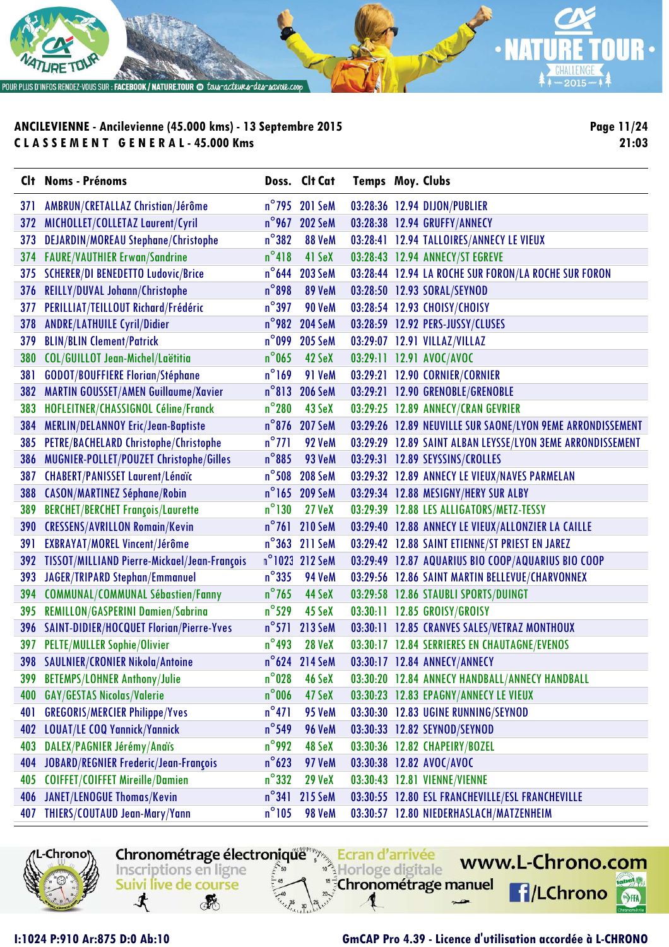

**Page 11/24 21:03**

|            | Clt Noms - Prénoms                           |                 | Doss. Clt Cat  | <b>Temps Moy. Clubs</b> |                                                            |
|------------|----------------------------------------------|-----------------|----------------|-------------------------|------------------------------------------------------------|
| 371        | AMBRUN/CRETALLAZ Christian/Jérôme            |                 | n°795 201 SeM  |                         | 03:28:36 12.94 DIJON/PUBLIER                               |
| 372        | MICHOLLET/COLLETAZ Laurent/Cyril             | $n^{\circ}$ 967 | <b>202 SeM</b> |                         | 03:28:38 12.94 GRUFFY/ANNECY                               |
| 373        | <b>DEJARDIN/MOREAU Stephane/Christophe</b>   | $n^{\circ}382$  | 88 VeM         |                         | 03:28:41 12.94 TALLOIRES/ANNECY LE VIEUX                   |
| 374        | <b>FAURE/VAUTHIER Erwan/Sandrine</b>         | $n^{\circ}418$  | 41 SeX         |                         | 03:28:43 12.94 ANNECY/ST EGREVE                            |
|            | 375 SCHERER/DI BENEDETTO Ludovic/Brice       | $n^{\circ}$ 644 | <b>203 SeM</b> |                         | 03:28:44 12.94 LA ROCHE SUR FORON/LA ROCHE SUR FORON       |
| 376        | REILLY/DUVAL Johann/Christophe               | $n^{\circ}$ 898 | 89 VeM         |                         | 03:28:50 12.93 SORAL/SEYNOD                                |
| 377        | PERILLIAT/TEILLOUT Richard/Frédéric          | $n^{\circ}$ 397 | 90 VeM         |                         | 03:28:54 12.93 CHOISY/CHOISY                               |
| 378        | <b>ANDRE/LATHUILE Cyril/Didier</b>           | $n^{\circ}$ 982 | <b>204 SeM</b> |                         | 03:28:59 12.92 PERS-JUSSY/CLUSES                           |
| 379        | <b>BLIN/BLIN Clement/Patrick</b>             | $n^{\circ}$ 099 | <b>205 SeM</b> |                         | 03:29:07 12.91 VILLAZ/VILLAZ                               |
| 380        | COL/GUILLOT Jean-Michel/Laëtitia             | $n^{\circ}$ 065 | 42 SeX         |                         | 03:29:11 12.91 AVOC/AVOC                                   |
| 381        | GODOT/BOUFFIERE Florian/Stéphane             | $n^{\circ}$ 169 | 91 VeM         |                         | 03:29:21 12.90 CORNIER/CORNIER                             |
| 382        | <b>MARTIN GOUSSET/AMEN Guillaume/Xavier</b>  | $n^{\circ}813$  | <b>206 SeM</b> |                         | 03:29:21 12.90 GRENOBLE/GRENOBLE                           |
| 383        | HOFLEITNER/CHASSIGNOL Céline/Franck          | $n^{\circ}$ 280 | 43 SeX         |                         | 03:29:25 12.89 ANNECY/CRAN GEVRIER                         |
| 384        | MERLIN/DELANNOY Eric/Jean-Baptiste           | $n^{\circ}$ 876 | <b>207 SeM</b> |                         | 03:29:26 12.89 NEUVILLE SUR SAONE/LYON 9EME ARRONDISSEMENT |
| 385        | PETRE/BACHELARD Christophe/Christophe        | $n^{\circ}$ 771 | 92 VeM         |                         | 03:29:29 12.89 SAINT ALBAN LEYSSE/LYON 3EME ARRONDISSEMENT |
| 386        | MUGNIER-POLLET/POUZET Christophe/Gilles      | $n^{\circ}885$  | 93 VeM         |                         | 03:29:31 12.89 SEYSSINS/CROLLES                            |
| 387        | <b>CHABERT/PANISSET Laurent/Lénaïc</b>       | $n^{\circ}$ 508 | <b>208 SeM</b> |                         | 03:29:32 12.89 ANNECY LE VIEUX/NAVES PARMELAN              |
| 388        | <b>CASON/MARTINEZ Séphane/Robin</b>          |                 | n°165 209 SeM  |                         | 03:29:34 12.88 MESIGNY/HERY SUR ALBY                       |
| 389        | <b>BERCHET/BERCHET François/Laurette</b>     | $n^{\circ}$ 130 | <b>27 VeX</b>  |                         | 03:29:39 12.88 LES ALLIGATORS/METZ-TESSY                   |
| <b>390</b> | <b>CRESSENS/AVRILLON Romain/Kevin</b>        | $n^{\circ}$ 761 | <b>210 SeM</b> |                         | 03:29:40 12.88 ANNECY LE VIEUX/ALLONZIER LA CAILLE         |
| 391        | <b>EXBRAYAT/MOREL Vincent/Jérôme</b>         |                 | n°363 211 SeM  |                         | 03:29:42 12.88 SAINT ETIENNE/ST PRIEST EN JAREZ            |
| 392        | TISSOT/MILLIAND Pierre-Mickael/Jean-François |                 | n°1023 212 SeM |                         | 03:29:49 12.87 AQUARIUS BIO COOP/AQUARIUS BIO COOP         |
| 393        | JAGER/TRIPARD Stephan/Emmanuel               | $n^{\circ}$ 335 | 94 VeM         |                         | 03:29:56 12.86 SAINT MARTIN BELLEVUE/CHARVONNEX            |
| 394        | <b>COMMUNAL/COMMUNAL Sébastien/Fanny</b>     | $n^{\circ}$ 765 | 44 SeX         |                         | 03:29:58 12.86 STAUBLI SPORTS/DUINGT                       |
| 395        | <b>REMILLON/GASPERINI Damien/Sabrina</b>     | $n^{\circ}$ 529 | 45 SeX         |                         | 03:30:11 12.85 GROISY/GROISY                               |
|            | 396 SAINT-DIDIER/HOCQUET Florian/Pierre-Yves | $n^{\circ}571$  | 213 SeM        |                         | 03:30:11 12.85 CRANVES SALES/VETRAZ MONTHOUX               |
| 397        | <b>PELTE/MULLER Sophie/Olivier</b>           | $n^{\circ}$ 493 | <b>28 VeX</b>  |                         | 03:30:17 12.84 SERRIERES EN CHAUTAGNE/EVENOS               |
|            | 398 SAULNIER/CRONIER Nikola/Antoine          |                 | n°624 214 SeM  |                         | 03:30:17 12.84 ANNECY/ANNECY                               |
|            | 399 BETEMPS/LOHNER Anthony/Julie             | $n^{\circ}028$  | 46 SeX         |                         | 03:30:20 12.84 ANNECY HANDBALL/ANNECY HANDBALL             |
| 400        | <b>GAY/GESTAS Nicolas/Valerie</b>            | $n^{\circ}$ 006 | 47 SeX         |                         | 03:30:23 12.83 EPAGNY/ANNECY LE VIEUX                      |
| 401        | <b>GREGORIS/MERCIER Philippe/Yves</b>        | $n^{\circ}471$  | <b>95 VeM</b>  |                         | 03:30:30 12.83 UGINE RUNNING/SEYNOD                        |
| 402        | <b>LOUAT/LE COQ Yannick/Yannick</b>          | $n^{\circ}$ 549 | 96 VeM         |                         | 03:30:33 12.82 SEYNOD/SEYNOD                               |
| 403        | DALEX/PAGNIER Jérémy/Anaïs                   | $n^{\circ}$ 992 | 48 SeX         |                         | 03:30:36 12.82 CHAPEIRY/BOZEL                              |
| 404        | JOBARD/REGNIER Frederic/Jean-François        | $n^{\circ}$ 623 | 97 VeM         |                         | 03:30:38 12.82 AVOC/AVOC                                   |
| 405        | <b>COIFFET/COIFFET Mireille/Damien</b>       | $n^{\circ}$ 332 | <b>29 VeX</b>  |                         | 03:30:43 12.81 VIENNE/VIENNE                               |
| 406        | <b>JANET/LENOGUE Thomas/Kevin</b>            | $n^{\circ}341$  | <b>215 SeM</b> |                         | 03:30:55 12.80 ESL FRANCHEVILLE/ESL FRANCHEVILLE           |
| 407        | THIERS/COUTAUD Jean-Mary/Yann                | $n^{\circ}105$  | <b>98 VeM</b>  |                         | 03:30:57 12.80 NIEDERHASLACH/MATZENHEIM                    |

Chronométrage électronique Ecran d'arrivée

Horloge digitale

"<sup>5</sup>Chronométrage manuel

Inscriptions en ligne

Suivi live de course

**RE** 

寸

-Chrono

**I:1024 P:910 Ar:875 D:0 Ab:10 GmCAP Pro 4.39 - Licence d'utilisation accordée à L-CHRONO**

www.L-Chrono.com

**f**/LChrono

 $\mathbf{e}$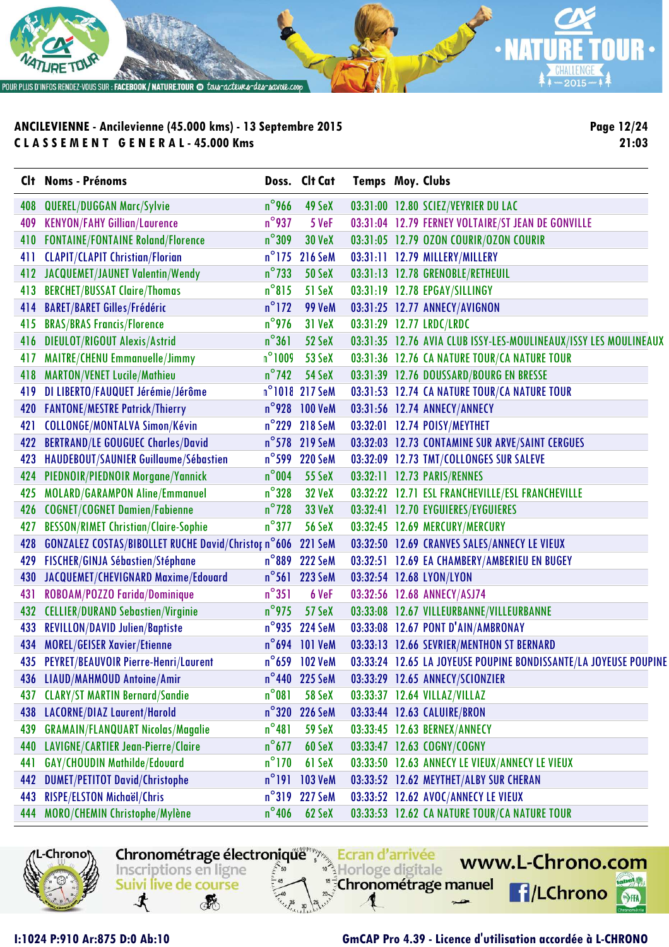

**Page 12/24 21:03**

|     | Clt Noms - Prénoms                                          |                 | Doss. Clt Cat           | <b>Temps Moy. Clubs</b> |                                                                  |
|-----|-------------------------------------------------------------|-----------------|-------------------------|-------------------------|------------------------------------------------------------------|
| 408 | <b>QUEREL/DUGGAN Marc/Sylvie</b>                            | $n^{\circ}$ 966 | 49 SeX                  |                         | 03:31:00 12.80 SCIEZ/VEYRIER DU LAC                              |
| 409 | <b>KENYON/FAHY Gillian/Laurence</b>                         | $n^{\circ}$ 937 | 5 VeF                   |                         | 03:31:04 12.79 FERNEY VOLTAIRE/ST JEAN DE GONVILLE               |
| 410 | <b>FONTAINE/FONTAINE Roland/Florence</b>                    | $n^{\circ}309$  | <b>30 VeX</b>           |                         | 03:31:05 12.79 0ZON COURIR/0ZON COURIR                           |
| 411 | <b>CLAPIT/CLAPIT Christian/Florian</b>                      |                 | n°175 216 SeM           |                         | 03:31:11 12.79 MILLERY/MILLERY                                   |
| 412 | JACQUEMET/JAUNET Valentin/Wendy                             | $n^{\circ}$ 733 | <b>50 SeX</b>           |                         | 03:31:13 12.78 GRENOBLE/RETHEUIL                                 |
| 413 | <b>BERCHET/BUSSAT Claire/Thomas</b>                         | $n^{\circ}815$  | 51 SeX                  |                         | 03:31:19 12.78 EPGAY/SILLINGY                                    |
| 414 | <b>BARET/BARET Gilles/Frédéric</b>                          | $n^{\circ}$ 172 | <b>99 VeM</b>           |                         | 03:31:25 12.77 ANNECY/AVIGNON                                    |
| 415 | <b>BRAS/BRAS Francis/Florence</b>                           | $n^{\circ}$ 976 | <b>31 VeX</b>           |                         | 03:31:29 12.77 LRDC/LRDC                                         |
| 416 | <b>DIEULOT/RIGOUT Alexis/Astrid</b>                         | $n^{\circ}361$  | 52 SeX                  |                         | 03:31:35 12.76 AVIA CLUB ISSY-LES-MOULINEAUX/ISSY LES MOULINEAUX |
| 417 | <b>MAITRE/CHENU Emmanuelle/Jimmy</b>                        | $n^{\circ}1009$ | 53 SeX                  |                         | 03:31:36 12.76 CA NATURE TOUR/CA NATURE TOUR                     |
| 418 | <b>MARTON/VENET Lucile/Mathieu</b>                          | $n^{\circ}$ 742 | 54 SeX                  |                         | 03:31:39 12.76 DOUSSARD/BOURG EN BRESSE                          |
| 419 | DI LIBERTO/FAUQUET Jérémie/Jérôme                           |                 | n°1018 217 SeM          |                         | 03:31:53 12.74 CA NATURE TOUR/CA NATURE TOUR                     |
| 420 | <b>FANTONE/MESTRE Patrick/Thierry</b>                       |                 | n°928 100 VeM           |                         | 03:31:56 12.74 ANNECY/ANNECY                                     |
| 421 | <b>COLLONGE/MONTALVA Simon/Kévin</b>                        |                 | n°229 218 SeM           |                         | 03:32:01 12.74 POISY/MEYTHET                                     |
| 422 | <b>BERTRAND/LE GOUGUEC Charles/David</b>                    | $n^{\circ}$ 578 | <b>219 SeM</b>          |                         | 03:32:03 12.73 CONTAMINE SUR ARVE/SAINT CERGUES                  |
| 423 | HAUDEBOUT/SAUNIER Guillaume/Sébastien                       |                 | n°599 220 SeM           |                         | 03:32:09 12.73 TMT/COLLONGES SUR SALEVE                          |
| 424 | PIEDNOIR/PIEDNOIR Morgane/Yannick                           | $n^{\circ}004$  | <b>55 SeX</b>           |                         | 03:32:11 12.73 PARIS/RENNES                                      |
| 425 | <b>MOLARD/GARAMPON Aline/Emmanuel</b>                       | $n^{\circ}328$  | <b>32 VeX</b>           |                         | 03:32:22 12.71 ESL FRANCHEVILLE/ESL FRANCHEVILLE                 |
| 426 | <b>COGNET/COGNET Damien/Fabienne</b>                        | $n^{\circ}$ 728 | <b>33 VeX</b>           |                         | 03:32:41 12.70 EYGUIERES/EYGUIERES                               |
| 427 | <b>BESSON/RIMET Christian/Claire-Sophie</b>                 | $n^{\circ}$ 377 | <b>56 SeX</b>           |                         | 03:32:45 12.69 MERCURY/MERCURY                                   |
| 428 | GONZALEZ COSTAS/BIBOLLET RUCHE David/Christor n°606 221 SeM |                 |                         |                         | 03:32:50 12.69 CRANVES SALES/ANNECY LE VIEUX                     |
| 429 | FISCHER/GINJA Sébastien/Stéphane                            |                 | n°889 222 SeM           |                         | 03:32:51 12.69 EA CHAMBERY/AMBERIEU EN BUGEY                     |
| 430 | JACQUEMET/CHEVIGNARD Maxime/Edouard                         | $n^{\circ}$ 561 | <b>223 SeM</b>          |                         | 03:32:54 12.68 LYON/LYON                                         |
| 431 | ROBOAM/POZZO Farida/Dominique                               | $n^{\circ}351$  | 6 VeF                   |                         | 03:32:56 12.68 ANNECY/ASJ74                                      |
| 432 | <b>CELLIER/DURAND Sebastien/Virginie</b>                    | $n^{\circ}$ 975 | 57 SeX                  |                         | 03:33:08 12.67 VILLEURBANNE/VILLEURBANNE                         |
| 433 | <b>REVILLON/DAVID Julien/Baptiste</b>                       |                 | n°935 224 SeM           |                         | 03:33:08 12.67 PONT D'AIN/AMBRONAY                               |
| 434 | <b>MOREL/GEISER Xavier/Etienne</b>                          |                 | $n^{\circ}$ 694 101 VeM |                         | 03:33:13 12.66 SEVRIER/MENTHON ST BERNARD                        |
|     | 435 PEYRET/BEAUVOIR Pierre-Henri/Laurent                    |                 | n°659 102 VeM           |                         | 03:33:24 12.65 LA JOYEUSE POUPINE BONDISSANTE/LA JOYEUSE POUPINE |
|     | 436 LIAUD/MAHMOUD Antoine/Amir                              |                 | n°440 225 SeM           |                         | 03:33:29 12.65 ANNECY/SCIONZIER                                  |
| 437 | <b>CLARY/ST MARTIN Bernard/Sandie</b>                       | $n^{\circ}081$  | <b>58 SeX</b>           |                         | 03:33:37 12.64 VILLAZ/VILLAZ                                     |
| 438 | LACORNE/DIAZ Laurent/Harold                                 | $n^{\circ}320$  | <b>226 SeM</b>          |                         | 03:33:44 12.63 CALUIRE/BRON                                      |
| 439 | <b>GRAMAIN/FLANQUART Nicolas/Magalie</b>                    | $n^{\circ}481$  | 59 SeX                  |                         | 03:33:45 12.63 BERNEX/ANNECY                                     |
| 440 | LAVIGNE/CARTIER Jean-Pierre/Claire                          | $n^{\circ}$ 677 | 60 SeX                  |                         | 03:33:47 12.63 COGNY/COGNY                                       |
| 441 | <b>GAY/CHOUDIN Mathilde/Edouard</b>                         | $n^{\circ}$ 170 | 61 SeX                  |                         | 03:33:50 12.63 ANNECY LE VIEUX/ANNECY LE VIEUX                   |
| 442 | <b>DUMET/PETITOT David/Christophe</b>                       |                 | $n^{\circ}191$ 103 VeM  |                         | 03:33:52 12.62 MEYTHET/ALBY SUR CHERAN                           |
| 443 | RISPE/ELSTON Michaël/Chris                                  |                 | n°319 227 SeM           |                         | 03:33:52 12.62 AVOC/ANNECY LE VIEUX                              |
| 444 | MORO/CHEMIN Christophe/Mylène                               | $n^{\circ}$ 406 | 62 SeX                  |                         | 03:33:53 12.62 CA NATURE TOUR/CA NATURE TOUR                     |
|     |                                                             |                 |                         |                         |                                                                  |



Chronométrage électronique" Ecran d'arrivée www.L-Chrono.com Inscriptions en ligne Horloge digitale "<sup>5</sup>Chronométrage manuel Suivi live de course **f**/LChrono 寸 **RE** 

#### **I:1024 P:910 Ar:875 D:0 Ab:10 GmCAP Pro 4.39 - Licence d'utilisation accordée à L-CHRONO**

- 9,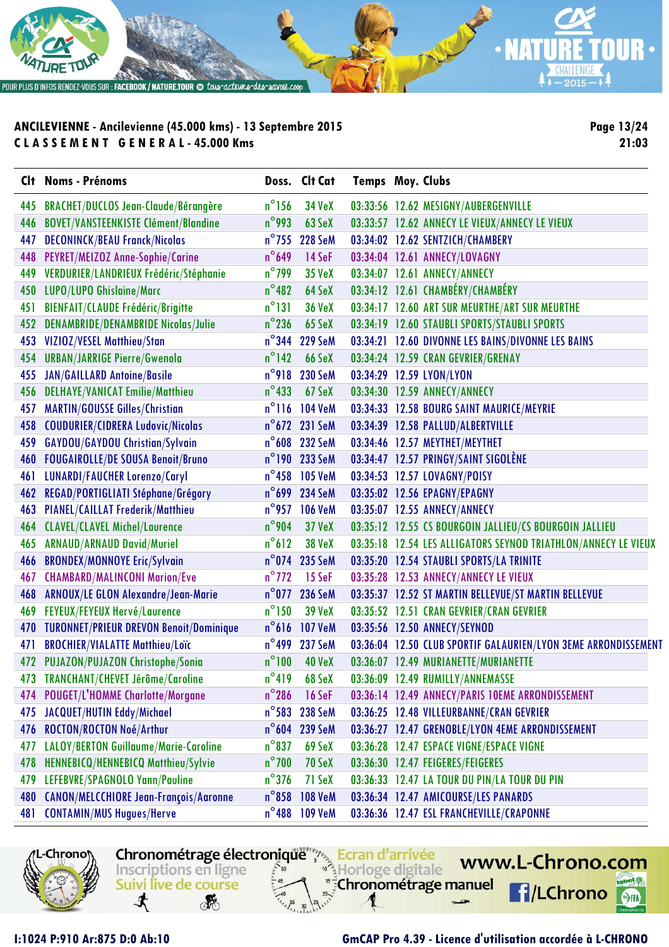

**Page 13/24 21:03**

|     | Clt Noms - Prénoms                             |                 | Doss. Clt Cat  | <b>Temps Moy. Clubs</b> |                                                                |
|-----|------------------------------------------------|-----------------|----------------|-------------------------|----------------------------------------------------------------|
| 445 | <b>BRACHET/DUCLOS Jean-Claude/Bérangère</b>    | $n^{\circ}$ 156 | <b>34 VeX</b>  |                         | 03:33:56 12.62 MESIGNY/AUBERGENVILLE                           |
| 446 | <b>BOVET/VANSTEENKISTE Clément/Blandine</b>    | $n^{\circ}$ 993 | 63 SeX         |                         | 03:33:57 12.62 ANNECY LE VIEUX/ANNECY LE VIEUX                 |
| 447 | <b>DECONINCK/BEAU Franck/Nicolas</b>           | $n^{\circ}$ 755 | <b>228 SeM</b> |                         | 03:34:02 12.62 SENTZICH/CHAMBERY                               |
| 448 | PEYRET/MEIZOZ Anne-Sophie/Carine               | $n^{\circ}$ 649 | 14 SeF         |                         | 03:34:04 12.61 ANNECY/LOVAGNY                                  |
| 449 | VERDURIER/LANDRIEUX Frédéric/Stéphanie         | $n^{\circ}$ 799 | <b>35 VeX</b>  |                         | 03:34:07 12.61 ANNECY/ANNECY                                   |
| 450 | LUPO/LUPO Ghislaine/Marc                       | $n^{\circ}482$  | 64 SeX         |                         | 03:34:12 12.61 CHAMBÉRY/CHAMBÉRY                               |
| 451 | <b>BIENFAIT/CLAUDE Frédéric/Brigitte</b>       | $n^{\circ}131$  | <b>36 VeX</b>  |                         | 03:34:17 12.60 ART SUR MEURTHE/ART SUR MEURTHE                 |
| 452 | <b>DENAMBRIDE/DENAMBRIDE Nicolas/Julie</b>     | $n^{\circ}$ 236 | 65 SeX         |                         | 03:34:19 12.60 STAUBLI SPORTS/STAUBLI SPORTS                   |
| 453 | VIZIOZ/VESEL Matthieu/Stan                     |                 | n°344 229 SeM  |                         | 03:34:21 12.60 DIVONNE LES BAINS/DIVONNE LES BAINS             |
| 454 | <b>URBAN/JARRIGE Pierre/Gwenola</b>            | $n^{\circ}$ 142 | 66 SeX         |                         | 03:34:24 12.59 CRAN GEVRIER/GRENAY                             |
| 455 | <b>JAN/GAILLARD Antoine/Basile</b>             | $n^{\circ}$ 918 | <b>230 SeM</b> |                         | 03:34:29 12.59 LYON/LYON                                       |
| 456 | <b>DELHAYE/VANICAT Emilie/Matthieu</b>         | $n^{\circ}$ 433 | 67 SeX         |                         | 03:34:30 12.59 ANNECY/ANNECY                                   |
| 457 | <b>MARTIN/GOUSSE Gilles/Christian</b>          |                 | n°116 104 VeM  |                         | 03:34:33 12.58 BOURG SAINT MAURICE/MEYRIE                      |
| 458 | <b>COUDURIER/CIDRERA Ludovic/Nicolas</b>       |                 | n°672 231 SeM  |                         | 03:34:39 12.58 PALLUD/ALBERTVILLE                              |
| 459 | <b>GAYDOU/GAYDOU Christian/Sylvain</b>         | $n^{\circ}$ 608 | <b>232 SeM</b> |                         | 03:34:46 12.57 MEYTHET/MEYTHET                                 |
| 460 | <b>FOUGAIROLLE/DE SOUSA Benoit/Bruno</b>       |                 | n°190 233 SeM  |                         | 03:34:47 12.57 PRINGY/SAINT SIGOLÈNE                           |
| 461 | LUNARDI/FAUCHER Lorenzo/Caryl                  | $n^{\circ}$ 458 | <b>105 VeM</b> |                         | 03:34:53 12.57 LOVAGNY/POISY                                   |
| 462 | REGAD/PORTIGLIATI Stéphane/Grégory             | $n^{\circ}$ 699 | <b>234 SeM</b> |                         | 03:35:02 12.56 EPAGNY/EPAGNY                                   |
| 463 | <b>PIANEL/CAILLAT Frederik/Matthieu</b>        | $n^{\circ}$ 957 | <b>106 VeM</b> |                         | 03:35:07 12.55 ANNECY/ANNECY                                   |
| 464 | <b>CLAVEL/CLAVEL Michel/Laurence</b>           | $n^{\circ}$ 904 | <b>37 VeX</b>  |                         | 03:35:12 12.55 CS BOURGOIN JALLIEU/CS BOURGOIN JALLIEU         |
| 465 | <b>ARNAUD/ARNAUD David/Muriel</b>              | $n^{\circ}612$  | <b>38 VeX</b>  |                         | 03:35:18 12.54 LES ALLIGATORS SEYNOD TRIATHLON/ANNECY LE VIEUX |
| 466 | <b>BRONDEX/MONNOYE Eric/Sylvain</b>            | $n^{\circ}$ 074 | <b>235 SeM</b> |                         | 03:35:20 12.54 STAUBLI SPORTS/LA TRINITE                       |
| 467 | <b>CHAMBARD/MALINCONI Marion/Eve</b>           | $n^{\circ}$ 772 | 15 SeF         |                         | 03:35:28 12.53 ANNECY/ANNECY LE VIEUX                          |
| 468 | ARNOUX/LE GLON Alexandre/Jean-Marie            |                 | n°077 236 SeM  |                         | 03:35:37 12.52 ST MARTIN BELLEVUE/ST MARTIN BELLEVUE           |
| 469 | FEYEUX/FEYEUX Hervé/Laurence                   | $n^{\circ}$ 150 | <b>39 VeX</b>  |                         | 03:35:52 12.51 CRAN GEVRIER/CRAN GEVRIER                       |
| 470 | <b>TURONNET/PRIEUR DREVON Benoit/Dominique</b> | $n^{\circ}616$  | <b>107 VeM</b> |                         | 03:35:56 12.50 ANNECY/SEYNOD                                   |
| 471 | <b>BROCHIER/VIALATTE Matthieu/Loïc</b>         | $n^{\circ}$ 499 | <b>237 SeM</b> |                         | 03:36:04 12.50 CLUB SPORTIF GALAURIEN/LYON 3EME ARRONDISSEMENT |
|     | 472 PUJAZON/PUJAZON Christophe/Sonia           | $n^{\circ}100$  | <b>40 VeX</b>  |                         | 03:36:07 12.49 MURIANETTE/MURIANETTE                           |
|     | 473 TRANCHANT/CHEVET Jérôme/Caroline           | $n^{\circ}419$  | 68 SeX         |                         | 03:36:09 12.49 RUMILLY/ANNEMASSE                               |
| 474 | <b>POUGET/L'HOMME Charlotte/Morgane</b>        | $n^{\circ}$ 286 | 16 SeF         |                         | 03:36:14 12.49 ANNECY/PARIS 10EME ARRONDISSEMENT               |
| 475 | <b>JACQUET/HUTIN Eddy/Michael</b>              | $n^{\circ}$ 583 | <b>238 SeM</b> |                         | 03:36:25 12.48 VILLEURBANNE/CRAN GEVRIER                       |
| 476 | ROCTON/ROCTON Noé/Arthur                       |                 | n°604 239 SeM  |                         | 03:36:27 12.47 GRENOBLE/LYON 4EME ARRONDISSEMENT               |
| 477 | LALOY/BERTON Guillaume/Marie-Caroline          | $n^{\circ}$ 837 | 69 SeX         |                         | 03:36:28 12.47 ESPACE VIGNE/ESPACE VIGNE                       |
| 478 | HENNEBICQ/HENNEBICQ Matthieu/Sylvie            | $n^{\circ}$ 700 | 70 SeX         |                         | 03:36:30 12.47 FEIGERES/FEIGERES                               |
| 479 | LEFEBVRE/SPAGNOLO Yann/Pauline                 | $n^{\circ}$ 376 | 71 SeX         |                         | 03:36:33 12.47 LA TOUR DU PIN/LA TOUR DU PIN                   |
| 480 | CANON/MELCCHIORE Jean-François/Aaronne         | $n^{\circ}$ 858 | <b>108 VeM</b> |                         | 03:36:34 12.47 AMICOURSE/LES PANARDS                           |
| 481 | <b>CONTAMIN/MUS Hugues/Herve</b>               | $n^{\circ}$ 488 | <b>109 VeM</b> |                         | 03:36:36 12.47 ESL FRANCHEVILLE/CRAPONNE                       |

-Chrono

www.L-Chrono.com Inscriptions en ligne Horloge digitale "<sup>5</sup>Chronométrage manuel Suivi live de course 感

Chronométrage électronique Ecran d'arrivée

寸

#### **I:1024 P:910 Ar:875 D:0 Ab:10 GmCAP Pro 4.39 - Licence d'utilisation accordée à L-CHRONO**

**f**/LChrono

 $\mathbf{e}$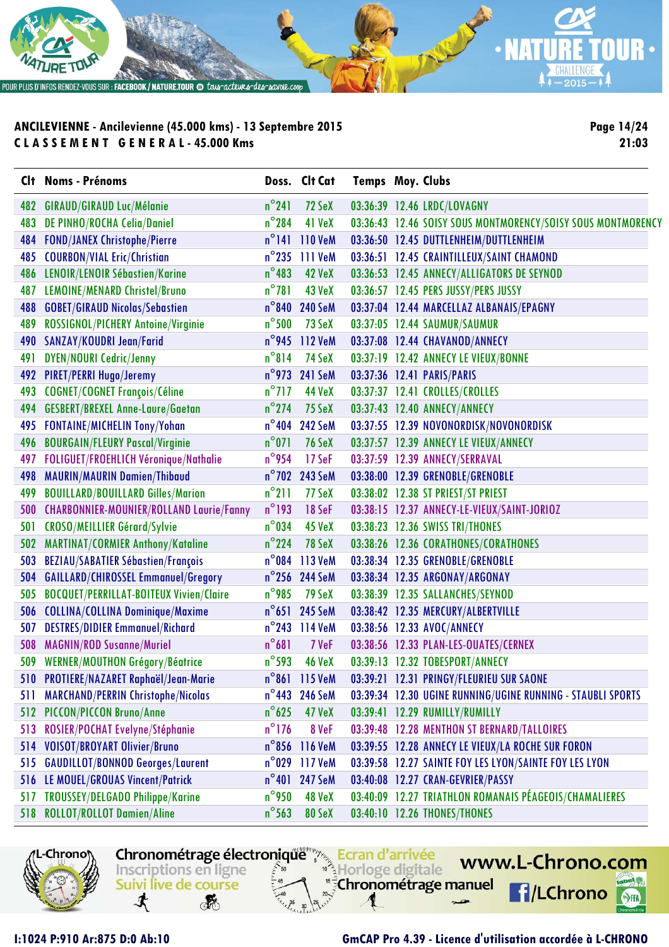

**Page 14/24 21:03**

|            | <b>Clt Noms - Prénoms</b>                       |                 | Doss. Clt Cat           | <b>Temps Moy. Clubs</b> |                                                              |
|------------|-------------------------------------------------|-----------------|-------------------------|-------------------------|--------------------------------------------------------------|
| 482        | <b>GIRAUD/GIRAUD Luc/Mélanie</b>                | $n^{\circ}241$  | 72 SeX                  |                         | 03:36:39 12.46 LRDC/LOVAGNY                                  |
| 483        | <b>DE PINHO/ROCHA Celia/Daniel</b>              | $n^{\circ}$ 284 | 41 VeX                  |                         | 03:36:43 12.46 SOISY SOUS MONTMORENCY/SOISY SOUS MONTMORENCY |
| 484        | <b>FOND/JANEX Christophe/Pierre</b>             |                 | $n^{\circ}$ 141 110 VeM |                         | 03:36:50 12.45 DUTTLENHEIM/DUTTLENHEIM                       |
| 485        | <b>COURBON/VIAL Eric/Christian</b>              | $n^{\circ}$ 235 | 111 VeM                 |                         | 03:36:51 12.45 CRAINTILLEUX/SAINT CHAMOND                    |
| 486        | LENOIR/LENOIR Sébastien/Karine                  | $n^{\circ}$ 483 | 42 VeX                  |                         | 03:36:53 12.45 ANNECY/ALLIGATORS DE SEYNOD                   |
| 487        | LEMOINE/MENARD Christel/Bruno                   | $n^{\circ}781$  | 43 VeX                  |                         | 03:36:57 12.45 PERS JUSSY/PERS JUSSY                         |
| 488        | <b>GOBET/GIRAUD Nicolas/Sebastien</b>           | $n^{\circ}$ 840 | <b>240 SeM</b>          |                         | 03:37:04 12.44 MARCELLAZ ALBANAIS/EPAGNY                     |
| 489        | ROSSIGNOL/PICHERY Antoine/Virginie              | $n^{\circ}$ 500 | 73 SeX                  |                         | 03:37:05 12.44 SAUMUR/SAUMUR                                 |
| 490        | SANZAY/KOUDRI Jean/Farid                        |                 | n°945 112 VeM           |                         | 03:37:08 12.44 CHAVANOD/ANNECY                               |
| 491        | <b>DYEN/NOURI Cedric/Jenny</b>                  | $n^{\circ}814$  | 74 SeX                  |                         | 03:37:19 12.42 ANNECY LE VIEUX/BONNE                         |
| 492        | <b>PIRET/PERRI Hugo/Jeremy</b>                  | $n^{\circ}$ 973 | <b>241 SeM</b>          |                         | 03:37:36 12.41 PARIS/PARIS                                   |
| 493        | <b>COGNET/COGNET François/Céline</b>            | $n^{\circ}$ 717 | 44 VeX                  |                         | 03:37:37 12.41 CROLLES/CROLLES                               |
| 494        | <b>GESBERT/BREXEL Anne-Laure/Gaetan</b>         | $n^{\circ}$ 274 | 75 SeX                  |                         | 03:37:43 12.40 ANNECY/ANNECY                                 |
| 495        | <b>FONTAINE/MICHELIN Tony/Yohan</b>             | $n^{\circ}404$  | <b>242 SeM</b>          |                         | 03:37:55 12.39 NOVONORDISK/NOVONORDISK                       |
| 496        | <b>BOURGAIN/FLEURY Pascal/Virginie</b>          | $n^{\circ}071$  | <b>76 SeX</b>           |                         | 03:37:57 12.39 ANNECY LE VIEUX/ANNECY                        |
| 497        | <b>FOLIGUET/FROEHLICH Véronique/Nathalie</b>    | $n^{\circ}$ 954 | 17 SeF                  |                         | 03:37:59 12.39 ANNECY/SERRAVAL                               |
| 498        | <b>MAURIN/MAURIN Damien/Thibaud</b>             |                 | n°702 243 SeM           |                         | 03:38:00 12.39 GRENOBLE/GRENOBLE                             |
| 499        | <b>BOUILLARD/BOUILLARD Gilles/Marion</b>        | $n^{\circ}$ 211 | 77 SeX                  |                         | 03:38:02 12.38 ST PRIEST/ST PRIEST                           |
| <b>500</b> | <b>CHARBONNIER-MOUNIER/ROLLAND Laurie/Fanny</b> | $n^{\circ}$ 193 | 18 SeF                  |                         | 03:38:15 12.37 ANNECY-LE-VIEUX/SAINT-JORIOZ                  |
| 501        | <b>CROSO/MEILLIER Gérard/Sylvie</b>             | $n^{\circ}$ 034 | 45 VeX                  |                         | 03:38:23 12.36 SWISS TRI/THONES                              |
| 502        | <b>MARTINAT/CORMIER Anthony/Kataline</b>        | $n^{\circ}$ 224 | 78 SeX                  |                         | 03:38:26 12.36 CORATHONES/CORATHONES                         |
| 503        | <b>BEZIAU/SABATIER Sébastien/François</b>       | $n^{\circ}$ 084 | 113 VeM                 |                         | 03:38:34 12.35 GRENOBLE/GRENOBLE                             |
| 504        | <b>GAILLARD/CHIROSSEL Emmanuel/Gregory</b>      |                 | n°256 244 SeM           |                         | 03:38:34 12.35 ARGONAY/ARGONAY                               |
| 505        | <b>BOCQUET/PERRILLAT-BOITEUX Vivien/Claire</b>  | $n^{\circ}$ 985 | <b>79 SeX</b>           |                         | 03:38:39 12.35 SALLANCHES/SEYNOD                             |
| 506        | <b>COLLINA/COLLINA Dominique/Maxime</b>         |                 | n°651 245 SeM           |                         | 03:38:42 12.35 MERCURY/ALBERTVILLE                           |
| 507        | <b>DESTRES/DIDIER Emmanuel/Richard</b>          | $n^{\circ}$ 243 | 114 VeM                 |                         | 03:38:56 12.33 AVOC/ANNECY                                   |
| 508        | <b>MAGNIN/ROD Susanne/Muriel</b>                | $n^{\circ}681$  | 7 VeF                   |                         | 03:38:56 12.33 PLAN-LES-OUATES/CERNEX                        |
|            | 509 WERNER/MOUTHON Grégory/Béatrice             | $n^{\circ}$ 593 | <b>46 VeX</b>           |                         | 03:39:13 12.32 TOBESPORT/ANNECY                              |
|            | 510 PROTIERE/NAZARET Raphaël/Jean-Marie         |                 | $n^{\circ}$ 861 115 VeM |                         | 03:39:21 12.31 PRINGY/FLEURIEU SUR SAONE                     |
| 511        | <b>MARCHAND/PERRIN Christophe/Nicolas</b>       | $n^{\circ}$ 443 | <b>246 SeM</b>          |                         | 03:39:34 12.30 UGINE RUNNING/UGINE RUNNING - STAUBLI SPORTS  |
| 512        | <b>PICCON/PICCON Bruno/Anne</b>                 | $n^{\circ}$ 625 | <b>47 VeX</b>           |                         | 03:39:41 12.29 RUMILLY/RUMILLY                               |
| 513        | ROSIER/POCHAT Evelyne/Stéphanie                 | $n^{\circ}$ 176 | 8 VeF                   |                         | 03:39:48 12.28 MENTHON ST BERNARD/TALLOIRES                  |
| 514        | <b>VOISOT/BROYART Olivier/Bruno</b>             | $n^{\circ}$ 856 | 116 VeM                 |                         | 03:39:55 12.28 ANNECY LE VIEUX/LA ROCHE SUR FORON            |
| 515        | <b>GAUDILLOT/BONNOD Georges/Laurent</b>         | $n^{\circ}$ 029 | 117 VeM                 |                         | 03:39:58 12.27 SAINTE FOY LES LYON/SAINTE FOY LES LYON       |
| 516        | LE MOUEL/GROUAS Vincent/Patrick                 | $n^{\circ}401$  | <b>247 SeM</b>          |                         | 03:40:08 12.27 CRAN-GEVRIER/PASSY                            |
| 517        | <b>TROUSSEY/DELGADO Philippe/Karine</b>         | $n^{\circ}$ 950 | 48 VeX                  |                         | 03:40:09 12.27 TRIATHLON ROMANAIS PÉAGEOIS/CHAMALIERES       |
| 518        | <b>ROLLOT/ROLLOT Damien/Aline</b>               | $n^{\circ}$ 563 | 80 SeX                  |                         | 03:40:10 12.26 THONES/THONES                                 |

Chronométrage électronique Finanzia Ecran d'arrivée

Horloge digitale

s<sup>5</sup>Chronométrage manuel



寸

Inscriptions en ligne

**RE** 

Suivi live de course

### **I:1024 P:910 Ar:875 D:0 Ab:10 GmCAP Pro 4.39 - Licence d'utilisation accordée à L-CHRONO**

www.L-Chrono.com

**f**/LChrono

49.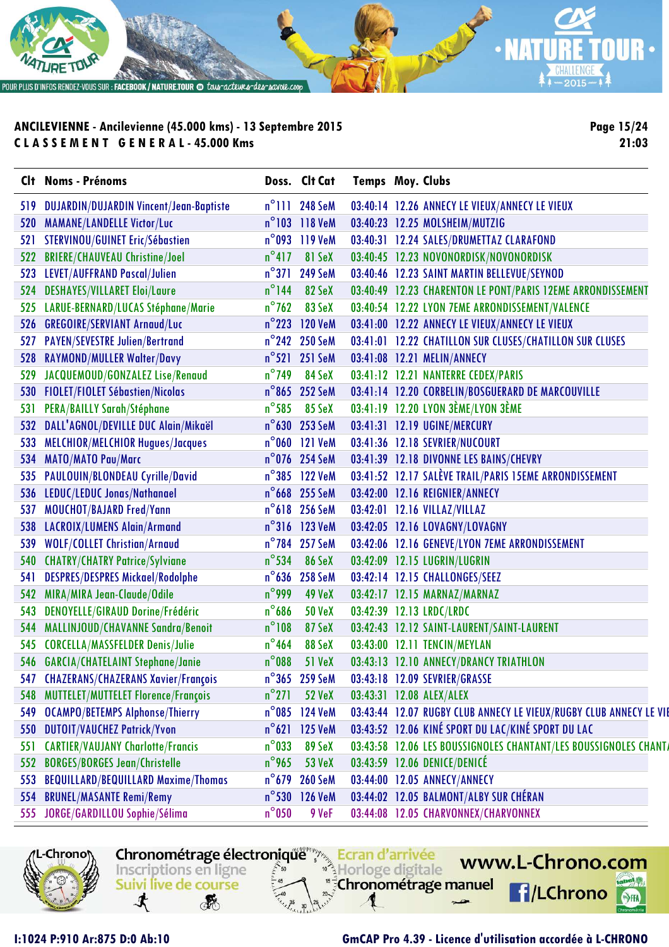

**Page 15/24 21:03**

| n°111 248 SeM<br><b>DUJARDIN/DUJARDIN Vincent/Jean-Baptiste</b><br>03:40:14 12.26 ANNECY LE VIEUX/ANNECY LE VIEUX<br>519<br>n°103 118 VeM<br><b>MAMANE/LANDELLE Victor/Luc</b><br>03:40:23 12.25 MOLSHEIM/MUTZIG<br>520<br>03:40:31 12.24 SALES/DRUMETTAZ CLARAFOND<br>STERVINOU/GUINET Eric/Sébastien<br>$n^{\circ}$ 093 119 VeM<br>521 |  |
|------------------------------------------------------------------------------------------------------------------------------------------------------------------------------------------------------------------------------------------------------------------------------------------------------------------------------------------|--|
|                                                                                                                                                                                                                                                                                                                                          |  |
|                                                                                                                                                                                                                                                                                                                                          |  |
|                                                                                                                                                                                                                                                                                                                                          |  |
| $n^{\circ}417$<br>81 SeX<br>03:40:45 12.23 NOVONORDISK/NOVONORDISK<br><b>BRIERE/CHAUVEAU Christine/Joel</b><br>522                                                                                                                                                                                                                       |  |
| $n^{\circ}371$<br>LEVET/AUFFRAND Pascal/Julien<br>03:40:46 12.23 SAINT MARTIN BELLEVUE/SEYNOD<br><b>249 SeM</b><br>523                                                                                                                                                                                                                   |  |
| $n^{\circ}$ 144<br><b>DESHAYES/VILLARET Eloi/Laure</b><br>82 SeX<br>03:40:49 12.23 CHARENTON LE PONT/PARIS 12EME ARRONDISSEMENT<br>524                                                                                                                                                                                                   |  |
| $n^{\circ}$ 762<br>83 SeX<br>LARUE-BERNARD/LUCAS Stéphane/Marie<br>03:40:54 12.22 LYON 7EME ARRONDISSEMENT/VALENCE<br>525                                                                                                                                                                                                                |  |
| <b>GREGOIRE/SERVIANT Arnaud/Luc</b><br>$n^{\circ}$ 223<br><b>120 VeM</b><br>03:41:00 12.22 ANNECY LE VIEUX/ANNECY LE VIEUX<br>526                                                                                                                                                                                                        |  |
| <b>PAYEN/SEVESTRE Julien/Bertrand</b><br>n°242 250 SeM<br>03:41:01 12.22 CHATILLON SUR CLUSES/CHATILLON SUR CLUSES<br>527                                                                                                                                                                                                                |  |
| RAYMOND/MULLER Walter/Davy<br>n°521 251 SeM<br>03:41:08 12.21 MELIN/ANNECY<br>528                                                                                                                                                                                                                                                        |  |
| JACQUEMOUD/GONZALEZ Lise/Renaud<br>$n^{\circ}$ 749<br>84 SeX<br>03:41:12 12.21 NANTERRE CEDEX/PARIS<br>529                                                                                                                                                                                                                               |  |
| <b>FIOLET/FIOLET Sébastien/Nicolas</b><br>n°865 252 SeM<br>03:41:14 12.20 CORBELIN/BOSGUERARD DE MARCOUVILLE<br>530                                                                                                                                                                                                                      |  |
| 03:41:19 12.20 LYON 3ÈME/LYON 3ÈME<br>PERA/BAILLY Sarah/Stéphane<br>$n^{\circ}$ 585<br>85 SeX<br>531                                                                                                                                                                                                                                     |  |
| DALL'AGNOL/DEVILLE DUC Alain/Mikaël<br>n°630 253 SeM<br>03:41:31 12.19 UGINE/MERCURY<br>532                                                                                                                                                                                                                                              |  |
| n°060 121 VeM<br>03:41:36 12.18 SEVRIER/NUCOURT<br>MELCHIOR/MELCHIOR Hugues/Jacques<br>533                                                                                                                                                                                                                                               |  |
| n°076 254 SeM<br>03:41:39 12.18 DIVONNE LES BAINS/CHEVRY<br><b>MATO/MATO Pau/Marc</b><br>534                                                                                                                                                                                                                                             |  |
| 03:41:52 12.17 SALÈVE TRAIL/PARIS 15EME ARRONDISSEMENT<br>PAULOUIN/BLONDEAU Cyrille/David<br>n°385 122 VeM<br>535                                                                                                                                                                                                                        |  |
| LEDUC/LEDUC Jonas/Nathanael<br>n°668 255 SeM<br>03:42:00 12.16 REIGNIER/ANNECY<br>536                                                                                                                                                                                                                                                    |  |
| n°618 256 SeM<br>MOUCHOT/BAJARD Fred/Yann<br>03:42:01 12.16 VILLAZ/VILLAZ<br>537                                                                                                                                                                                                                                                         |  |
| n°316 123 VeM<br>03:42:05 12.16 LOVAGNY/LOVAGNY<br><b>LACROIX/LUMENS Alain/Armand</b><br>538                                                                                                                                                                                                                                             |  |
| <b>WOLF/COLLET Christian/Arnaud</b><br>n°784 257 SeM<br>03:42:06 12.16 GENEVE/LYON 7EME ARRONDISSEMENT<br>539                                                                                                                                                                                                                            |  |
| $n^{\circ}$ 534<br><b>CHATRY/CHATRY Patrice/Sylviane</b><br>86 SeX<br>03:42:09 12.15 LUGRIN/LUGRIN<br>540                                                                                                                                                                                                                                |  |
| $n^{\circ}$ 636<br><b>DESPRES/DESPRES Mickael/Rodolphe</b><br><b>258 SeM</b><br>03:42:14 12.15 CHALLONGES/SEEZ<br>541                                                                                                                                                                                                                    |  |
| $n^{\circ}$ 999<br>MIRA/MIRA Jean-Claude/Odile<br><b>49 VeX</b><br>03:42:17 12.15 MARNAZ/MARNAZ<br>542                                                                                                                                                                                                                                   |  |
| $n^{\circ}$ 686<br>DENOYELLE/GIRAUD Dorine/Frédéric<br>03:42:39 12.13 LRDC/LRDC<br><b>50 VeX</b><br>543                                                                                                                                                                                                                                  |  |
| $n^{\circ}108$<br>87 SeX<br>03:42:43 12.12 SAINT-LAURENT/SAINT-LAURENT<br>MALLINJOUD/CHAVANNE Sandra/Benoit<br>544                                                                                                                                                                                                                       |  |
| <b>CORCELLA/MASSFELDER Denis/Julie</b><br>$n^{\circ}$ 464<br>88 SeX<br>03:43:00 12.11 TENCIN/MEYLAN<br>545                                                                                                                                                                                                                               |  |
| $n^{\circ}$ 088<br>546 GARCIA/CHATELAINT Stephane/Janie<br><b>51 VeX</b><br>03:43:13 12.10 ANNECY/DRANCY TRIATHLON                                                                                                                                                                                                                       |  |
| 547 CHAZERANS/CHAZERANS Xavier/François<br>n°365 259 SeM<br>03:43:18 12.09 SEVRIER/GRASSE                                                                                                                                                                                                                                                |  |
| MUTTELET/MUTTELET Florence/François<br>$n^{\circ}271$<br><b>52 VeX</b><br>03:43:31 12.08 ALEX/ALEX<br>548                                                                                                                                                                                                                                |  |
| 03:43:44 12.07 RUGBY CLUB ANNECY LE VIEUX/RUGBY CLUB ANNECY LE VIE<br><b>OCAMPO/BETEMPS Alphonse/Thierry</b><br>$n^{\circ}$ 085 124 VeM<br>549                                                                                                                                                                                           |  |
| 03:43:52 12.06 KINÉ SPORT DU LAC/KINÉ SPORT DU LAC<br><b>DUTOIT/VAUCHEZ Patrick/Yvon</b><br>$n^{\circ}621$ 125 VeM<br>550                                                                                                                                                                                                                |  |
| 89 SeX<br>03:43:58 12.06 LES BOUSSIGNOLES CHANTANT/LES BOUSSIGNOLES CHANT/<br><b>CARTIER/VAUJANY Charlotte/Francis</b><br>$n^{\circ}$ 033<br>551                                                                                                                                                                                         |  |
| <b>BORGES/BORGES Jean/Christelle</b><br>03:43:59 12.06 DENICE/DENICÉ<br>$n^{\circ}$ 965<br><b>53 VeX</b><br>552                                                                                                                                                                                                                          |  |
| <b>BEQUILLARD/BEQUILLARD Maxime/Thomas</b><br>03:44:00 12.05 ANNECY/ANNECY<br>$n^{\circ}$ 679<br><b>260 SeM</b><br>553                                                                                                                                                                                                                   |  |
| <b>BRUNEL/MASANTE Remi/Remy</b><br>n°530 126 VeM<br>03:44:02 12.05 BALMONT/ALBY SUR CHÉRAN<br>554                                                                                                                                                                                                                                        |  |
| JORGE/GARDILLOU Sophie/Sélima<br>$n^{\circ}$ 050<br>03:44:08 12.05 CHARVONNEX/CHARVONNEX<br>9 VeF<br>555                                                                                                                                                                                                                                 |  |



Chronométrage électronique Ecran d'arrivée



**I:1024 P:910 Ar:875 D:0 Ab:10 GmCAP Pro 4.39 - Licence d'utilisation accordée à L-CHRONO**

www.L-Chrono.com

 $\mathbf{e}$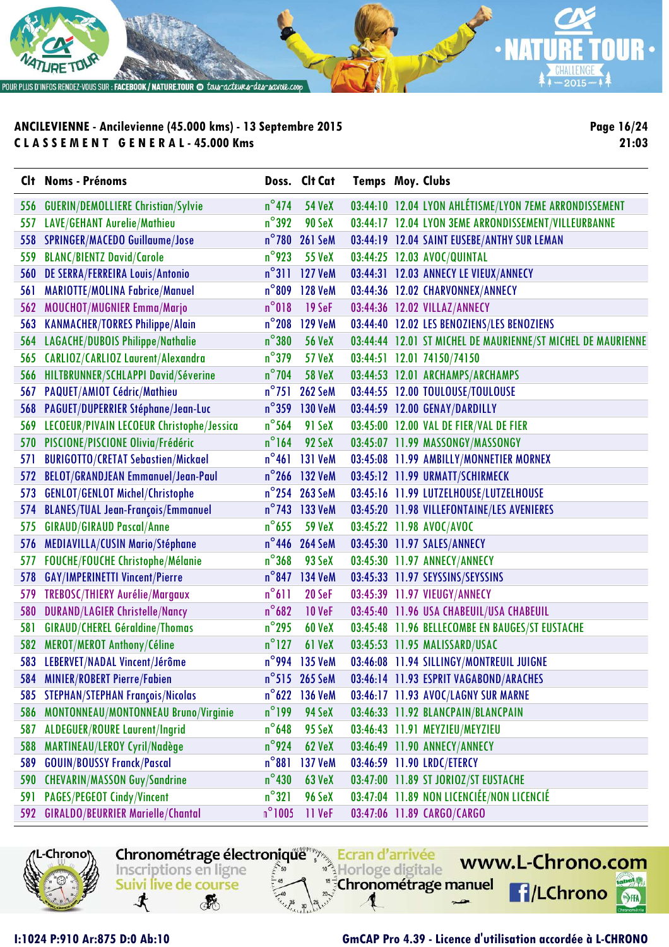

**Page 16/24 21:03**

|            | Clt Noms - Prénoms                        |                 | Doss. Clt Cat           | <b>Temps Moy. Clubs</b> |                                                              |
|------------|-------------------------------------------|-----------------|-------------------------|-------------------------|--------------------------------------------------------------|
|            | 556 GUERIN/DEMOLLIERE Christian/Sylvie    | $n^{\circ}$ 474 | <b>54 VeX</b>           |                         | 03:44:10 12.04 LYON AHLÉTISME/LYON 7EME ARRONDISSEMENT       |
| 557        | LAVE/GEHANT Aurelie/Mathieu               | $n^{\circ}$ 392 | 90 SeX                  |                         | 03:44:17 12.04 LYON 3EME ARRONDISSEMENT/VILLEURBANNE         |
|            | 558 SPRINGER/MACEDO Guillaume/Jose        | $n^{\circ}$ 780 | <b>261 SeM</b>          |                         | 03:44:19 12.04 SAINT EUSEBE/ANTHY SUR LEMAN                  |
| 559        | <b>BLANC/BIENTZ David/Carole</b>          | $n^{\circ}$ 923 | <b>55 VeX</b>           |                         | 03:44:25 12.03 AVOC/QUINTAL                                  |
|            | 560 DE SERRA/FERREIRA Louis/Antonio       |                 | n°311 127 VeM           |                         | 03:44:31 12.03 ANNECY LE VIEUX/ANNECY                        |
| 561        | <b>MARIOTTE/MOLINA Fabrice/Manuel</b>     | $n^{\circ}$ 809 | <b>128 VeM</b>          |                         | 03:44:36 12.02 CHARVONNEX/ANNECY                             |
| 562        | <b>MOUCHOT/MUGNIER Emma/Marjo</b>         | $n^{\circ}018$  | $19$ SeF                |                         | 03:44:36 12.02 VILLAZ/ANNECY                                 |
|            | 563 KANMACHER/TORRES Philippe/Alain       | $n^{\circ}$ 208 | <b>129 VeM</b>          |                         | 03:44:40 12.02 LES BENOZIENS/LES BENOZIENS                   |
|            | 564 LAGACHE/DUBOIS Philippe/Nathalie      | $n^{\circ}380$  | <b>56 VeX</b>           |                         | 03:44:44 12.01 ST MICHEL DE MAURIENNE/ST MICHEL DE MAURIENNE |
|            | 565 CARLIOZ/CARLIOZ Laurent/Alexandra     | $n^{\circ}$ 379 | <b>57 VeX</b>           |                         | 03:44:51 12.01 74150/74150                                   |
|            | 566 HILTBRUNNER/SCHLAPPI David/Séverine   | $n^{\circ}$ 704 | <b>58 VeX</b>           |                         | 03:44:53 12.01 ARCHAMPS/ARCHAMPS                             |
|            | 567 PAQUET/AMIOT Cédric/Mathieu           | $n^{\circ}$ 751 | <b>262 SeM</b>          |                         | 03:44:55 12.00 TOULOUSE/TOULOUSE                             |
|            | 568 PAGUET/DUPERRIER Stéphane/Jean-Luc    |                 | n°359 130 VeM           |                         | 03:44:59 12.00 GENAY/DARDILLY                                |
| 569        | LECOEUR/PIVAIN LECOEUR Christophe/Jessica | $n^{\circ}$ 564 | 91 SeX                  |                         | 03:45:00 12.00 VAL DE FIER/VAL DE FIER                       |
|            | 570 PISCIONE/PISCIONE Olivia/Frédéric     | $n^{\circ}$ 164 | 92 SeX                  |                         | 03:45:07 11.99 MASSONGY/MASSONGY                             |
| 571        | <b>BURIGOTTO/CRETAT Sebastien/Mickael</b> | $n^{\circ}461$  | <b>131 VeM</b>          |                         | 03:45:08 11.99 AMBILLY/MONNETIER MORNEX                      |
|            | 572 BELOT/GRANDJEAN Emmanuel/Jean-Paul    |                 | $n^{\circ}$ 266 132 VeM |                         | 03:45:12 11.99 URMATT/SCHIRMECK                              |
|            | 573 GENLOT/GENLOT Michel/Christophe       |                 | n°254 263 SeM           |                         | 03:45:16 11.99 LUTZELHOUSE/LUTZELHOUSE                       |
| 574        | <b>BLANES/TUAL Jean-François/Emmanuel</b> |                 | n°743 133 VeM           |                         | 03:45:20 11.98 VILLEFONTAINE/LES AVENIERES                   |
| 575        | <b>GIRAUD/GIRAUD Pascal/Anne</b>          | $n^{\circ}$ 655 | <b>59 VeX</b>           |                         | 03:45:22 11.98 AVOC/AVOC                                     |
|            | 576 MEDIAVILLA/CUSIN Mario/Stéphane       |                 | n°446 264 SeM           |                         | 03:45:30 11.97 SALES/ANNECY                                  |
| 577        | FOUCHE/FOUCHE Christophe/Mélanie          | $n^{\circ}368$  | 93 SeX                  |                         | 03:45:30 11.97 ANNECY/ANNECY                                 |
|            | 578 GAY/IMPERINETTI Vincent/Pierre        | $n^{\circ}$ 847 | <b>134 VeM</b>          |                         | 03:45:33 11.97 SEYSSINS/SEYSSINS                             |
|            | 579 TREBOSC/THIERY Aurélie/Margaux        | $n^{\circ}611$  | 20 SeF                  |                         | 03:45:39 11.97 VIEUGY/ANNECY                                 |
| <b>580</b> | <b>DURAND/LAGIER Christelle/Nancy</b>     | $n^{\circ}$ 682 | <b>10 VeF</b>           |                         | 03:45:40 11.96 USA CHABEUIL/USA CHABEUIL                     |
| 581        | <b>GIRAUD/CHEREL Géraldine/Thomas</b>     | $n^{\circ}$ 295 | <b>60 VeX</b>           |                         | 03:45:48 11.96 BELLECOMBE EN BAUGES/ST EUSTACHE              |
|            | 582 MEROT/MEROT Anthony/Céline            | $n^{\circ}$ 127 | 61 VeX                  |                         | 03:45:53 11.95 MALISSARD/USAC                                |
|            | 583 LEBERVET/NADAL Vincent/Jérôme         |                 | n°994 135 VeM           |                         | 03:46:08 11.94 SILLINGY/MONTREUIL JUIGNE                     |
|            | 584 MINIER/ROBERT Pierre/Fabien           |                 | $n^{\circ}$ 515 265 SeM |                         | 03:46:14 11.93 ESPRIT VAGABOND/ARACHES                       |
|            | 585 STEPHAN/STEPHAN François/Nicolas      | $n^{\circ}$ 622 | <b>136 VeM</b>          |                         | 03:46:17 11.93 AVOC/LAGNY SUR MARNE                          |
| 586        | MONTONNEAU/MONTONNEAU Bruno/Virginie      | $n^{\circ}$ 199 | 94 SeX                  |                         | 03:46:33 11.92 BLANCPAIN/BLANCPAIN                           |
| 587        | <b>ALDEGUER/ROURE Laurent/Ingrid</b>      | $n^{\circ}$ 648 | 95 SeX                  |                         | 03:46:43 11.91 MEYZIEU/MEYZIEU                               |
| 588        | MARTINEAU/LEROY Cyril/Nadège              | $n^{\circ}$ 924 | <b>62 VeX</b>           |                         | 03:46:49 11.90 ANNECY/ANNECY                                 |
| 589        | <b>GOUIN/BOUSSY Franck/Pascal</b>         | $n^{\circ}881$  | <b>137 VeM</b>          |                         | 03:46:59 11.90 LRDC/ETERCY                                   |
| 590        | <b>CHEVARIN/MASSON Guy/Sandrine</b>       | $n^{\circ}$ 430 | <b>63 VeX</b>           |                         | 03:47:00 11.89 ST JORIOZ/ST EUSTACHE                         |
| 591        | <b>PAGES/PEGEOT Cindy/Vincent</b>         | $n^{\circ}321$  | 96 SeX                  |                         | 03:47:04 11.89 NON LICENCIÉE/NON LICENCIÉ                    |
| 592        | <b>GIRALDO/BEURRIER Marielle/Chantal</b>  | $n^{\circ}1005$ | 11 VeF                  |                         | 03:47:06 11.89 CARGO/CARGO                                   |

Chronométrage électronique Ecran d'arrivée

Horloge digitale

"<sup>5</sup>Chronométrage manuel



寸

Inscriptions en ligne

Suivi live de course

**RE** 

### **I:1024 P:910 Ar:875 D:0 Ab:10 GmCAP Pro 4.39 - Licence d'utilisation accordée à L-CHRONO**

www.L-Chrono.com

**f**/LChrono

 $\mathbf{e}$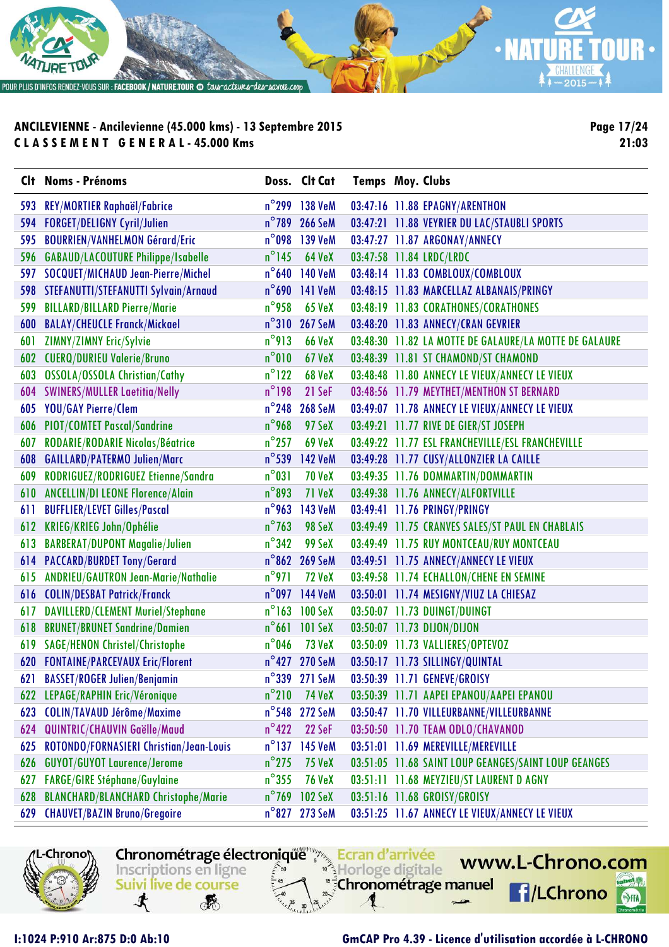

**Page 17/24 21:03**

|     | Clt Noms - Prénoms                          |                 | Doss. Clt Cat  | <b>Temps Moy. Clubs</b> |                                                        |
|-----|---------------------------------------------|-----------------|----------------|-------------------------|--------------------------------------------------------|
| 593 | <b>REY/MORTIER Raphaël/Fabrice</b>          | $n^{\circ}$ 299 | 138 VeM        |                         | 03:47:16 11.88 EPAGNY/ARENTHON                         |
| 594 | <b>FORGET/DELIGNY Cyril/Julien</b>          | $n^{\circ}$ 789 | <b>266 SeM</b> |                         | 03:47:21 11.88 VEYRIER DU LAC/STAUBLI SPORTS           |
| 595 | <b>BOURRIEN/VANHELMON Gérard/Eric</b>       | $n^{\circ}$ 098 | <b>139 VeM</b> |                         | 03:47:27 11.87 ARGONAY/ANNECY                          |
| 596 | <b>GABAUD/LACOUTURE Philippe/Isabelle</b>   | $n^{\circ}$ 145 | <b>64 VeX</b>  |                         | 03:47:58 11.84 LRDC/LRDC                               |
| 597 | SOCQUET/MICHAUD Jean-Pierre/Michel          | $n^{\circ}$ 640 | <b>140 VeM</b> |                         | 03:48:14 11.83 COMBLOUX/COMBLOUX                       |
|     | 598 STEFANUTTI/STEFANUTTI Sylvain/Arnaud    | $n^{\circ}$ 690 | <b>141 VeM</b> |                         | 03:48:15 11.83 MARCELLAZ ALBANAIS/PRINGY               |
| 599 | <b>BILLARD/BILLARD Pierre/Marie</b>         | $n^{\circ}$ 958 | <b>65 VeX</b>  |                         | 03:48:19 11.83 CORATHONES/CORATHONES                   |
| 600 | <b>BALAY/CHEUCLE Franck/Mickael</b>         | $n^{\circ}310$  | <b>267 SeM</b> |                         | 03:48:20 11.83 ANNECY/CRAN GEVRIER                     |
| 601 | ZIMNY/ZIMNY Eric/Sylvie                     | $n^{\circ}913$  | <b>66 VeX</b>  |                         | 03:48:30 11.82 LA MOTTE DE GALAURE/LA MOTTE DE GALAURE |
|     | 602 CUERQ/DURIEU Valerie/Bruno              | $n^{\circ}010$  | <b>67 VeX</b>  |                         | 03:48:39 11.81 ST CHAMOND/ST CHAMOND                   |
| 603 | <b>OSSOLA/OSSOLA Christian/Cathy</b>        | $n^{\circ}$ 122 | <b>68 VeX</b>  |                         | 03:48:48 11.80 ANNECY LE VIEUX/ANNECY LE VIEUX         |
|     | 604 SWINERS/MULLER Laetitia/Nelly           | $n^{\circ}$ 198 | 21 SeF         |                         | 03:48:56 11.79 MEYTHET/MENTHON ST BERNARD              |
| 605 | YOU/GAY Pierre/Clem                         | $n^{\circ}$ 248 | <b>268 SeM</b> |                         | 03:49:07 11.78 ANNECY LE VIEUX/ANNECY LE VIEUX         |
|     | 606 PIOT/COMTET Pascal/Sandrine             | $n^{\circ}$ 968 | 97 SeX         |                         | 03:49:21 11.77 RIVE DE GIER/ST JOSEPH                  |
| 607 | RODARIE/RODARIE Nicolas/Béatrice            | $n^{\circ}$ 257 | <b>69 VeX</b>  |                         | 03:49:22 11.77 ESL FRANCHEVILLE/ESL FRANCHEVILLE       |
|     | 608 GAILLARD/PATERMO Julien/Marc            | $n^{\circ}$ 539 | <b>142 VeM</b> |                         | 03:49:28 11.77 CUSY/ALLONZIER LA CAILLE                |
| 609 | RODRIGUEZ/RODRIGUEZ Etienne/Sandra          | $n^{\circ}031$  | <b>70 VeX</b>  |                         | 03:49:35 11.76 DOMMARTIN/DOMMARTIN                     |
|     | 610 ANCELLIN/DI LEONE Florence/Alain        | $n^{\circ}$ 893 | 71 VeX         |                         | 03:49:38 11.76 ANNECY/ALFORTVILLE                      |
| 611 | <b>BUFFLIER/LEVET Gilles/Pascal</b>         | $n^{\circ}$ 963 | <b>143 VeM</b> |                         | 03:49:41 11.76 PRINGY/PRINGY                           |
| 612 | <b>KRIEG/KRIEG John/Ophélie</b>             | $n^{\circ}$ 763 | 98 SeX         |                         | 03:49:49 11.75 CRANVES SALES/ST PAUL EN CHABLAIS       |
| 613 | <b>BARBERAT/DUPONT Magalie/Julien</b>       | $n^{\circ}342$  | 99 SeX         |                         | 03:49:49 11.75 RUY MONTCEAU/RUY MONTCEAU               |
|     | 614 PACCARD/BURDET Tony/Gerard              | $n^{\circ}$ 862 | <b>269 SeM</b> |                         | 03:49:51 11.75 ANNECY/ANNECY LE VIEUX                  |
| 615 | ANDRIEU/GAUTRON Jean-Marie/Nathalie         | $n^{\circ}$ 971 | <b>72 VeX</b>  |                         | 03:49:58 11.74 ECHALLON/CHENE EN SEMINE                |
|     | 616 COLIN/DESBAT Patrick/Franck             | $n^{\circ}$ 097 | <b>144 VeM</b> |                         | 03:50:01 11.74 MESIGNY/VIUZ LA CHIESAZ                 |
| 617 | DAVILLERD/CLEMENT Muriel/Stephane           | $n^{\circ}$ 163 | <b>100 SeX</b> |                         | 03:50:07 11.73 DUINGT/DUINGT                           |
| 618 | <b>BRUNET/BRUNET Sandrine/Damien</b>        | $n^{\circ}661$  | <b>101 SeX</b> |                         | 03:50:07 11.73 DIJON/DIJON                             |
| 619 | <b>SAGE/HENON Christel/Christophe</b>       | $n^{\circ}$ 046 | <b>73 VeX</b>  |                         | 03:50:09 11.73 VALLIERES/OPTEVOZ                       |
|     | 620 FONTAINE/PARCEVAUX Eric/Florent         |                 | n°427 270 SeM  |                         | 03:50:17 11.73 SILLINGY/QUINTAL                        |
|     | 621 BASSET/ROGER Julien/Benjamin            |                 | n°339 271 SeM  |                         | 03:50:39 11.71 GENEVE/GROISY                           |
|     | 622 LEPAGE/RAPHIN Eric/Véronique            | $n^{\circ}$ 210 | <b>74 VeX</b>  |                         | 03:50:39 11.71 AAPEI EPANOU/AAPEI EPANOU               |
| 623 | <b>COLIN/TAVAUD Jérôme/Maxime</b>           |                 | n°548 272 SeM  |                         | 03:50:47 11.70 VILLEURBANNE/VILLEURBANNE               |
| 624 | QUINTRIC/CHAUVIN Gaëlle/Maud                | $n^{\circ}422$  | 22 SeF         |                         | 03:50:50 11.70 TEAM ODLO/CHAVANOD                      |
| 625 | ROTONDO/FORNASIERI Christian/Jean-Louis     | $n^{\circ}$ 137 | 145 VeM        |                         | 03:51:01 11.69 MEREVILLE/MEREVILLE                     |
| 626 | <b>GUYOT/GUYOT Laurence/Jerome</b>          | $n^{\circ}$ 275 | <b>75 VeX</b>  |                         | 03:51:05 11.68 SAINT LOUP GEANGES/SAINT LOUP GEANGES   |
| 627 | FARGE/GIRE Stéphane/Guylaine                | $n^{\circ}355$  | <b>76 VeX</b>  |                         | 03:51:11 11.68 MEYZIEU/ST LAURENT D AGNY               |
| 628 | <b>BLANCHARD/BLANCHARD Christophe/Marie</b> | $n^{\circ}$ 769 | 102 SeX        |                         | 03:51:16 11.68 GROISY/GROISY                           |
| 629 | <b>CHAUVET/BAZIN Bruno/Gregoire</b>         |                 | n°827 273 SeM  |                         | 03:51:25 11.67 ANNECY LE VIEUX/ANNECY LE VIEUX         |

-Chrono

寸 **RE** 

Inscriptions en ligne

Suivi live de course

Chronométrage électronique Ecran d'arrivée

Horloge digitale

s<sup>5</sup>Chronométrage manuel

**I:1024 P:910 Ar:875 D:0 Ab:10 GmCAP Pro 4.39 - Licence d'utilisation accordée à L-CHRONO**

www.L-Chrono.com

**f**/LChrono

49.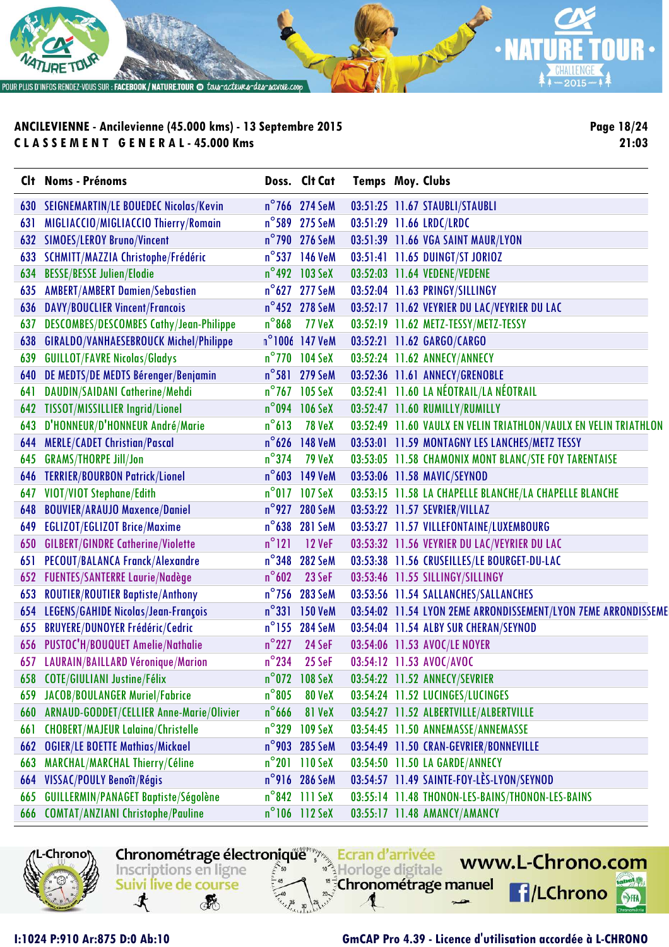

**Page 18/24 21:03**

|     | Clt Noms - Prénoms                             |                 | Doss. Clt Cat           | <b>Temps Moy. Clubs</b> |                                                                                               |
|-----|------------------------------------------------|-----------------|-------------------------|-------------------------|-----------------------------------------------------------------------------------------------|
| 630 | <b>SEIGNEMARTIN/LE BOUEDEC Nicolas/Kevin</b>   |                 | $n^{\circ}$ 766 274 SeM |                         | 03:51:25 11.67 STAUBLI/STAUBLI                                                                |
| 631 | MIGLIACCIO/MIGLIACCIO Thierry/Romain           |                 | n°589 275 SeM           |                         | 03:51:29 11.66 LRDC/LRDC                                                                      |
| 632 | <b>SIMOES/LEROY Bruno/Vincent</b>              |                 | n°790 276 SeM           |                         | 03:51:39 11.66 VGA SAINT MAUR/LYON                                                            |
| 633 | SCHMITT/MAZZIA Christophe/Frédéric             |                 | n°537 146 VeM           |                         | 03:51:41 11.65 DUINGT/ST JORIOZ                                                               |
| 634 | <b>BESSE/BESSE Julien/Elodie</b>               |                 | n°492 103 SeX           |                         | 03:52:03 11.64 VEDENE/VEDENE                                                                  |
| 635 | <b>AMBERT/AMBERT Damien/Sebastien</b>          |                 | n°627 277 SeM           |                         | 03:52:04 11.63 PRINGY/SILLINGY                                                                |
| 636 | <b>DAVY/BOUCLIER Vincent/Francois</b>          |                 | n°452 278 SeM           |                         | 03:52:17 11.62 VEYRIER DU LAC/VEYRIER DU LAC                                                  |
| 637 | <b>DESCOMBES/DESCOMBES Cathy/Jean-Philippe</b> | $n^{\circ}$ 868 | <b>77 VeX</b>           |                         | 03:52:19 11.62 METZ-TESSY/METZ-TESSY                                                          |
| 638 | GIRALDO/VANHAESEBROUCK Michel/Philippe         |                 | n°1006 147 VeM          |                         | 03:52:21 11.62 GARGO/CARGO                                                                    |
| 639 | <b>GUILLOT/FAVRE Nicolas/Gladys</b>            |                 | n°770 104 SeX           |                         | 03:52:24 11.62 ANNECY/ANNECY                                                                  |
| 640 | DE MEDTS/DE MEDTS Bérenger/Benjamin            |                 | n°581 279 SeM           |                         | 03:52:36 11.61 ANNECY/GRENOBLE                                                                |
| 641 | DAUDIN/SAIDANI Catherine/Mehdi                 |                 | n°767 105 SeX           |                         | 03:52:41 11.60 LA NÉOTRAIL/LA NÉOTRAIL                                                        |
| 642 | <b>TISSOT/MISSILLIER Ingrid/Lionel</b>         |                 | n°094 106 SeX           |                         | 03:52:47 11.60 RUMILLY/RUMILLY                                                                |
| 643 | D'HONNEUR/D'HONNEUR André/Marie                | $n^{\circ}613$  | <b>78 VeX</b>           |                         | 03:52:49 11.60 VAULX EN VELIN TRIATHLON/VAULX EN VELIN TRIATHLON                              |
| 644 | <b>MERLE/CADET Christian/Pascal</b>            |                 | n°626 148 VeM           |                         | 03:53:01 11.59 MONTAGNY LES LANCHES/METZ TESSY                                                |
| 645 | <b>GRAMS/THORPE Jill/Jon</b>                   | $n^{\circ}$ 374 | <b>79 VeX</b>           |                         | 03:53:05 11.58 CHAMONIX MONT BLANC/STE FOY TARENTAISE                                         |
| 646 | <b>TERRIER/BOURBON Patrick/Lionel</b>          |                 | n°603 149 VeM           |                         | 03:53:06 11.58 MAVIC/SEYNOD                                                                   |
| 647 | VIOT/VIOT Stephane/Edith                       |                 | n°017 107 SeX           |                         | 03:53:15 11.58 LA CHAPELLE BLANCHE/LA CHAPELLE BLANCHE                                        |
| 648 | <b>BOUVIER/ARAUJO Maxence/Daniel</b>           |                 | n°927 280 SeM           |                         | 03:53:22 11.57 SEVRIER/VILLAZ                                                                 |
| 649 | EGLIZOT/EGLIZOT Brice/Maxime                   |                 | n°638 281 SeM           |                         | 03:53:27 11.57 VILLEFONTAINE/LUXEMBOURG                                                       |
| 650 | <b>GILBERT/GINDRE Catherine/Violette</b>       | $n^{\circ}121$  | <b>12 VeF</b>           |                         | 03:53:32 11.56 VEYRIER DU LAC/VEYRIER DU LAC                                                  |
| 651 | <b>PECOUT/BALANCA Franck/Alexandre</b>         | $n^{\circ}348$  | <b>282 SeM</b>          |                         | 03:53:38 11.56 CRUSEILLES/LE BOURGET-DU-LAC                                                   |
| 652 | <b>FUENTES/SANTERRE Laurie/Nadège</b>          | $n^{\circ}602$  | 23 SeF                  |                         | 03:53:46 11.55 SILLINGY/SILLINGY                                                              |
| 653 | <b>ROUTIER/ROUTIER Baptiste/Anthony</b>        |                 | n°756 283 SeM           |                         | 03:53:56 11.54 SALLANCHES/SALLANCHES                                                          |
| 654 | LEGENS/GAHIDE Nicolas/Jean-François            |                 | n°331 150 VeM           |                         | 03:54:02 11.54 LYON 2EME ARRONDISSEMENT/LYON 7EME ARRONDISSEME                                |
| 655 | <b>BRUYERE/DUNOYER Frédéric/Cedric</b>         |                 | n°155 284 SeM           |                         | 03:54:04 11.54 ALBY SUR CHERAN/SEYNOD                                                         |
| 656 | PUSTOC'H/BOUQUET Amelie/Nathalie               | $n^{\circ}$ 227 | 24 SeF                  |                         | 03:54:06 11.53 AVOC/LE NOYER                                                                  |
|     | 657 LAURAIN/BAILLARD Véronique/Marion          | $n^{\circ}$ 234 | 25 SeF                  |                         | 03:54:12 11.53 AVOC/AVOC                                                                      |
|     | 658 COTE/GIULIANI Justine/Félix                |                 | n°072 108 SeX           |                         | 03:54:22 11.52 ANNECY/SEVRIER                                                                 |
| 659 | JACOB/BOULANGER Muriel/Fabrice                 | $n^{\circ}805$  | 80 VeX                  |                         | 03:54:24 11.52 LUCINGES/LUCINGES                                                              |
| 660 | ARNAUD-GODDET/CELLIER Anne-Marie/Olivier       | $n^{\circ}$ 666 | 81 VeX                  |                         | 03:54:27 11.52 ALBERTVILLE/ALBERTVILLE                                                        |
| 661 | <b>CHOBERT/MAJEUR Lalaina/Christelle</b>       |                 | n°329 109 SeX           |                         | 03:54:45 11.50 ANNEMASSE/ANNEMASSE                                                            |
| 662 | <b>OGIER/LE BOETTE Mathias/Mickael</b>         |                 | n°903 285 SeM           |                         | 03:54:49 11.50 CRAN-GEVRIER/BONNEVILLE                                                        |
| 663 | MARCHAL/MARCHAL Thierry/Céline                 |                 | $n^{\circ}201$ 110 SeX  |                         | 03:54:50 11.50 LA GARDE/ANNECY                                                                |
| 664 | VISSAC/POULY Benoît/Régis                      |                 | n°916 286 SeM           |                         | 03:54:57 11.49 SAINTE-FOY-LES-LYON/SEYNOD<br>03:55:14 11.48 THONON-LES-BAINS/THONON-LES-BAINS |
| 665 | GUILLERMIN/PANAGET Baptiste/Ségolène           |                 | n°842 111 SeX           |                         |                                                                                               |
| 666 | <b>COMTAT/ANZIANI Christophe/Pauline</b>       |                 | $n^{\circ}106$ 112 SeX  |                         | 03:55:17 11.48 AMANCY/AMANCY                                                                  |

Chronométrage électronique Finanzia Ecran d'arrivée

Inscriptions en ligne

**RE** 

Suivi live de course

 $\mathbf{\mathbf{t}}$ 



**I:1024 P:910 Ar:875 D:0 Ab:10 GmCAP Pro 4.39 - Licence d'utilisation accordée à L-CHRONO**

Horloge digitale

"<sup>5</sup>Chronométrage manuel

www.L-Chrono.com

**f**/LChrono

49.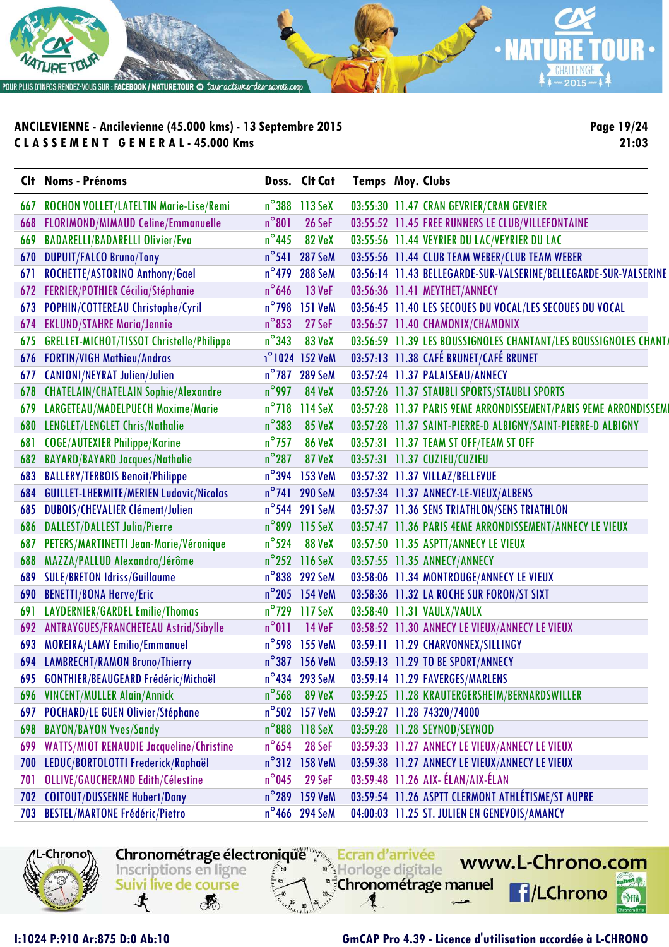

**Page 19/24 21:03**

|     | Clt Noms - Prénoms                               |                 | Doss. Clt Cat  | <b>Temps Moy. Clubs</b> |                                                                  |
|-----|--------------------------------------------------|-----------------|----------------|-------------------------|------------------------------------------------------------------|
| 667 | ROCHON VOLLET/LATELTIN Marie-Lise/Remi           |                 | n°388 113 SeX  |                         | 03:55:30 11.47 CRAN GEVRIER/CRAN GEVRIER                         |
| 668 | <b>FLORIMOND/MIMAUD Celine/Emmanuelle</b>        | $n^{\circ}801$  | 26 SeF         |                         | 03:55:52 11.45 FREE RUNNERS LE CLUB/VILLEFONTAINE                |
| 669 | <b>BADARELLI/BADARELLI Olivier/Eva</b>           | $n^{\circ}$ 445 | 82 VeX         |                         | 03:55:56 11.44 VEYRIER DU LAC/VEYRIER DU LAC                     |
| 670 | <b>DUPUIT/FALCO Bruno/Tony</b>                   | $n^{\circ}$ 541 | <b>287 SeM</b> |                         | 03:55:56 11.44 CLUB TEAM WEBER/CLUB TEAM WEBER                   |
| 671 | ROCHETTE/ASTORINO Anthony/Gael                   | $n^{\circ}$ 479 | <b>288 SeM</b> |                         | 03:56:14 11.43 BELLEGARDE-SUR-VALSERINE/BELLEGARDE-SUR-VALSERINE |
| 672 | FERRIER/POTHIER Cécilia/Stéphanie                | $n^{\circ}$ 646 | <b>13 VeF</b>  |                         | 03:56:36 11.41 MEYTHET/ANNECY                                    |
| 673 | POPHIN/COTTEREAU Christophe/Cyril                | $n^{\circ}$ 798 | <b>151 VeM</b> |                         | 03:56:45 11.40 LES SECOUES DU VOCAL/LES SECOUES DU VOCAL         |
| 674 | <b>EKLUND/STAHRE Maria/Jennie</b>                | $n^{\circ}$ 853 | 27 SeF         |                         | 03:56:57 11.40 CHAMONIX/CHAMONIX                                 |
| 675 | <b>GRELLET-MICHOT/TISSOT Christelle/Philippe</b> | $n^{\circ}343$  | <b>83 VeX</b>  |                         | 03:56:59 11.39 LES BOUSSIGNOLES CHANTANT/LES BOUSSIGNOLES CHANT/ |
| 676 | <b>FORTIN/VIGH Mathieu/Andras</b>                |                 | n°1024 152 VeM |                         | 03:57:13 11.38 CAFÉ BRUNET/CAFÉ BRUNET                           |
| 677 | <b>CANIONI/NEYRAT Julien/Julien</b>              |                 | n°787 289 SeM  |                         | 03:57:24 11.37 PALAISEAU/ANNECY                                  |
| 678 | <b>CHATELAIN/CHATELAIN Sophie/Alexandre</b>      | $n^{\circ}$ 997 | <b>84 VeX</b>  |                         | 03:57:26 11.37 STAUBLI SPORTS/STAUBLI SPORTS                     |
| 679 | LARGETEAU/MADELPUECH Maxime/Marie                | $n^{\circ}$ 718 | 114 SeX        |                         | 03:57:28 11.37 PARIS 9EME ARRONDISSEMENT/PARIS 9EME ARRONDISSEMI |
| 680 | LENGLET/LENGLET Chris/Nathalie                   | $n^{\circ}383$  | <b>85 VeX</b>  |                         | 03:57:28 11.37 SAINT-PIERRE-D ALBIGNY/SAINT-PIERRE-D ALBIGNY     |
| 681 | <b>COGE/AUTEXIER Philippe/Karine</b>             | $n^{\circ}$ 757 | 86 VeX         |                         | 03:57:31 11.37 TEAM ST OFF/TEAM ST OFF                           |
| 682 | <b>BAYARD/BAYARD Jacques/Nathalie</b>            | $n^{\circ}$ 287 | <b>87 VeX</b>  |                         | 03:57:31 11.37 CUZIEU/CUZIEU                                     |
| 683 | <b>BALLERY/TERBOIS Benoit/Philippe</b>           |                 | n°394 153 VeM  |                         | 03:57:32 11.37 VILLAZ/BELLEVUE                                   |
| 684 | <b>GUILLET-LHERMITE/MERIEN Ludovic/Nicolas</b>   |                 | n°741 290 SeM  |                         | 03:57:34 11.37 ANNECY-LE-VIEUX/ALBENS                            |
| 685 | <b>DUBOIS/CHEVALIER Clément/Julien</b>           |                 | n°544 291 SeM  |                         | 03:57:37 11.36 SENS TRIATHLON/SENS TRIATHLON                     |
| 686 | DALLEST/DALLEST Julia/Pierre                     |                 | n°899 115 SeX  |                         | 03:57:47 11.36 PARIS 4EME ARRONDISSEMENT/ANNECY LE VIEUX         |
| 687 | PETERS/MARTINETTI Jean-Marie/Véronique           | $n^{\circ}$ 524 | <b>88 VeX</b>  |                         | 03:57:50 11.35 ASPTT/ANNECY LE VIEUX                             |
| 688 | MAZZA/PALLUD Alexandra/Jérôme                    |                 | n°252 116 SeX  |                         | 03:57:55 11.35 ANNECY/ANNECY                                     |
| 689 | <b>SULE/BRETON Idriss/Guillaume</b>              |                 | n°838 292 SeM  |                         | 03:58:06 11.34 MONTROUGE/ANNECY LE VIEUX                         |
| 690 | <b>BENETTI/BONA Herve/Eric</b>                   |                 | n°205 154 VeM  |                         | 03:58:36 11.32 LA ROCHE SUR FORON/ST SIXT                        |
| 691 | LAYDERNIER/GARDEL Emilie/Thomas                  |                 | n°729 117 SeX  |                         | 03:58:40 11.31 VAULX/VAULX                                       |
| 692 | ANTRAYGUES/FRANCHETEAU Astrid/Sibylle            | $n^{\circ}011$  | <b>14 VeF</b>  |                         | 03:58:52 11.30 ANNECY LE VIEUX/ANNECY LE VIEUX                   |
| 693 | <b>MOREIRA/LAMY Emilio/Emmanuel</b>              |                 | n°598 155 VeM  |                         | 03:59:11 11.29 CHARVONNEX/SILLINGY                               |
|     | 694 LAMBRECHT/RAMON Bruno/Thierry                |                 | n°387 156 VeM  |                         | 03:59:13 11.29 TO BE SPORT/ANNECY                                |
|     | 695 GONTHIER/BEAUGEARD Frédéric/Michaël          |                 | n°434 293 SeM  |                         | 03:59:14 11.29 FAVERGES/MARLENS                                  |
| 696 | <b>VINCENT/MULLER Alain/Annick</b>               | $n^{\circ}$ 568 | <b>89 VeX</b>  |                         | 03:59:25 11.28 KRAUTERGERSHEIM/BERNARDSWILLER                    |
| 697 | <b>POCHARD/LE GUEN Olivier/Stéphane</b>          |                 | n°502 157 VeM  |                         | 03:59:27 11.28 74320/74000                                       |
| 698 | <b>BAYON/BAYON Yves/Sandy</b>                    |                 | n°888 118 SeX  |                         | 03:59:28 11.28 SEYNOD/SEYNOD                                     |
| 699 | <b>WATTS/MIOT RENAUDIE Jacqueline/Christine</b>  | $n^{\circ}$ 654 | 28 SeF         |                         | 03:59:33 11.27 ANNECY LE VIEUX/ANNECY LE VIEUX                   |
| 700 | LEDUC/BORTOLOTTI Frederick/Raphaël               |                 | n°312 158 VeM  |                         | 03:59:38 11.27 ANNECY LE VIEUX/ANNECY LE VIEUX                   |
| 701 | <b>OLLIVE/GAUCHERAND Edith/Célestine</b>         | $n^{\circ}$ 045 | 29 SeF         |                         | 03:59:48 11.26 AIX- ÉLAN/AIX-ÉLAN                                |
| 702 | <b>COITOUT/DUSSENNE Hubert/Dany</b>              |                 | n°289 159 VeM  |                         | 03:59:54 11.26 ASPTT CLERMONT ATHLÉTISME/ST AUPRE                |
| 703 | <b>BESTEL/MARTONE Frédéric/Pietro</b>            |                 | n°466 294 SeM  |                         | 04:00:03 11.25 ST. JULIEN EN GENEVOIS/AMANCY                     |

L-Chrono

Inscriptions en ligne Horloge digitale **"<sup>3</sup>Chronométrage manuel** Suivi live de course 寸 **RE** 

Chronométrage électronique Ecran d'arrivée

www.L-Chrono.com  $\mathbf{e}$ **f**/LChrono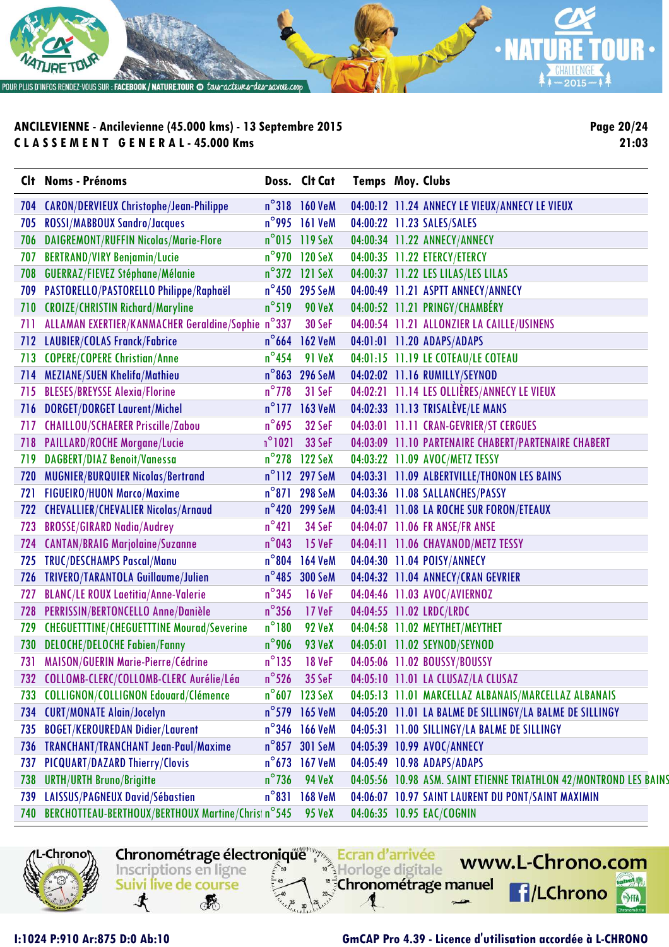

**Page 20/24 21:03**

|     | Clt Noms - Prénoms                                 |                 | Doss. Clt Cat           | <b>Temps Moy. Clubs</b> |                                                                   |
|-----|----------------------------------------------------|-----------------|-------------------------|-------------------------|-------------------------------------------------------------------|
| 704 | <b>CARON/DERVIEUX Christophe/Jean-Philippe</b>     |                 | n°318 160 VeM           |                         | 04:00:12 11.24 ANNECY LE VIEUX/ANNECY LE VIEUX                    |
| 705 | ROSSI/MABBOUX Sandro/Jacques                       |                 | n°995 161 VeM           |                         | 04:00:22 11.23 SALES/SALES                                        |
| 706 | DAIGREMONT/RUFFIN Nicolas/Marie-Flore              |                 | $n^{\circ}$ 015 119 SeX |                         | 04:00:34 11.22 ANNECY/ANNECY                                      |
| 707 | <b>BERTRAND/VIRY Benjamin/Lucie</b>                |                 | $n^{\circ}$ 970 120 SeX |                         | 04:00:35 11.22 ETERCY/ETERCY                                      |
| 708 | GUERRAZ/FIEVEZ Stéphane/Mélanie                    |                 | $n^{\circ}372$ 121 SeX  |                         | 04:00:37 11.22 LES LILAS/LES LILAS                                |
| 709 | PASTORELLO/PASTORELLO Philippe/Raphaël             |                 | n°450 295 SeM           |                         | 04:00:49 11.21 ASPTT ANNECY/ANNECY                                |
| 710 | <b>CROIZE/CHRISTIN Richard/Maryline</b>            | $n^{\circ}519$  | <b>90 VeX</b>           |                         | 04:00:52 11.21 PRINGY/CHAMBÉRY                                    |
| 711 | ALLAMAN EXERTIER/KANMACHER Geraldine/Sophie n°337  |                 | 30 SeF                  |                         | 04:00:54 11.21 ALLONZIER LA CAILLE/USINENS                        |
|     | 712 LAUBIER/COLAS Franck/Fabrice                   |                 | $n^{\circ}$ 664 162 VeM |                         | 04:01:01 11.20 ADAPS/ADAPS                                        |
| 713 | <b>COPERE/COPERE Christian/Anne</b>                | $n^{\circ}$ 454 | <b>91 VeX</b>           |                         | 04:01:15 11.19 LE COTEAU/LE COTEAU                                |
|     | 714 MEZIANE/SUEN Khelifa/Mathieu                   | $n^{\circ}$ 863 | <b>296 SeM</b>          |                         | 04:02:02 11.16 RUMILLY/SEYNOD                                     |
|     | 715 BLESES/BREYSSE Alexia/Florine                  | $n^{\circ}$ 778 | 31 SeF                  |                         | 04:02:21 11.14 LES OLLIÈRES/ANNECY LE VIEUX                       |
|     | 716 DORGET/DORGET Laurent/Michel                   |                 | n°177 163 VeM           |                         | 04:02:33 11.13 TRISALÈVE/LE MANS                                  |
| 717 | <b>CHAILLOU/SCHAERER Priscille/Zabou</b>           | $n^{\circ}$ 695 | 32 SeF                  |                         | 04:03:01 11.11 CRAN-GEVRIER/ST CERGUES                            |
|     | 718 PAILLARD/ROCHE Morgane/Lucie                   | $n^{\circ}1021$ | 33 SeF                  |                         | 04:03:09 11.10 PARTENAIRE CHABERT/PARTENAIRE CHABERT              |
| 719 | DAGBERT/DIAZ Benoit/Vanessa                        |                 | n°278 122 SeX           |                         | 04:03:22 11.09 AVOC/METZ TESSY                                    |
| 720 | MUGNIER/BURQUIER Nicolas/Bertrand                  |                 | n°112 297 SeM           |                         | 04:03:31 11.09 ALBERTVILLE/THONON LES BAINS                       |
| 721 | <b>FIGUEIRO/HUON Marco/Maxime</b>                  | $n^{\circ}871$  | <b>298 SeM</b>          |                         | 04:03:36 11.08 SALLANCHES/PASSY                                   |
| 722 | <b>CHEVALLIER/CHEVALIER Nicolas/Arnaud</b>         |                 | n°420 299 SeM           |                         | 04:03:41 11.08 LA ROCHE SUR FORON/ETEAUX                          |
| 723 | <b>BROSSE/GIRARD Nadia/Audrey</b>                  | $n^{\circ}421$  | 34 SeF                  |                         | 04:04:07 11.06 FR ANSE/FR ANSE                                    |
| 724 | <b>CANTAN/BRAIG Marjolaine/Suzanne</b>             | $n^{\circ}$ 043 | <b>15 VeF</b>           |                         | 04:04:11 11.06 CHAVANOD/METZ TESSY                                |
| 725 | <b>TRUC/DESCHAMPS Pascal/Manu</b>                  | $n^{\circ}$ 804 | <b>164 VeM</b>          |                         | 04:04:30 11.04 POISY/ANNECY                                       |
| 726 | TRIVERO/TARANTOLA Guillaume/Julien                 | $n^{\circ}$ 485 | <b>300 SeM</b>          |                         | 04:04:32 11.04 ANNECY/CRAN GEVRIER                                |
| 727 | <b>BLANC/LE ROUX Laetitia/Anne-Valerie</b>         | $n^{\circ}345$  | <b>16 VeF</b>           |                         | 04:04:46 11.03 AVOC/AVIERNOZ                                      |
| 728 | PERRISSIN/BERTONCELLO Anne/Danièle                 | $n^{\circ}356$  | 17 VeF                  |                         | 04:04:55 11.02 LRDC/LRDC                                          |
| 729 | <b>CHEGUETTTINE/CHEGUETTTINE Mourad/Severine</b>   | $n^{\circ}180$  | <b>92 VeX</b>           |                         | 04:04:58 11.02 MEYTHET/MEYTHET                                    |
| 730 | <b>DELOCHE/DELOCHE Fabien/Fanny</b>                | $n^{\circ}$ 906 | 93 VeX                  |                         | 04:05:01 11.02 SEYNOD/SEYNOD                                      |
|     | 731 MAISON/GUERIN Marie-Pierre/Cédrine             | $n^{\circ}$ 135 | <b>18 VeF</b>           |                         | 04:05:06 11.02 BOUSSY/BOUSSY                                      |
|     | 732 COLLOMB-CLERC/COLLOMB-CLERC Aurélie/Léa        |                 | n°526 35 SeF            |                         | 04:05:10 11.01 LA CLUSAZ/LA CLUSAZ                                |
| 733 | COLLIGNON/COLLIGNON Edouard/Clémence               |                 | n°607 123 SeX           |                         | 04:05:13 11.01 MARCELLAZ ALBANAIS/MARCELLAZ ALBANAIS              |
| 734 | <b>CURT/MONATE Alain/Jocelyn</b>                   |                 | $n^{\circ}$ 579 165 VeM |                         | 04:05:20 11.01 LA BALME DE SILLINGY/LA BALME DE SILLINGY          |
| 735 | <b>BOGET/KEROUREDAN Didier/Laurent</b>             |                 | n°346 166 VeM           |                         | 04:05:31 11.00 SILLINGY/LA BALME DE SILLINGY                      |
| 736 | TRANCHANT/TRANCHANT Jean-Paul/Maxime               |                 | n°857 301 SeM           |                         | 04:05:39 10.99 AVOC/ANNECY                                        |
| 737 | PICQUART/DAZARD Thierry/Clovis                     | $n^{\circ}$ 673 | <b>167 VeM</b>          |                         | 04:05:49 10.98 ADAPS/ADAPS                                        |
| 738 | <b>URTH/URTH Bruno/Brigitte</b>                    | $n^{\circ}$ 736 | <b>94 VeX</b>           |                         | 04:05:56 10.98 ASM. SAINT ETIENNE TRIATHLON 42/MONTROND LES BAINS |
| 739 | LAISSUS/PAGNEUX David/Sébastien                    | $n^{\circ}831$  | <b>168 VeM</b>          |                         | 04:06:07 10.97 SAINT LAURENT DU PONT/SAINT MAXIMIN                |
| 740 | BERCHOTTEAU-BERTHOUX/BERTHOUX Martine/Christ n°545 |                 | <b>95 VeX</b>           |                         | 04:06:35 10.95 EAC/COGNIN                                         |

Chronométrage électronique Ecran d'arrivée

Horloge digitale

**"<sup>3</sup>Chronométrage manuel** 



寸

Inscriptions en ligne

Suivi live de course

**RE** 

**I:1024 P:910 Ar:875 D:0 Ab:10 GmCAP Pro 4.39 - Licence d'utilisation accordée à L-CHRONO**

www.L-Chrono.com

**f**/LChrono

nei W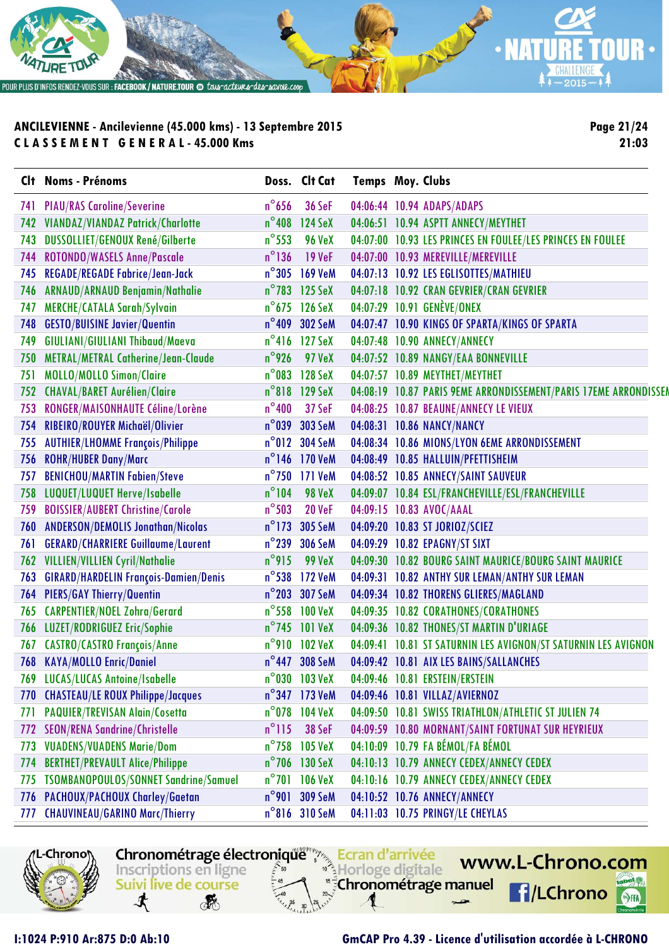

**Page 21/24 21:03**

|     | Clt Noms - Prénoms                        |                 | Doss. Clt Cat           | <b>Temps Moy. Clubs</b> |                                                                  |
|-----|-------------------------------------------|-----------------|-------------------------|-------------------------|------------------------------------------------------------------|
| 741 | <b>PIAU/RAS Caroline/Severine</b>         | $n^{\circ}$ 656 | <b>36 SeF</b>           |                         | 04:06:44 10.94 ADAPS/ADAPS                                       |
| 742 | VIANDAZ/VIANDAZ Patrick/Charlotte         | $n^{\circ}$ 408 | 124 SeX                 |                         | 04:06:51 10.94 ASPTT ANNECY/MEYTHET                              |
| 743 | DUSSOLLIET/GENOUX René/Gilberte           | $n^{\circ}$ 553 | <b>96 VeX</b>           |                         | 04:07:00 10.93 LES PRINCES EN FOULEE/LES PRINCES EN FOULEE       |
| 744 | ROTONDO/WASELS Anne/Pascale               | $n^{\circ}$ 136 | <b>19 VeF</b>           |                         | 04:07:00 10.93 MEREVILLE/MEREVILLE                               |
| 745 | <b>REGADE/REGADE Fabrice/Jean-Jack</b>    | $n^{\circ}305$  | <b>169 VeM</b>          |                         | 04:07:13 10.92 LES EGLISOTTES/MATHIEU                            |
| 746 | ARNAUD/ARNAUD Benjamin/Nathalie           | $n^{\circ}$ 783 | 125 SeX                 |                         | 04:07:18 10.92 CRAN GEVRIER/CRAN GEVRIER                         |
| 747 | <b>MERCHE/CATALA Sarah/Sylvain</b>        |                 | $n^{\circ}$ 675 126 SeX |                         | 04:07:29 10.91 GENÈVE/ONEX                                       |
| 748 | <b>GESTO/BUISINE Javier/Quentin</b>       | $n^{\circ}$ 409 | 302 SeM                 |                         | 04:07:47 10.90 KINGS OF SPARTA/KINGS OF SPARTA                   |
| 749 | GIULIANI/GIULIANI Thibaud/Maeva           |                 | n°416 127 SeX           |                         | 04:07:48 10.90 ANNECY/ANNECY                                     |
| 750 | METRAL/METRAL Catherine/Jean-Claude       | $n^{\circ}$ 926 | 97 VeX                  |                         | 04:07:52 10.89 NANGY/EAA BONNEVILLE                              |
| 751 | MOLLO/MOLLO Simon/Claire                  | $n^{\circ}$ 083 | 128 SeX                 |                         | 04:07:57 10.89 MEYTHET/MEYTHET                                   |
| 752 | <b>CHAVAL/BARET Aurélien/Claire</b>       | $n^{\circ}818$  | 129 SeX                 |                         | 04:08:19 10.87 PARIS 9EME ARRONDISSEMENT/PARIS 17EME ARRONDISSEM |
| 753 | RONGER/MAISONHAUTE Céline/Lorène          | $n^{\circ}400$  | 37 SeF                  |                         | 04:08:25 10.87 BEAUNE/ANNECY LE VIEUX                            |
| 754 | RIBEIRO/ROUYER Michaël/Olivier            | $n^{\circ}$ 039 | 303 SeM                 |                         | 04:08:31 10.86 NANCY/NANCY                                       |
| 755 | <b>AUTHIER/LHOMME François/Philippe</b>   | $n^{\circ}012$  | <b>304 SeM</b>          |                         | 04:08:34 10.86 MIONS/LYON 6EME ARRONDISSEMENT                    |
| 756 | <b>ROHR/HUBER Dany/Marc</b>               |                 | n°146 170 VeM           |                         | 04:08:49 10.85 HALLUIN/PFETTISHEIM                               |
| 757 | <b>BENICHOU/MARTIN Fabien/Steve</b>       | $n^{\circ}$ 750 | <b>171 VeM</b>          |                         | 04:08:52 10.85 ANNECY/SAINT SAUVEUR                              |
| 758 | LUQUET/LUQUET Herve/Isabelle              | $n^{\circ}$ 104 | <b>98 VeX</b>           |                         | 04:09:07 10.84 ESL/FRANCHEVILLE/ESL/FRANCHEVILLE                 |
| 759 | <b>BOISSIER/AUBERT Christine/Carole</b>   | $n^{\circ}$ 503 | <b>20 VeF</b>           |                         | 04:09:15 10.83 AVOC/AAAL                                         |
| 760 | <b>ANDERSON/DEMOLIS Jonathan/Nicolas</b>  | $n^{\circ}$ 173 | 305 SeM                 |                         | 04:09:20 10.83 ST JORIOZ/SCIEZ                                   |
| 761 | <b>GERARD/CHARRIERE Guillaume/Laurent</b> | $n^{\circ}$ 239 | <b>306 SeM</b>          |                         | 04:09:29 10.82 EPAGNY/ST SIXT                                    |
| 762 | <b>VILLIEN/VILLIEN Cyril/Nathalie</b>     | n°915           | <b>99 VeX</b>           |                         | 04:09:30 10.82 BOURG SAINT MAURICE/BOURG SAINT MAURICE           |
| 763 | GIRARD/HARDELIN François-Damien/Denis     | $n^{\circ}$ 538 | 172 VeM                 |                         | 04:09:31 10.82 ANTHY SUR LEMAN/ANTHY SUR LEMAN                   |
| 764 | <b>PIERS/GAY Thierry/Quentin</b>          | $n^{\circ}$ 203 | 307 SeM                 |                         | 04:09:34 10.82 THORENS GLIERES/MAGLAND                           |
| 765 | <b>CARPENTIER/NOEL Zohra/Gerard</b>       | $n^{\circ}$ 558 | <b>100 VeX</b>          |                         | 04:09:35 10.82 CORATHONES/CORATHONES                             |
| 766 | LUZET/RODRIGUEZ Eric/Sophie               |                 | n°745 101 VeX           |                         | 04:09:36 10.82 THONES/ST MARTIN D'URIAGE                         |
| 767 | <b>CASTRO/CASTRO François/Anne</b>        | $n^{\circ}$ 910 | <b>102 VeX</b>          |                         | 04:09:41 10.81 ST SATURNIN LES AVIGNON/ST SATURNIN LES AVIGNON   |
| 768 | <b>KAYA/MOLLO Enric/Daniel</b>            |                 | n°447 308 SeM           |                         | 04:09:42 10.81 AIX LES BAINS/SALLANCHES                          |
|     | 769 LUCAS/LUCAS Antoine/Isabelle          |                 | $n^{\circ}$ 030 103 VeX |                         | 04:09:46 10.81 ERSTEIN/ERSTEIN                                   |
| 770 | <b>CHASTEAU/LE ROUX Philippe/Jacques</b>  |                 | n°347 173 VeM           |                         | 04:09:46 10.81 VILLAZ/AVIERNOZ                                   |
| 771 | PAQUIER/TREVISAN Alain/Cosetta            |                 | $n^{\circ}$ 078 104 VeX |                         | 04:09:50 10.81 SWISS TRIATHLON/ATHLETIC ST JULIEN 74             |
| 772 | <b>SEON/RENA Sandrine/Christelle</b>      | $n^{\circ}$ 115 | 38 SeF                  |                         | 04:09:59 10.80 MORNANT/SAINT FORTUNAT SUR HEYRIEUX               |
| 773 | <b>VUADENS/VUADENS Marie/Dom</b>          | $n^{\circ}$ 758 | 105 VeX                 |                         | 04:10:09 10.79 FA BÉMOL/FA BÉMOL                                 |
| 774 | <b>BERTHET/PREVAULT Alice/Philippe</b>    |                 | n°706 130 SeX           |                         | 04:10:13 10.79 ANNECY CEDEX/ANNECY CEDEX                         |
| 775 | TSOMBANOPOULOS/SONNET Sandrine/Samuel     | $n^{\circ}$ 701 | <b>106 VeX</b>          |                         | 04:10:16 10.79 ANNECY CEDEX/ANNECY CEDEX                         |
| 776 | PACHOUX/PACHOUX Charley/Gaetan            | $n^{\circ}$ 901 | 309 SeM                 |                         | 04:10:52 10.76 ANNECY/ANNECY                                     |
| 777 | <b>CHAUVINEAU/GARINO Marc/Thierry</b>     |                 | n°816 310 SeM           |                         | 04:11:03 10.75 PRINGY/LE CHEYLAS                                 |

Chronométrage électronique Ecran d'arrivée

Horloge digitale

"<sup>5</sup>Chronométrage manuel

Inscriptions en ligne

Suivi live de course

**RE** 

寸

-Chrono

#### **I:1024 P:910 Ar:875 D:0 Ab:10 GmCAP Pro 4.39 - Licence d'utilisation accordée à L-CHRONO**

www.L-Chrono.com

**f**/LChrono

 $\mathbf{e}$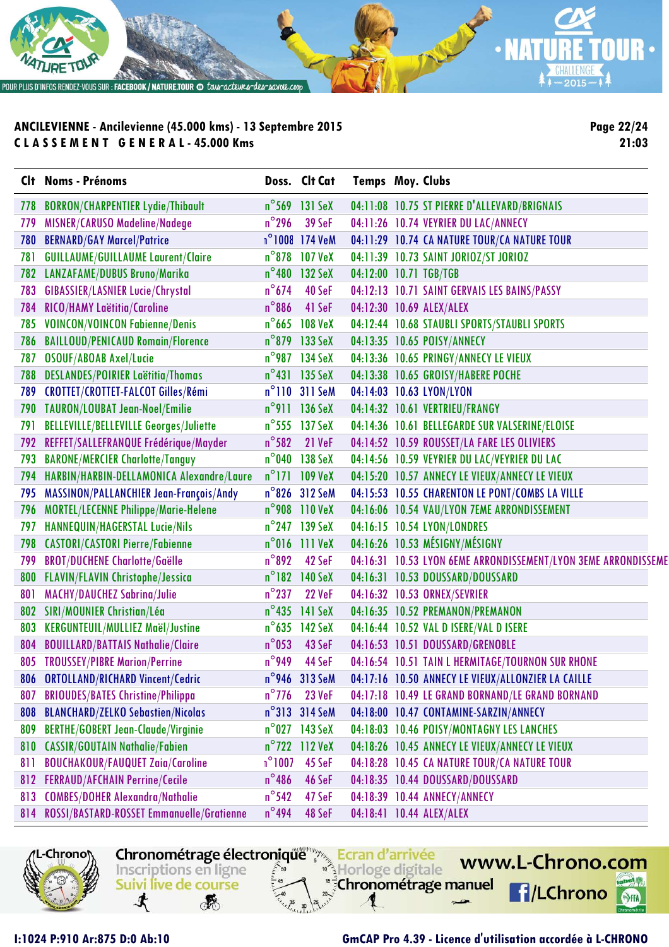

**Page 22/24 21:03**

|     | Clt Noms - Prénoms                            |                 | Doss. Clt Cat           | Temps Moy. Clubs |                                                                |
|-----|-----------------------------------------------|-----------------|-------------------------|------------------|----------------------------------------------------------------|
| 778 | <b>BORRON/CHARPENTIER Lydie/Thibault</b>      |                 | $n^{\circ}$ 569 131 SeX |                  | 04:11:08 10.75 ST PIERRE D'ALLEVARD/BRIGNAIS                   |
| 779 | MISNER/CARUSO Madeline/Nadege                 | $n^{\circ}$ 296 | 39 SeF                  |                  | 04:11:26 10.74 VEYRIER DU LAC/ANNECY                           |
| 780 | <b>BERNARD/GAY Marcel/Patrice</b>             |                 | n°1008 174 VeM          |                  | 04:11:29 10.74 CA NATURE TOUR/CA NATURE TOUR                   |
| 781 | <b>GUILLAUME/GUILLAUME Laurent/Claire</b>     |                 | n°878 107 VeX           |                  | 04:11:39 10.73 SAINT JORIOZ/ST JORIOZ                          |
| 782 | LANZAFAME/DUBUS Bruno/Marika                  |                 | n°480 132 SeX           |                  | 04:12:00 10.71 TGB/TGB                                         |
| 783 | <b>GIBASSIER/LASNIER Lucie/Chrystal</b>       | $n^{\circ}$ 674 | 40 SeF                  |                  | 04:12:13 10.71 SAINT GERVAIS LES BAINS/PASSY                   |
| 784 | RICO/HAMY Laëtitia/Caroline                   | $n^{\circ}$ 886 | 41 SeF                  |                  | 04:12:30 10.69 ALEX/ALEX                                       |
| 785 | <b>VOINCON/VOINCON Fabienne/Denis</b>         |                 | n°665 108 VeX           |                  | 04:12:44 10.68 STAUBLI SPORTS/STAUBLI SPORTS                   |
| 786 | <b>BAILLOUD/PENICAUD Romain/Florence</b>      |                 | n°879 133 SeX           |                  | 04:13:35 10.65 POISY/ANNECY                                    |
| 787 | <b>OSOUF/ABOAB Axel/Lucie</b>                 |                 | n°987 134 SeX           |                  | 04:13:36 10.65 PRINGY/ANNECY LE VIEUX                          |
| 788 | DESLANDES/POIRIER Laëtitia/Thomas             |                 | n°431 135 SeX           |                  | 04:13:38 10.65 GROISY/HABERE POCHE                             |
| 789 | CROTTET/CROTTET-FALCOT Gilles/Rémi            |                 | $n^{\circ}$ 110 311 SeM |                  | 04:14:03 10.63 LYON/LYON                                       |
| 790 | TAURON/LOUBAT Jean-Noel/Emilie                |                 | n°911 136 SeX           |                  | 04:14:32 10.61 VERTRIEU/FRANGY                                 |
| 791 | <b>BELLEVILLE/BELLEVILLE Georges/Juliette</b> |                 | $n^{\circ}$ 555 137 SeX |                  | 04:14:36 10.61 BELLEGARDE SUR VALSERINE/ELOISE                 |
| 792 | REFFET/SALLEFRANQUE Frédérique/Mayder         | $n^{\circ}$ 582 | 21 VeF                  |                  | 04:14:52 10.59 ROUSSET/LA FARE LES OLIVIERS                    |
| 793 | <b>BARONE/MERCIER Charlotte/Tanguy</b>        |                 | n°040 138 SeX           |                  | 04:14:56 10.59 VEYRIER DU LAC/VEYRIER DU LAC                   |
| 794 | HARBIN/HARBIN-DELLAMONICA Alexandre/Laure     |                 | $n^{\circ}$ 171 109 VeX |                  | 04:15:20 10.57 ANNECY LE VIEUX/ANNECY LE VIEUX                 |
| 795 | MASSINON/PALLANCHIER Jean-François/Andy       |                 | n°826 312 SeM           |                  | 04:15:53 10.55 CHARENTON LE PONT/COMBS LA VILLE                |
| 796 | MORTEL/LECENNE Philippe/Marie-Helene          |                 | n°908 110 VeX           |                  | 04:16:06 10.54 VAU/LYON 7EME ARRONDISSEMENT                    |
| 797 | HANNEQUIN/HAGERSTAL Lucie/Nils                |                 | $n^{\circ}$ 247 139 SeX |                  | 04:16:15 10.54 LYON/LONDRES                                    |
| 798 | <b>CASTORI/CASTORI Pierre/Fabienne</b>        |                 | $n^{\circ}$ 016 111 VeX |                  | 04:16:26 10.53 MÉSIGNY/MÉSIGNY                                 |
| 799 | <b>BROT/DUCHENE Charlotte/Gaëlle</b>          | $n^{\circ}892$  | 42 SeF                  |                  | 04:16:31 10.53 LYON 6EME ARRONDISSEMENT/LYON 3EME ARRONDISSEME |
| 800 | <b>FLAVIN/FLAVIN Christophe/Jessica</b>       |                 | n°182 140 SeX           |                  | 04:16:31 10.53 DOUSSARD/DOUSSARD                               |
| 801 | <b>MACHY/DAUCHEZ Sabrina/Julie</b>            | $n^{\circ}$ 237 | 22 VeF                  |                  | 04:16:32 10.53 ORNEX/SEVRIER                                   |
| 802 | SIRI/MOUNIER Christian/Léa                    |                 | n°435 141 SeX           |                  | 04:16:35 10.52 PREMANON/PREMANON                               |
| 803 | <b>KERGUNTEUIL/MULLIEZ Maël/Justine</b>       |                 | n°635 142 SeX           |                  | 04:16:44 10.52 VAL D ISERE/VAL D ISERE                         |
| 804 | <b>BOUILLARD/BATTAIS Nathalie/Claire</b>      | $n^{\circ}$ 053 | 43 SeF                  |                  | 04:16:53 10.51 DOUSSARD/GRENOBLE                               |
|     | 805 TROUSSEY/PIBRE Marion/Perrine             | $n^{\circ}$ 949 | 44 SeF                  |                  | 04:16:54 10.51 TAIN L HERMITAGE/TOURNON SUR RHONE              |
|     | 806 ORTOLLAND/RICHARD Vincent/Cedric          |                 | n°946 313 SeM           |                  | 04:17:16 10.50 ANNECY LE VIEUX/ALLONZIER LA CAILLE             |
| 807 | <b>BRIOUDES/BATES Christine/Philippa</b>      | $n^{\circ}$ 776 | <b>23 VeF</b>           |                  | 04:17:18 10.49 LE GRAND BORNAND/LE GRAND BORNAND               |
| 808 | <b>BLANCHARD/ZELKO Sebastien/Nicolas</b>      |                 | $n^{\circ}313$ 314 SeM  |                  | 04:18:00 10.47 CONTAMINE-SARZIN/ANNECY                         |
| 809 | <b>BERTHE/GOBERT Jean-Claude/Virginie</b>     |                 | $n^{\circ}$ 027 143 SeX |                  | 04:18:03 10.46 POISY/MONTAGNY LES LANCHES                      |
| 810 | <b>CASSIR/GOUTAIN Nathalie/Fabien</b>         |                 | $n^{\circ}$ 722 112 VeX |                  | 04:18:26 10.45 ANNECY LE VIEUX/ANNECY LE VIEUX                 |
| 811 | <b>BOUCHAKOUR/FAUQUET Zaia/Caroline</b>       | $n^{\circ}1007$ | 45 SeF                  |                  | 04:18:28 10.45 CA NATURE TOUR/CA NATURE TOUR                   |
| 812 | <b>FERRAUD/AFCHAIN Perrine/Cecile</b>         | $n^{\circ}$ 486 | 46 SeF                  |                  | 04:18:35 10.44 DOUSSARD/DOUSSARD                               |
| 813 | <b>COMBES/DOHER Alexandra/Nathalie</b>        | $n^{\circ}$ 542 | 47 SeF                  |                  | 04:18:39 10.44 ANNECY/ANNECY                                   |
|     | 814 ROSSI/BASTARD-ROSSET Emmanuelle/Gratienne | $n^{\circ}$ 494 | 48 SeF                  |                  | 04:18:41 10.44 ALEX/ALEX                                       |

Chronométrage électronique Ecran d'arrivée

Horloge digitale

"<sup>5</sup>Chronométrage manuel

Inscriptions en ligne

Suivi live de course

**RE** 

寸



#### **I:1024 P:910 Ar:875 D:0 Ab:10 GmCAP Pro 4.39 - Licence d'utilisation accordée à L-CHRONO**

www.L-Chrono.com

**f**/LChrono

 $\mathbf{e}$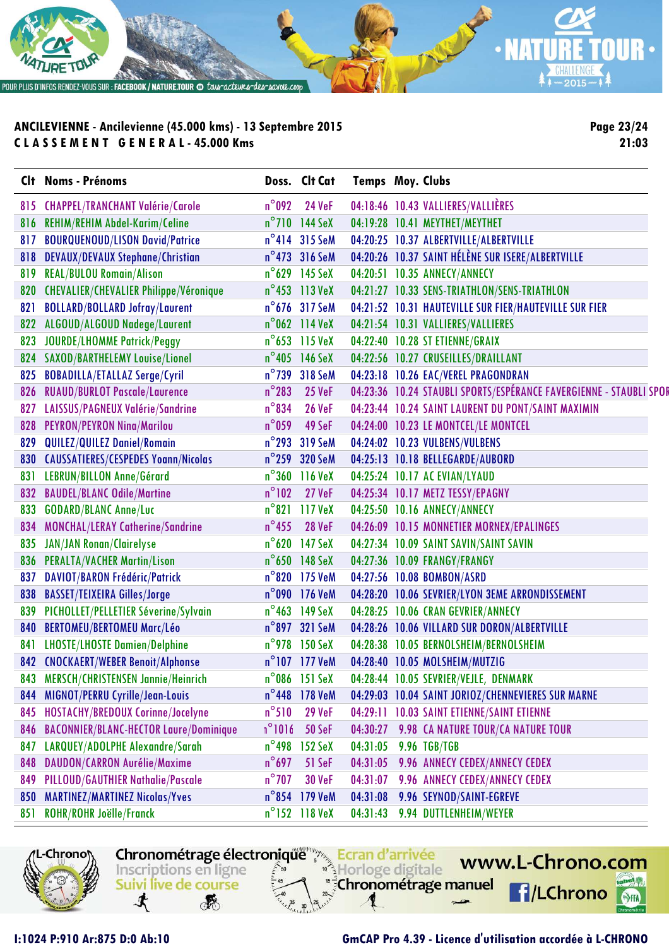

**Page 23/24 21:03**

|     | Clt Noms - Prénoms                            |                 | Doss. Clt Cat           | <b>Temps Moy. Clubs</b> |                                                                    |
|-----|-----------------------------------------------|-----------------|-------------------------|-------------------------|--------------------------------------------------------------------|
|     | 815 CHAPPEL/TRANCHANT Valérie/Carole          | $n^{\circ}$ 092 | <b>24 VeF</b>           |                         | 04:18:46 10.43 VALLIERES/VALLIÈRES                                 |
| 816 | <b>REHIM/REHIM Abdel-Karim/Celine</b>         |                 | $n^{\circ}$ 710 144 SeX |                         | 04:19:28 10.41 MEYTHET/MEYTHET                                     |
| 817 | <b>BOURQUENOUD/LISON David/Patrice</b>        |                 | n°414 315 SeM           |                         | 04:20:25 10.37 ALBERTVILLE/ALBERTVILLE                             |
| 818 | <b>DEVAUX/DEVAUX Stephane/Christian</b>       |                 | n°473 316 SeM           |                         | 04:20:26 10.37 SAINT HÉLÈNE SUR ISERE/ALBERTVILLE                  |
| 819 | <b>REAL/BULOU Romain/Alison</b>               |                 | n°629 145 SeX           |                         | 04:20:51 10.35 ANNECY/ANNECY                                       |
| 820 | <b>CHEVALIER/CHEVALIER Philippe/Véronique</b> |                 | n°453 113 VeX           |                         | 04:21:27 10.33 SENS-TRIATHLON/SENS-TRIATHLON                       |
| 821 | <b>BOLLARD/BOLLARD Jofray/Laurent</b>         |                 | n°676 317 SeM           |                         | 04:21:52 10.31 HAUTEVILLE SUR FIER/HAUTEVILLE SUR FIER             |
| 822 | ALGOUD/ALGOUD Nadege/Laurent                  |                 | $n^{\circ}$ 062 114 VeX |                         | 04:21:54 10.31 VALLIERES/VALLIERES                                 |
| 823 | <b>JOURDE/LHOMME Patrick/Peggy</b>            |                 | $n^{\circ}$ 653 115 VeX |                         | 04:22:40 10.28 ST ETIENNE/GRAIX                                    |
| 824 | <b>SAXOD/BARTHELEMY Louise/Lionel</b>         |                 | n°405 146 SeX           |                         | 04:22:56 10.27 CRUSEILLES/DRAILLANT                                |
| 825 | <b>BOBADILLA/ETALLAZ Serge/Cyril</b>          |                 | n°739 318 SeM           |                         | 04:23:18 10.26 EAC/VEREL PRAGONDRAN                                |
| 826 | <b>RUAUD/BURLOT Pascale/Laurence</b>          | $n^{\circ}$ 283 | <b>25 VeF</b>           |                         | 04:23:36 10.24 STAUBLI SPORTS/ESPÉRANCE FAVERGIENNE - STAUBLI SPOR |
| 827 | LAISSUS/PAGNEUX Valérie/Sandrine              | $n^{\circ}$ 834 | <b>26 VeF</b>           |                         | 04:23:44 10.24 SAINT LAURENT DU PONT/SAINT MAXIMIN                 |
| 828 | <b>PEYRON/PEYRON Nina/Marilou</b>             | $n^{\circ}$ 059 | 49 SeF                  |                         | 04:24:00 10.23 LE MONTCEL/LE MONTCEL                               |
| 829 | <b>QUILEZ/QUILEZ Daniel/Romain</b>            | $n^{\circ}$ 293 | 319 SeM                 |                         | 04:24:02 10.23 VULBENS/VULBENS                                     |
| 830 | <b>CAUSSATIERES/CESPEDES Yoann/Nicolas</b>    |                 | n°259 320 SeM           |                         | 04:25:13 10.18 BELLEGARDE/AUBORD                                   |
| 831 | LEBRUN/BILLON Anne/Gérard                     |                 | n°360 116 VeX           |                         | 04:25:24 10.17 AC EVIAN/LYAUD                                      |
| 832 | <b>BAUDEL/BLANC Odile/Martine</b>             | $n^{\circ}102$  | 27 VeF                  |                         | 04:25:34 10.17 METZ TESSY/EPAGNY                                   |
| 833 | <b>GODARD/BLANC Anne/Luc</b>                  | $n^{\circ}821$  | 117 VeX                 |                         | 04:25:50 10.16 ANNECY/ANNECY                                       |
| 834 | MONCHAL/LERAY Catherine/Sandrine              | $n^{\circ}$ 455 | <b>28 VeF</b>           |                         | 04:26:09 10.15 MONNETIER MORNEX/EPALINGES                          |
| 835 | <b>JAN/JAN Ronan/Clairelyse</b>               |                 | n°620 147 SeX           |                         | 04:27:34 10.09 SAINT SAVIN/SAINT SAVIN                             |
| 836 | <b>PERALTA/VACHER Martin/Lison</b>            |                 | n°650 148 SeX           |                         | 04:27:36 10.09 FRANGY/FRANGY                                       |
| 837 | DAVIOT/BARON Frédéric/Patrick                 |                 | n°820 175 VeM           |                         | 04:27:56 10.08 BOMBON/ASRD                                         |
| 838 | <b>BASSET/TEIXEIRA Gilles/Jorge</b>           |                 | n°090 176 VeM           |                         | 04:28:20 10.06 SEVRIER/LYON 3EME ARRONDISSEMENT                    |
| 839 | PICHOLLET/PELLETIER Séverine/Sylvain          |                 | $n^{\circ}463$ 149 SeX  |                         | 04:28:25 10.06 CRAN GEVRIER/ANNECY                                 |
| 840 | <b>BERTOMEU/BERTOMEU Marc/Léo</b>             |                 | n°897 321 SeM           |                         | 04:28:26 10.06 VILLARD SUR DORON/ALBERTVILLE                       |
| 841 | <b>LHOSTE/LHOSTE Damien/Delphine</b>          |                 | n°978 150 SeX           |                         | 04:28:38 10.05 BERNOLSHEIM/BERNOLSHEIM                             |
|     | 842 CNOCKAERT/WEBER Benoit/Alphonse           |                 | n°107 177 VeM           |                         | 04:28:40 10.05 MOLSHEIM/MUTZIG                                     |
|     | 843 MERSCH/CHRISTENSEN Jannie/Heinrich        |                 | $n^{\circ}$ 086 151 SeX |                         | 04:28:44 10.05 SEVRIER/VEJLE, DENMARK                              |
| 844 | MIGNOT/PERRU Cyrille/Jean-Louis               |                 | n°448 178 VeM           |                         | 04:29:03 10.04 SAINT JORIOZ/CHENNEVIERES SUR MARNE                 |
| 845 | HOSTACHY/BREDOUX Corinne/Jocelyne             | $n^{\circ}510$  | <b>29 VeF</b>           | 04:29:11                | <b>10.03 SAINT ETIENNE/SAINT ETIENNE</b>                           |
| 846 | <b>BACONNIER/BLANC-HECTOR Laure/Dominique</b> | $n^{\circ}1016$ | <b>50 SeF</b>           | 04:30:27                | 9.98 CA NATURE TOUR/CA NATURE TOUR                                 |
| 847 | LARQUEY/ADOLPHE Alexandre/Sarah               | $n^{\circ}$ 498 | 152 SeX                 | 04:31:05                | 9.96 TGB/TGB                                                       |
| 848 | <b>DAUDON/CARRON Aurélie/Maxime</b>           | $n^{\circ}$ 697 | 51 SeF                  | 04:31:05                | 9.96 ANNECY CEDEX/ANNECY CEDEX                                     |
| 849 | PILLOUD/GAUTHIER Nathalie/Pascale             | $n^{\circ}$ 707 | <b>30 VeF</b>           | 04:31:07                | 9.96 ANNECY CEDEX/ANNECY CEDEX                                     |
| 850 | <b>MARTINEZ/MARTINEZ Nicolas/Yves</b>         |                 | n°854 179 VeM           | 04:31:08                | 9.96 SEYNOD/SAINT-EGREVE                                           |
| 851 | <b>ROHR/ROHR Joëlle/Franck</b>                |                 | n°152 118 VeX           | 04:31:43                | 9.94 DUTTLENHEIM/WEYER                                             |

Chronométrage électronique Ecran d'arrivée

Inscriptions en ligne

Suivi live de course

**RE** 

寸



Horloge digitale

#### **I:1024 P:910 Ar:875 D:0 Ab:10 GmCAP Pro 4.39 - Licence d'utilisation accordée à L-CHRONO**

www.L-Chrono.com

 $\mathbf{e}$